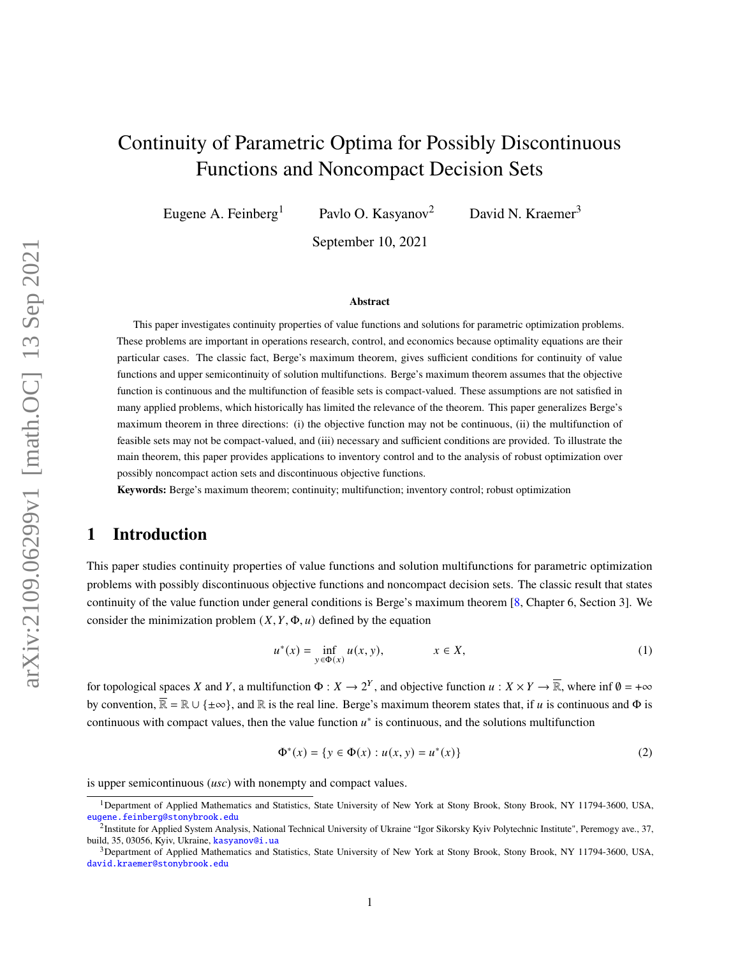# Continuity of Parametric Optima for Possibly Discontinuous Functions and Noncompact Decision Sets

Eugene A. Feinberg<sup>1</sup> Pavlo O. Kasyanov<sup>2</sup> David N. Kraemer<sup>3</sup>

September 10, 2021

#### **Abstract**

This paper investigates continuity properties of value functions and solutions for parametric optimization problems. These problems are important in operations research, control, and economics because optimality equations are their particular cases. The classic fact, Berge's maximum theorem, gives sufficient conditions for continuity of value functions and upper semicontinuity of solution multifunctions. Berge's maximum theorem assumes that the objective function is continuous and the multifunction of feasible sets is compact-valued. These assumptions are not satisfied in many applied problems, which historically has limited the relevance of the theorem. This paper generalizes Berge's maximum theorem in three directions: (i) the objective function may not be continuous, (ii) the multifunction of feasible sets may not be compact-valued, and (iii) necessary and sufficient conditions are provided. To illustrate the main theorem, this paper provides applications to inventory control and to the analysis of robust optimization over possibly noncompact action sets and discontinuous objective functions.

**Keywords:** Berge's maximum theorem; continuity; multifunction; inventory control; robust optimization

### **1 Introduction**

This paper studies continuity properties of value functions and solution multifunctions for parametric optimization problems with possibly discontinuous objective functions and noncompact decision sets. The classic result that states continuity of the value function under general conditions is Berge's maximum theorem [\[8,](#page-24-0) Chapter 6, Section 3]. We consider the minimization problem  $(X, Y, \Phi, u)$  defined by the equation

<span id="page-0-0"></span>
$$
u^*(x) = \inf_{y \in \Phi(x)} u(x, y), \qquad x \in X,
$$
 (1)

for topological spaces X and Y, a multifunction  $\Phi: X \to 2^Y$ , and objective function  $u: X \times Y \to \overline{\mathbb{R}}$ , where inf  $\emptyset = +\infty$ by convention,  $\overline{\mathbb{R}} = \mathbb{R} \cup \{\pm \infty\}$ , and  $\mathbb{R}$  is the real line. Berge's maximum theorem states that, if u is continuous and  $\Phi$  is continuous with compact values, then the value function  $u^*$  is continuous, and the solutions multifunction

<span id="page-0-1"></span>
$$
\Phi^*(x) = \{ y \in \Phi(x) : u(x, y) = u^*(x) \}
$$
 (2)

is upper semicontinuous (*usc*) with nonempty and compact values.

<sup>1</sup>Department of Applied Mathematics and Statistics, State University of New York at Stony Brook, Stony Brook, NY 11794-3600, USA, [eugene.feinberg@stonybrook.edu](mailto:eugene.feinberg@stonybrook.edu)

<sup>&</sup>lt;sup>2</sup>Institute for Applied System Analysis, National Technical University of Ukraine "Igor Sikorsky Kyiv Polytechnic Institute", Peremogy ave., 37, build, 35, 03056, Kyiv, Ukraine, [kasyanov@i.ua](mailto:kasyanov@i.ua)

<sup>&</sup>lt;sup>3</sup>Department of Applied Mathematics and Statistics, State University of New York at Stony Brook, Stony Brook, NY 11794-3600, USA, [david.kraemer@stonybrook.edu](mailto:david.kraemer@stonybrook.edu)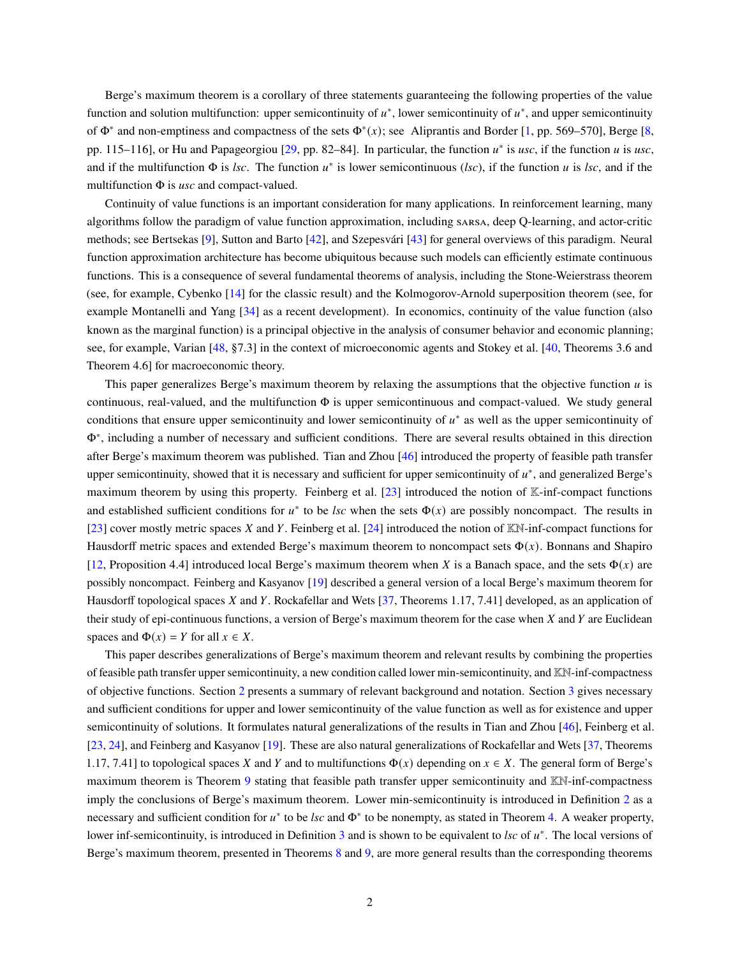Berge's maximum theorem is a corollary of three statements guaranteeing the following properties of the value function and solution multifunction: upper semicontinuity of  $u^*$ , lower semicontinuity of  $u^*$ , and upper semicontinuity of  $\Phi^*$  and non-emptiness and compactness of the sets  $\Phi^*(x)$ ; see Aliprantis and Border [\[1,](#page-24-1) pp. 569–570], Berge [\[8,](#page-24-0) pp. 115–116], or Hu and Papageorgiou [\[29,](#page-26-0) pp. 82–84]. In particular, the function  $u^*$  is usc, if the function u is usc, and if the multifunction  $\Phi$  is *lsc*. The function  $u^*$  is lower semicontinuous (*lsc*), if the function  $u$  is *lsc*, and if the multifunction Φ is *usc* and compact-valued.

Continuity of value functions is an important consideration for many applications. In reinforcement learning, many algorithms follow the paradigm of value function approximation, including sarsa, deep Q-learning, and actor-critic methods; see Bertsekas [\[9\]](#page-25-0), Sutton and Barto [\[42\]](#page-26-1), and Szepesvári [\[43\]](#page-26-2) for general overviews of this paradigm. Neural function approximation architecture has become ubiquitous because such models can efficiently estimate continuous functions. This is a consequence of several fundamental theorems of analysis, including the Stone-Weierstrass theorem (see, for example, Cybenko [\[14\]](#page-25-1) for the classic result) and the Kolmogorov-Arnold superposition theorem (see, for example Montanelli and Yang [\[34\]](#page-26-3) as a recent development). In economics, continuity of the value function (also known as the marginal function) is a principal objective in the analysis of consumer behavior and economic planning; see, for example, Varian [\[48,](#page-27-0) §7.3] in the context of microeconomic agents and Stokey et al. [\[40,](#page-26-4) Theorems 3.6 and Theorem 4.6] for macroeconomic theory.

This paper generalizes Berge's maximum theorem by relaxing the assumptions that the objective function  $u$  is continuous, real-valued, and the multifunction  $\Phi$  is upper semicontinuous and compact-valued. We study general conditions that ensure upper semicontinuity and lower semicontinuity of  $u^*$  as well as the upper semicontinuity of Φ∗ , including a number of necessary and sufficient conditions. There are several results obtained in this direction after Berge's maximum theorem was published. Tian and Zhou [\[46\]](#page-27-1) introduced the property of feasible path transfer upper semicontinuity, showed that it is necessary and sufficient for upper semicontinuity of  $u^*$ , and generalized Berge's maximum theorem by using this property. Feinberg et al. [\[23\]](#page-25-2) introduced the notion of K-inf-compact functions and established sufficient conditions for  $u^*$  to be *lsc* when the sets  $\Phi(x)$  are possibly noncompact. The results in [\[23\]](#page-25-2) cover mostly metric spaces X and Y. Feinberg et al. [\[24\]](#page-25-3) introduced the notion of  $\mathbb{K}\mathbb{N}$ -inf-compact functions for Hausdorff metric spaces and extended Berge's maximum theorem to noncompact sets  $\Phi(x)$ . Bonnans and Shapiro [\[12,](#page-25-4) Proposition 4.4] introduced local Berge's maximum theorem when X is a Banach space, and the sets  $\Phi(x)$  are possibly noncompact. Feinberg and Kasyanov [\[19\]](#page-25-5) described a general version of a local Berge's maximum theorem for Hausdorff topological spaces X and Y. Rockafellar and Wets  $[37,$  Theorems 1.17, 7.41] developed, as an application of their study of epi-continuous functions, a version of Berge's maximum theorem for the case when  $X$  and  $Y$  are Euclidean spaces and  $\Phi(x) = Y$  for all  $x \in X$ .

This paper describes generalizations of Berge's maximum theorem and relevant results by combining the properties of feasible path transfer upper semicontinuity, a new condition called lower min-semicontinuity, and KN-inf-compactness of objective functions. Section [2](#page-2-0) presents a summary of relevant background and notation. Section [3](#page-3-0) gives necessary and sufficient conditions for upper and lower semicontinuity of the value function as well as for existence and upper semicontinuity of solutions. It formulates natural generalizations of the results in Tian and Zhou [\[46\]](#page-27-1), Feinberg et al. [\[23,](#page-25-2) [24\]](#page-25-3), and Feinberg and Kasyanov [\[19\]](#page-25-5). These are also natural generalizations of Rockafellar and Wets [\[37,](#page-26-5) Theorems 1.17, 7.41] to topological spaces X and Y and to multifunctions  $\Phi(x)$  depending on  $x \in X$ . The general form of Berge's maximum theorem is Theorem [9](#page-10-0) stating that feasible path transfer upper semicontinuity and KN-inf-compactness imply the conclusions of Berge's maximum theorem. Lower min-semicontinuity is introduced in Definition [2](#page-5-0) as a necessary and sufficient condition for  $u^*$  to be *lsc* and  $\Phi^*$  to be nonempty, as stated in Theorem [4.](#page-6-0) A weaker property, lower inf-semicontinuity, is introduced in Definition [3](#page-5-1) and is shown to be equivalent to *lsc* of  $u^*$ . The local versions of Berge's maximum theorem, presented in Theorems [8](#page-10-1) and [9,](#page-10-0) are more general results than the corresponding theorems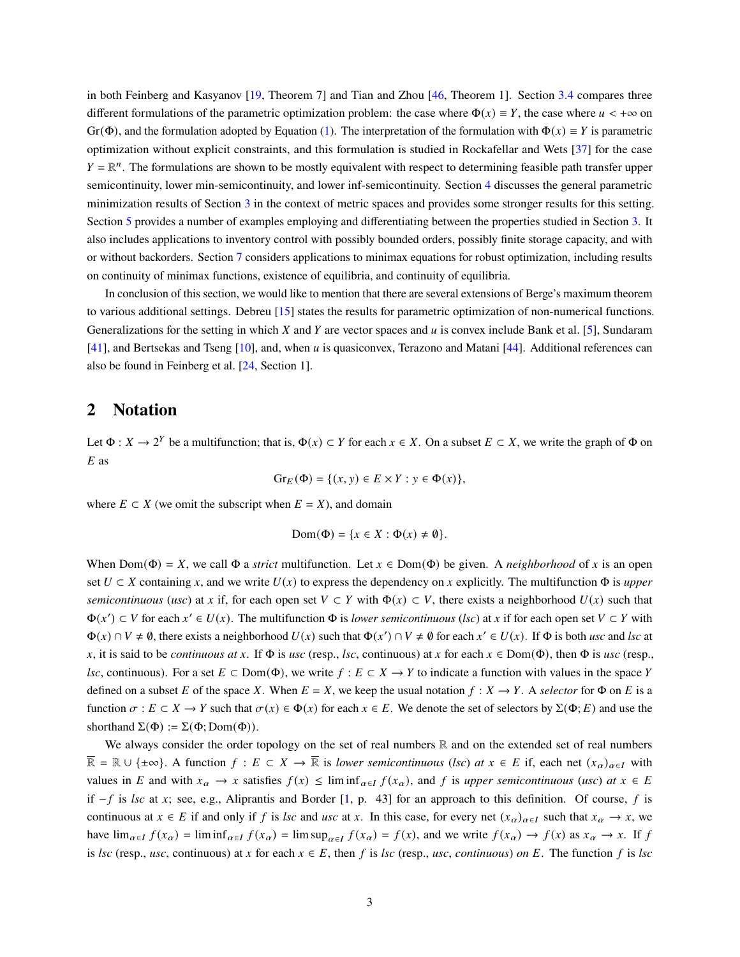in both Feinberg and Kasyanov [\[19,](#page-25-5) Theorem 7] and Tian and Zhou [\[46,](#page-27-1) Theorem 1]. Section [3.4](#page-10-2) compares three different formulations of the parametric optimization problem: the case where  $\Phi(x) \equiv Y$ , the case where  $u < +\infty$  on Gr(Φ), and the formulation adopted by Equation [\(1\)](#page-0-0). The interpretation of the formulation with  $\Phi(x) \equiv Y$  is parametric optimization without explicit constraints, and this formulation is studied in Rockafellar and Wets [\[37\]](#page-26-5) for the case  $Y = \mathbb{R}^n$ . The formulations are shown to be mostly equivalent with respect to determining feasible path transfer upper semicontinuity, lower min-semicontinuity, and lower inf-semicontinuity. Section [4](#page-12-0) discusses the general parametric minimization results of Section [3](#page-3-0) in the context of metric spaces and provides some stronger results for this setting. Section [5](#page-14-0) provides a number of examples employing and differentiating between the properties studied in Section [3.](#page-3-0) It also includes applications to inventory control with possibly bounded orders, possibly finite storage capacity, and with or without backorders. Section [7](#page-19-0) considers applications to minimax equations for robust optimization, including results on continuity of minimax functions, existence of equilibria, and continuity of equilibria.

In conclusion of this section, we would like to mention that there are several extensions of Berge's maximum theorem to various additional settings. Debreu [\[15\]](#page-25-6) states the results for parametric optimization of non-numerical functions. Generalizations for the setting in which X and Y are vector spaces and  $u$  is convex include Bank et al. [\[5\]](#page-24-2), Sundaram [\[41\]](#page-26-6), and Bertsekas and Tseng [\[10\]](#page-25-7), and, when  $u$  is quasiconvex, Terazono and Matani [\[44\]](#page-27-2). Additional references can also be found in Feinberg et al. [\[24,](#page-25-3) Section 1].

### <span id="page-2-0"></span>**2 Notation**

Let  $\Phi: X \to 2^Y$  be a multifunction; that is,  $\Phi(x) \subset Y$  for each  $x \in X$ . On a subset  $E \subset X$ , we write the graph of  $\Phi$  on  $E$  as

$$
\mathrm{Gr}_E(\Phi) = \{ (x, y) \in E \times Y : y \in \Phi(x) \},
$$

where  $E \subset X$  (we omit the subscript when  $E = X$ ), and domain

$$
Dom(\Phi) = \{x \in X : \Phi(x) \neq \emptyset\}.
$$

When Dom( $\Phi$ ) = X, we call  $\Phi$  a *strict* multifunction. Let  $x \in Dom(\Phi)$  be given. A *neighborhood* of x is an open set  $U \subset X$  containing x, and we write  $U(x)$  to express the dependency on x explicitly. The multifunction  $\Phi$  is *upper semicontinuous* (*usc*) at x if, for each open set  $V \subset Y$  with  $\Phi(x) \subset V$ , there exists a neighborhood  $U(x)$  such that  $\Phi(x') \subset V$  for each  $x' \in U(x)$ . The multifunction  $\Phi$  is *lower semicontinuous* (*lsc*) at x if for each open set  $V \subset Y$  with  $\Phi(x) \cap V \neq \emptyset$ , there exists a neighborhood  $U(x)$  such that  $\Phi(x') \cap V \neq \emptyset$  for each  $x' \in U(x)$ . If  $\Phi$  is both *usc* and *lsc* at x, it is said to be *continuous at* x. If  $\Phi$  is *usc* (resp., *lsc*, continuous) at x for each  $x \in Dom(\Phi)$ , then  $\Phi$  is *usc* (resp., *lsc*, continuous). For a set  $E \subset Dom(\Phi)$ , we write  $f : E \subset X \to Y$  to indicate a function with values in the space Y defined on a subset E of the space X. When  $E = X$ , we keep the usual notation  $f: X \to Y$ . A *selector* for  $\Phi$  on E is a function  $\sigma : E \subset X \to Y$  such that  $\sigma(x) \in \Phi(x)$  for each  $x \in E$ . We denote the set of selectors by  $\Sigma(\Phi; E)$  and use the shorthand  $\Sigma(\Phi) := \Sigma(\Phi; \text{Dom}(\Phi)).$ 

We always consider the order topology on the set of real numbers  $\mathbb R$  and on the extended set of real numbers  $\overline{\mathbb{R}} = \mathbb{R} \cup \{\pm \infty\}$ . A function  $f : E \subset X \to \overline{\mathbb{R}}$  is *lower semicontinuous* (*lsc*) *at*  $x \in E$  if, each net  $(x_\alpha)_{\alpha \in I}$  with values in E and with  $x_\alpha \to x$  satisfies  $f(x) \leq \liminf_{\alpha \in I} f(x_\alpha)$ , and f is *upper semicontinuous* (*usc*) *at*  $x \in E$ if  $−f$  is *lsc* at x; see, e.g., Aliprantis and Border [\[1,](#page-24-1) p. 43] for an approach to this definition. Of course, f is continuous at  $x \in E$  if and only if f is lsc and usc at x. In this case, for every net  $(x_\alpha)_{\alpha \in I}$  such that  $x_\alpha \to x$ , we have  $\lim_{\alpha \in I} f(x_{\alpha}) = \liminf_{\alpha \in I} f(x_{\alpha}) = \limsup_{\alpha \in I} f(x_{\alpha}) = f(x)$ , and we write  $f(x_{\alpha}) \to f(x)$  as  $x_{\alpha} \to x$ . If f is *lsc* (resp., *usc*, continuous) at x for each  $x \in E$ , then f is *lsc* (resp., *usc*, *continuous*) *on* E. The function f is *lsc*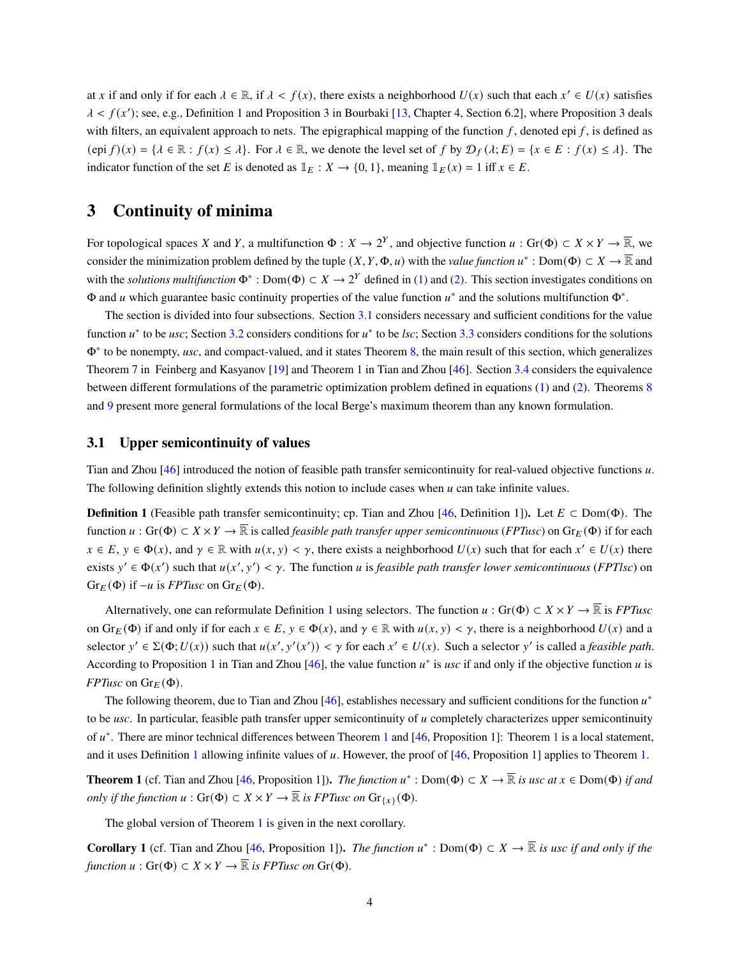at x if and only if for each  $\lambda \in \mathbb{R}$ , if  $\lambda < f(x)$ , there exists a neighborhood  $U(x)$  such that each  $x' \in U(x)$  satisfies  $\lambda < f(x')$ ; see, e.g., Definition 1 and Proposition 3 in Bourbaki [\[13,](#page-25-8) Chapter 4, Section 6.2], where Proposition 3 deals with filters, an equivalent approach to nets. The epigraphical mapping of the function  $f$ , denoted epi  $f$ , is defined as  $(\text{epi } f)(x) = \{ \lambda \in \mathbb{R} : f(x) \leq \lambda \}.$  For  $\lambda \in \mathbb{R}$ , we denote the level set of f by  $\mathcal{D}_f(\lambda; E) = \{ x \in E : f(x) \leq \lambda \}.$  The indicator function of the set E is denoted as  $\mathbb{1}_E : X \to \{0, 1\}$ , meaning  $\mathbb{1}_E(x) = 1$  iff  $x \in E$ .

### <span id="page-3-0"></span>**3 Continuity of minima**

For topological spaces X and Y, a multifunction  $\Phi: X \to 2^Y$ , and objective function  $u: Gr(\Phi) \subset X \times Y \to \overline{\mathbb{R}}$ , we consider the minimization problem defined by the tuple  $(X, Y, \Phi, u)$  with the *value function*  $u^* : Dom(\Phi) \subset X \to \overline{\mathbb{R}}$  and with the *solutions multifunction*  $\Phi^*$ : Dom $(\Phi) \subset X \to 2^Y$  defined in [\(1\)](#page-0-0) and [\(2\)](#page-0-1). This section investigates conditions on  $\Phi$  and *u* which guarantee basic continuity properties of the value function  $u^*$  and the solutions multifunction  $\Phi^*$ .

The section is divided into four subsections. Section [3.1](#page-3-1) considers necessary and sufficient conditions for the value function  $u^*$  to be *usc*; Section [3.2](#page-4-0) considers conditions for  $u^*$  to be *lsc*; Section [3.3](#page-9-0) considers conditions for the solutions Φ∗ to be nonempty, *usc*, and compact-valued, and it states Theorem [8,](#page-10-1) the main result of this section, which generalizes Theorem 7 in Feinberg and Kasyanov [\[19\]](#page-25-5) and Theorem 1 in Tian and Zhou [\[46\]](#page-27-1). Section [3.4](#page-10-2) considers the equivalence between different formulations of the parametric optimization problem defined in equations [\(1\)](#page-0-0) and [\(2\)](#page-0-1). Theorems [8](#page-10-1) and [9](#page-10-0) present more general formulations of the local Berge's maximum theorem than any known formulation.

### <span id="page-3-1"></span>**3.1 Upper semicontinuity of values**

Tian and Zhou  $[46]$  introduced the notion of feasible path transfer semicontinuity for real-valued objective functions  $u$ . The following definition slightly extends this notion to include cases when  $\mu$  can take infinite values.

<span id="page-3-2"></span>**Definition 1** (Feasible path transfer semicontinuity; cp. Tian and Zhou [\[46,](#page-27-1) Definition 1]). Let  $E \subset \text{Dom}(\Phi)$ . The function  $u : Gr(\Phi) \subset X \times Y \to \overline{\mathbb{R}}$  is called *feasible path transfer upper semicontinuous* (*FPTusc*) on  $Gr_E(\Phi)$  if for each  $x \in E$ ,  $y \in \Phi(x)$ , and  $\gamma \in \mathbb{R}$  with  $u(x, y) < \gamma$ , there exists a neighborhood  $U(x)$  such that for each  $x' \in U(x)$  there exists  $y' \in \Phi(x')$  such that  $u(x', y') < \gamma$ . The function *u* is *feasible path transfer lower semicontinuous* (*FPTlsc*) on  $Gr_E(\Phi)$  if  $-u$  is *FPTusc* on  $Gr_E(\Phi)$ .

Alternatively, one can reformulate Definition [1](#page-3-2) using selectors. The function  $u : Gr(\Phi) \subset X \times Y \to \overline{\mathbb{R}}$  is *FPTusc* on  $Gr_E(\Phi)$  if and only if for each  $x \in E$ ,  $y \in \Phi(x)$ , and  $\gamma \in \mathbb{R}$  with  $u(x, y) < \gamma$ , there is a neighborhood  $U(x)$  and a selector  $y' \in \Sigma(\Phi; U(x))$  such that  $u(x', y'(x')) < \gamma$  for each  $x' \in U(x)$ . Such a selector y' is called a *feasible path*. According to Proposition 1 in Tian and Zhou  $[46]$ , the value function  $u^*$  is usc if and only if the objective function u is *FPTusc* on  $\text{Gr}_E(\Phi)$ .

The following theorem, due to Tian and Zhou [\[46\]](#page-27-1), establishes necessary and sufficient conditions for the function  $u^*$ to be  $usc$ . In particular, feasible path transfer upper semicontinuity of  $u$  completely characterizes upper semicontinuity of  $u^*$ . There are minor technical differences between Theorem [1](#page-3-3) and [\[46,](#page-27-1) Proposition 1]: Theorem 1 is a local statement, and it uses Definition [1](#page-3-2) allowing infinite values of  $u$ . However, the proof of [\[46,](#page-27-1) Proposition 1] applies to Theorem [1.](#page-3-3)

<span id="page-3-3"></span>**Theorem 1** (cf. Tian and Zhou [\[46,](#page-27-1) Proposition 1]). *The function*  $u^*$ : Dom( $\Phi$ )  $\subset X \to \overline{\mathbb{R}}$  *is usc at*  $x \in \text{Dom}(\Phi)$  *if and only if the function*  $u : Gr(\Phi) \subset X \times Y \to \overline{\mathbb{R}}$  *is FPTusc on*  $Gr_{\{x\}}(\Phi)$ *.* 

The global version of Theorem [1](#page-3-3) is given in the next corollary.

**Corollary 1** (cf. Tian and Zhou [\[46,](#page-27-1) Proposition 1]). *The function*  $u^*$ : Dom( $\Phi$ )  $\subset X \to \overline{\mathbb{R}}$  *is usc if and only if the function*  $u : Gr(\Phi) \subset X \times Y \to \overline{\mathbb{R}}$  *is FPTusc on* Gr( $\Phi$ ).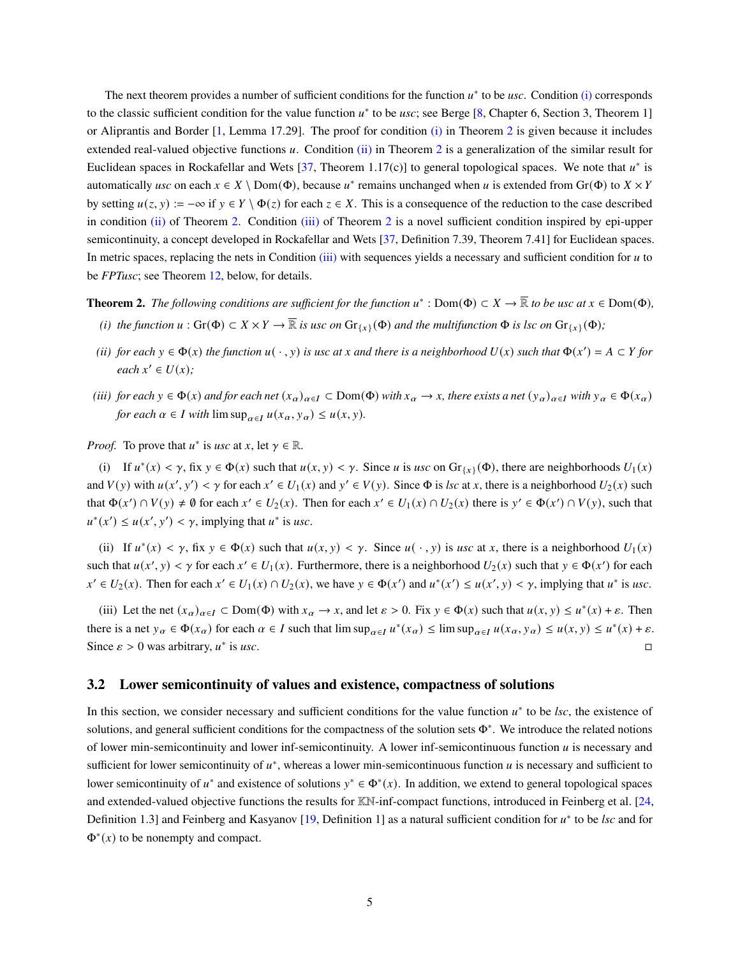The next theorem provides a number of sufficient conditions for the function  $u^*$  to be *usc*. Condition  $(i)$  corresponds to the classic sufficient condition for the value function  $u^*$  to be *usc*; see Berge [\[8,](#page-24-0) Chapter 6, Section 3, Theorem 1] or Aliprantis and Border [\[1,](#page-24-1) Lemma 17.29]. The proof for condition [\(i\)](#page-4-1) in Theorem [2](#page-4-2) is given because it includes extended real-valued objective functions  $u$ . Condition [\(ii\)](#page-4-3) in Theorem [2](#page-4-2) is a generalization of the similar result for Euclidean spaces in Rockafellar and Wets [\[37,](#page-26-5) Theorem 1.17(c)] to general topological spaces. We note that  $u^*$  is automatically *usc* on each  $x \in X \setminus \text{Dom}(\Phi)$ , because  $u^*$  remains unchanged when u is extended from Gr( $\Phi$ ) to  $X \times Y$ by setting  $u(z, y) := -\infty$  if  $y \in Y \setminus \Phi(z)$  for each  $z \in X$ . This is a consequence of the reduction to the case described in condition [\(ii\)](#page-4-3) of Theorem [2.](#page-4-2) Condition [\(iii\)](#page-4-2) of Theorem [2](#page-4-2) is a novel sufficient condition inspired by epi-upper semicontinuity, a concept developed in Rockafellar and Wets [\[37,](#page-26-5) Definition 7.39, Theorem 7.41] for Euclidean spaces. In metric spaces, replacing the nets in Condition [\(iii\)](#page-4-2) with sequences yields a necessary and sufficient condition for  $u$  to be *FPTusc*; see Theorem [12,](#page-12-1) below, for details.

<span id="page-4-1"></span>**Theorem 2.** The following conditions are sufficient for the function  $u^*$ : Dom( $\Phi$ )  $\subset X \to \overline{\mathbb{R}}$  to be usc at  $x \in \text{Dom}(\Phi)$ , *(i) the function*  $u : Gr(\Phi) \subset X \times Y \to \overline{\mathbb{R}}$  *is usc on*  $Gr_{\{x\}}(\Phi)$  *and the multifunction*  $\Phi$  *is lsc on*  $Gr_{\{x\}}(\Phi)$ *;* 

- <span id="page-4-3"></span>*(ii) for each*  $y \in \Phi(x)$  *the function*  $u(\cdot, y)$  *is usc at x and there is a neighborhood*  $U(x)$  *such that*  $\Phi(x') = A \subset Y$  *for*  $\textit{each } x' \in U(x);$
- <span id="page-4-2"></span>*(iii) for each*  $y \in \Phi(x)$  *and for each net*  $(x_\alpha)_{\alpha \in I} \subset Dom(\Phi)$  *with*  $x_\alpha \to x$ , there exists a net  $(y_\alpha)_{\alpha \in I}$  with  $y_\alpha \in \Phi(x_\alpha)$ *for each*  $\alpha \in I$  *with*  $\limsup_{\alpha \in I} u(x_\alpha, y_\alpha) \leq u(x, y)$ *.*

*Proof.* To prove that  $u^*$  is *usc* at  $x$ , let  $\gamma \in \mathbb{R}$ .

(i) If  $u^*(x) < \gamma$ , fix  $y \in \Phi(x)$  such that  $u(x, y) < \gamma$ . Since u is usc on  $Gr_{\{x\}}(\Phi)$ , there are neighborhoods  $U_1(x)$ and  $V(y)$  with  $u(x', y') < \gamma$  for each  $x' \in U_1(x)$  and  $y' \in V(y)$ . Since  $\Phi$  is *lsc* at x, there is a neighborhood  $U_2(x)$  such that  $\Phi(x') \cap V(y) \neq \emptyset$  for each  $x' \in U_2(x)$ . Then for each  $x' \in U_1(x) \cap U_2(x)$  there is  $y' \in \Phi(x') \cap V(y)$ , such that  $u^*(x') \le u(x', y') < \gamma$ , implying that  $u^*$  is usc.

(ii) If  $u^*(x) < \gamma$ , fix  $y \in \Phi(x)$  such that  $u(x, y) < \gamma$ . Since  $u(\cdot, y)$  is *usc* at x, there is a neighborhood  $U_1(x)$ such that  $u(x', y) < \gamma$  for each  $x' \in U_1(x)$ . Furthermore, there is a neighborhood  $U_2(x)$  such that  $y \in \Phi(x')$  for each  $x' \in U_2(x)$ . Then for each  $x' \in U_1(x) \cap U_2(x)$ , we have  $y \in \Phi(x')$  and  $u^*(x') \le u(x', y) < \gamma$ , implying that  $u^*$  is usc.

(iii) Let the net  $(x_\alpha)_{\alpha \in I} \subset \text{Dom}(\Phi)$  with  $x_\alpha \to x$ , and let  $\varepsilon > 0$ . Fix  $y \in \Phi(x)$  such that  $u(x, y) \le u^*(x) + \varepsilon$ . Then there is a net  $y_{\alpha} \in \Phi(x_{\alpha})$  for each  $\alpha \in I$  such that  $\limsup_{\alpha \in I} u^*(x_{\alpha}) \leq \limsup_{\alpha \in I} u(x_{\alpha}, y_{\alpha}) \leq u(x, y) \leq u^*(x) + \varepsilon$ . Since  $\varepsilon > 0$  was arbitrary,  $u^*$ is *usc*.

### <span id="page-4-0"></span>**3.2 Lower semicontinuity of values and existence, compactness of solutions**

In this section, we consider necessary and sufficient conditions for the value function  $u^*$  to be  $\textit{lsc}$ , the existence of solutions, and general sufficient conditions for the compactness of the solution sets Φ<sup>∗</sup>. We introduce the related notions of lower min-semicontinuity and lower inf-semicontinuity. A lower inf-semicontinuous function  $u$  is necessary and sufficient for lower semicontinuity of  $u^*$ , whereas a lower min-semicontinuous function  $u$  is necessary and sufficient to lower semicontinuity of  $u^*$  and existence of solutions  $y^* \in \Phi^*(x)$ . In addition, we extend to general topological spaces and extended-valued objective functions the results for KN-inf-compact functions, introduced in Feinberg et al. [\[24,](#page-25-3) Definition 1.3] and Feinberg and Kasyanov [\[19,](#page-25-5) Definition 1] as a natural sufficient condition for  $u^*$  to be *lsc* and for  $\Phi^*(x)$  to be nonempty and compact.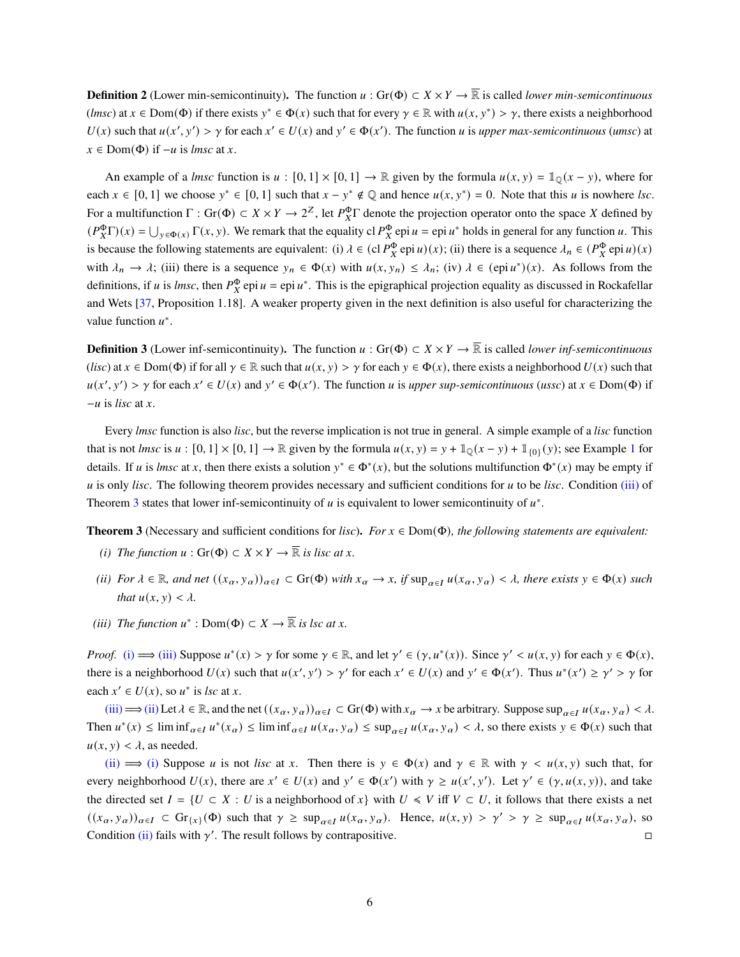<span id="page-5-0"></span>**Definition 2** (Lower min-semicontinuity). The function  $u : Gr(\Phi) \subset X \times Y \to \overline{\mathbb{R}}$  is called *lower min-semicontinuous* (*lmsc*) at  $x \in Dom(\Phi)$  if there exists  $y^* \in \Phi(x)$  such that for every  $\gamma \in \mathbb{R}$  with  $u(x, y^*) > \gamma$ , there exists a neighborhood  $U(x)$  such that  $u(x', y') > \gamma$  for each  $x' \in U(x)$  and  $y' \in \Phi(x')$ . The function u is upper max-semicontinuous (umsc) at  $x \in Dom(\Phi)$  if  $-u$  is *lmsc* at x.

An example of a *lmsc* function is  $u : [0, 1] \times [0, 1] \rightarrow \mathbb{R}$  given by the formula  $u(x, y) = \mathbb{1}_{\mathbb{Q}}(x - y)$ , where for each  $x \in [0, 1]$  we choose  $y^* \in [0, 1]$  such that  $x - y^* \notin \mathbb{Q}$  and hence  $u(x, y^*) = 0$ . Note that this u is nowhere lsc. For a multifunction  $\Gamma$ : Gr( $\Phi$ )  $\subset X \times Y \to 2^Z$ , let  $P_X^{\Phi} \Gamma$  denote the projection operator onto the space X defined by  $(P_X^{\Phi} \Gamma)(x) = \bigcup_{y \in \Phi(x)} \Gamma(x, y)$ . We remark that the equality cl  $P_X^{\Phi}$ epi  $u = \text{epi } u^*$  holds in general for any function u. This is because the following statements are equivalent: (i)  $\lambda \in (c \, P_X^{\Phi} \, epi \, u)(x)$ ; (ii) there is a sequence  $\lambda_n \in (P_X^{\Phi} \, epi \, u)(x)$ with  $\lambda_n \to \lambda$ ; (iii) there is a sequence  $y_n \in \Phi(x)$  with  $u(x, y_n) \leq \lambda_n$ ; (iv)  $\lambda \in (\text{epi } u^*)(x)$ . As follows from the definitions, if *u* is *lmsc*, then  $P_X^{\Phi}$  epi  $u =$  epi  $u^*$ . This is the epigraphical projection equality as discussed in Rockafellar and Wets [\[37,](#page-26-5) Proposition 1.18]. A weaker property given in the next definition is also useful for characterizing the value function  $u^*$ .

<span id="page-5-1"></span>**Definition 3** (Lower inf-semicontinuity). The function  $u : Gr(\Phi) \subset X \times Y \to \overline{\mathbb{R}}$  is called *lower inf-semicontinuous* (*lisc*) at  $x \in \text{Dom}(\Phi)$  if for all  $\gamma \in \mathbb{R}$  such that  $u(x, y) > \gamma$  for each  $y \in \Phi(x)$ , there exists a neighborhood  $U(x)$  such that  $u(x', y') > \gamma$  for each  $x' \in U(x)$  and  $y' \in \Phi(x')$ . The function *u* is *upper sup-semicontinuous* (*ussc*) at  $x \in Dom(\Phi)$  if  $-u$  is *lisc* at x.

Every *lmsc* function is also *lisc*, but the reverse implication is not true in general. A simple example of a *lisc* function that is not *lmsc* is  $u : [0, 1] \times [0, 1] \rightarrow \mathbb{R}$  $u : [0, 1] \times [0, 1] \rightarrow \mathbb{R}$  $u : [0, 1] \times [0, 1] \rightarrow \mathbb{R}$  given by the formula  $u(x, y) = y + 1_0(x - y) + 1_{0}y(y)$ ; see Example 1 for details. If *u* is *lmsc* at *x*, then there exists a solution  $y^* \in \Phi^*(x)$ , but the solutions multifunction  $\Phi^*(x)$  may be empty if is only *lisc*. The following theorem provides necessary and sufficient conditions for to be *lisc*. Condition [\(iii\)](#page-5-2) of Theorem [3](#page-5-2) states that lower inf-semicontinuity of u is equivalent to lower semicontinuity of  $u^*$ .

<span id="page-5-3"></span>**Theorem 3** (Necessary and sufficient conditions for *lisc*). *For*  $x \in Dom(\Phi)$ *, the following statements are equivalent:* 

- *(i) The function*  $u : Gr(\Phi) \subset X \times Y \to \overline{\mathbb{R}}$  *is lisc at x.*
- <span id="page-5-4"></span>*(ii) For*  $\lambda \in \mathbb{R}$ *, and net*  $((x_{\alpha}, y_{\alpha}))_{\alpha \in I} \subset \text{Gr}(\Phi)$  *with*  $x_{\alpha} \to x$ *, if*  $\sup_{\alpha \in I} u(x_{\alpha}, y_{\alpha}) < \lambda$ *, there exists*  $y \in \Phi(x)$  *such that*  $u(x, y) < \lambda$ *.*
- <span id="page-5-2"></span>(*iii*) *The function*  $u^*$  : Dom( $\Phi$ )  $\subset X \to \overline{\mathbb{R}}$  *is lsc at x.*

*Proof.* [\(i\)](#page-5-3)  $\implies$  [\(iii\)](#page-5-2) Suppose  $u^*(x) > \gamma$  for some  $\gamma \in \mathbb{R}$ , and let  $\gamma' \in (\gamma, u^*(x))$ . Since  $\gamma' < u(x, y)$  for each  $y \in \Phi(x)$ , there is a neighborhood  $U(x)$  such that  $u(x', y') > y'$  for each  $x' \in U(x)$  and  $y' \in \Phi(x')$ . Thus  $u^*(x') \ge y' > y$  for each  $x' \in U(x)$ , so  $u^*$  is *lsc* at *x*.

[\(iii\)](#page-5-2)  $\implies$  [\(ii\)](#page-5-4) Let  $\lambda \in \mathbb{R}$ , and the net  $((x_{\alpha}, y_{\alpha}))_{\alpha \in I} \subset Gr(\Phi)$  with  $x_{\alpha} \to x$  be arbitrary. Suppose sup $_{\alpha \in I} u(x_{\alpha}, y_{\alpha}) < \lambda$ . Then  $u^*(x) \leq \liminf_{\alpha \in I} u^*(x_\alpha) \leq \liminf_{\alpha \in I} u(x_\alpha, y_\alpha) \leq \sup_{\alpha \in I} u(x_\alpha, y_\alpha) < \lambda$ , so there exists  $y \in \Phi(x)$  such that  $u(x, y) < \lambda$ , as needed.

[\(ii\)](#page-5-4)  $\implies$  [\(i\)](#page-5-3) Suppose *u* is not *lisc* at *x*. Then there is  $y \in \Phi(x)$  and  $\gamma \in \mathbb{R}$  with  $\gamma < u(x, y)$  such that, for every neighborhood  $U(x)$ , there are  $x' \in U(x)$  and  $y' \in \Phi(x')$  with  $\gamma \geq u(x', y')$ . Let  $\gamma' \in (\gamma, u(x, y))$ , and take the directed set  $I = \{ U \subset X : U$  is a neighborhood of  $x \}$  with  $U \leq V$  iff  $V \subset U$ , it follows that there exists a net  $((x_{\alpha}, y_{\alpha}))_{\alpha \in I} \subset \text{Gr}_{\{x\}}(\Phi)$  such that  $\gamma \geq \sup_{\alpha \in I} u(x_{\alpha}, y_{\alpha})$ . Hence,  $u(x, y) > \gamma' > \gamma \geq \sup_{\alpha \in I} u(x_{\alpha}, y_{\alpha})$ , so Condition [\(ii\)](#page-5-4) fails with  $\gamma'$ . The result follows by contrapositive.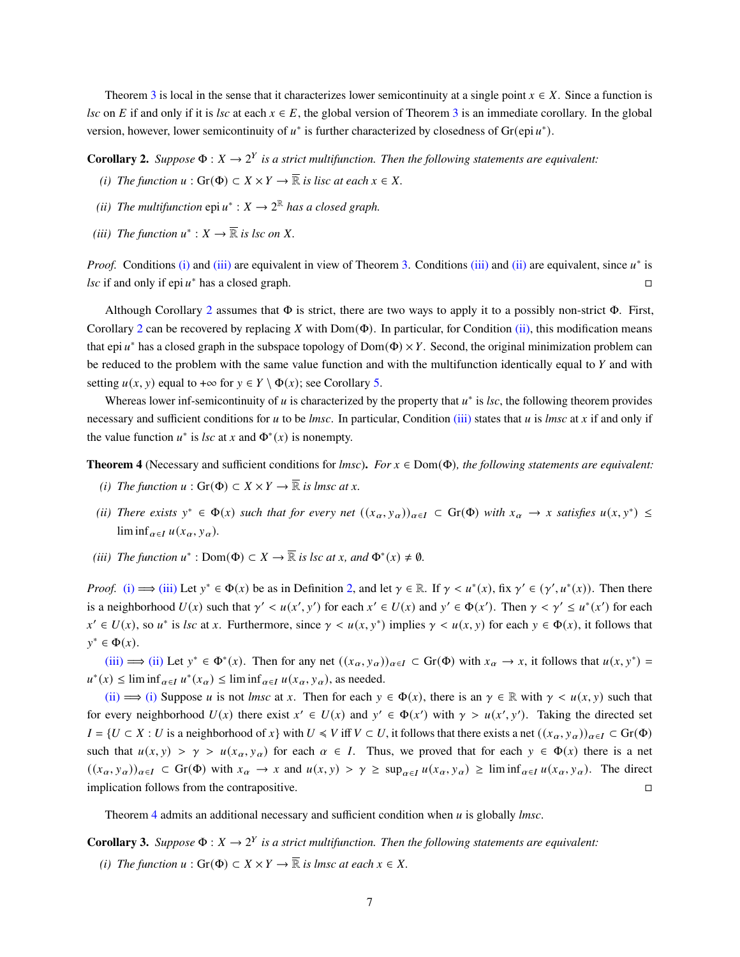Theorem [3](#page-5-2) is local in the sense that it characterizes lower semicontinuity at a single point  $x \in X$ . Since a function is *lsc* on *E* if and only if it is *lsc* at each  $x \in E$ , the global version of Theorem [3](#page-5-2) is an immediate corollary. In the global version, however, lower semicontinuity of  $u^*$  is further characterized by closedness of Gr(epi $u^*$ ).

<span id="page-6-1"></span>**Corollary 2.** Suppose  $\Phi: X \to 2^Y$  is a strict multifunction. Then the following statements are equivalent:

- *(i) The function*  $u : Gr(\Phi) \subset X \times Y \to \overline{\mathbb{R}}$  *is lisc at each*  $x \in X$ *.*
- <span id="page-6-3"></span>(*ii*) The multifunction  $epi u^* : X \to 2^{\mathbb{R}}$  has a closed graph.
- <span id="page-6-2"></span>*(iii)* The function  $u^* : X \to \overline{\mathbb{R}}$  is lsc on X.

*Proof.* Conditions [\(i\)](#page-6-1) and [\(iii\)](#page-6-2) are equivalent in view of Theorem [3.](#page-5-2) Conditions (iii) and [\(ii\)](#page-6-3) are equivalent, since  $u^*$  is *lsc* if and only if epi  $u^*$  has a closed graph.

Although Corollary [2](#page-6-2) assumes that  $\Phi$  is strict, there are two ways to apply it to a possibly non-strict  $\Phi$ . First, Corollary [2](#page-6-2) can be recovered by replacing X with Dom( $\Phi$ ). In particular, for Condition [\(ii\),](#page-6-3) this modification means that epi  $u^*$  has a closed graph in the subspace topology of  $Dom(\Phi) \times Y$ . Second, the original minimization problem can be reduced to the problem with the same value function and with the multifunction identically equal to  $Y$  and with setting  $u(x, y)$  equal to +∞ for  $y \in Y \setminus \Phi(x)$ ; see Corollary [5.](#page-12-2)

Whereas lower inf-semicontinuity of  $u$  is characterized by the property that  $u^*$  is  $\textit{lsc}$ , the following theorem provides necessary and sufficient conditions for *u* to be *lmsc*. In particular, Condition [\(iii\)](#page-6-0) states that *u* is *lmsc* at *x* if and only if the value function  $u^*$  is *lsc* at x and  $\Phi^*(x)$  is nonempty.

<span id="page-6-4"></span>**Theorem 4** (Necessary and sufficient conditions for *lmsc*). *For*  $x \in Dom(\Phi)$ *, the following statements are equivalent:* 

- *(i) The function*  $u : Gr(\Phi) \subset X \times Y \to \overline{\mathbb{R}}$  *is lmsc at x.*
- <span id="page-6-5"></span>(*ii*) *There exists*  $y^* \in \Phi(x)$  *such that for every net*  $((x_\alpha, y_\alpha))_{\alpha \in I} \subset Gr(\Phi)$  *with*  $x_\alpha \to x$  *satisfies*  $u(x, y^*) \leq$  $\liminf_{\alpha \in I} u(x_\alpha, y_\alpha)$ .
- <span id="page-6-0"></span>(*iii*) *The function*  $u^*$ : Dom( $\Phi$ )  $\subset X \to \overline{\mathbb{R}}$  *is lsc at x, and*  $\Phi^*(x) \neq \emptyset$ *.*

*Proof.* [\(i\)](#page-6-4)  $\implies$  [\(iii\)](#page-6-0) Let  $y^* \in \Phi(x)$  be as in Definition [2,](#page-5-0) and let  $\gamma \in \mathbb{R}$ . If  $\gamma < u^*(x)$ , fix  $\gamma' \in (\gamma', u^*(x))$ . Then there is a neighborhood  $U(x)$  such that  $\gamma' < u(x', y')$  for each  $x' \in U(x)$  and  $y' \in \Phi(x')$ . Then  $\gamma < \gamma' \leq u^*(x')$  for each  $x' \in U(x)$ , so  $u^*$  is *lsc* at x. Furthermore, since  $\gamma < u(x, y^*)$  implies  $\gamma < u(x, y)$  for each  $y \in \Phi(x)$ , it follows that  $y^* \in \Phi(x)$ .

[\(iii\)](#page-6-0)  $\implies$  [\(ii\)](#page-6-5) Let  $y^* \in \Phi^*(x)$ . Then for any net  $((x_\alpha, y_\alpha))_{\alpha \in I} \subset \text{Gr}(\Phi)$  with  $x_\alpha \to x$ , it follows that  $u(x, y^*) =$  $u^*(x) \leq \liminf_{\alpha \in I} u^*(x_\alpha) \leq \liminf_{\alpha \in I} u(x_\alpha, y_\alpha)$ , as needed.

[\(ii\)](#page-6-5)  $\implies$  [\(i\)](#page-6-4) Suppose *u* is not *lmsc* at *x*. Then for each  $y \in \Phi(x)$ , there is an  $\gamma \in \mathbb{R}$  with  $\gamma < u(x, y)$  such that for every neighborhood  $U(x)$  there exist  $x' \in U(x)$  and  $y' \in \Phi(x')$  with  $\gamma > u(x', y')$ . Taking the directed set  $I = \{ U \subset X : U$  is a neighborhood of  $x \}$  with  $U \leq V$  iff  $V \subset U$ , it follows that there exists a net  $((x_{\alpha}, y_{\alpha}))_{\alpha \in I} \subset Gr(\Phi)$ such that  $u(x, y) > \gamma > u(x_\alpha, y_\alpha)$  for each  $\alpha \in I$ . Thus, we proved that for each  $y \in \Phi(x)$  there is a net  $((x_{\alpha}, y_{\alpha}))_{\alpha \in I} \subset \text{Gr}(\Phi)$  with  $x_{\alpha} \to x$  and  $u(x, y) > \gamma \ge \sup_{\alpha \in I} u(x_{\alpha}, y_{\alpha}) \ge \liminf_{\alpha \in I} u(x_{\alpha}, y_{\alpha})$ . The direct implication follows from the contrapositive.

Theorem [4](#page-6-0) admits an additional necessary and sufficient condition when is globally *lmsc*.

**Corollary 3.** Suppose  $\Phi: X \to 2^Y$  is a strict multifunction. Then the following statements are equivalent:

<span id="page-6-6"></span>*(i) The function*  $u : Gr(\Phi) \subset X \times Y \to \overline{\mathbb{R}}$  *is lmsc at each*  $x \in X$ .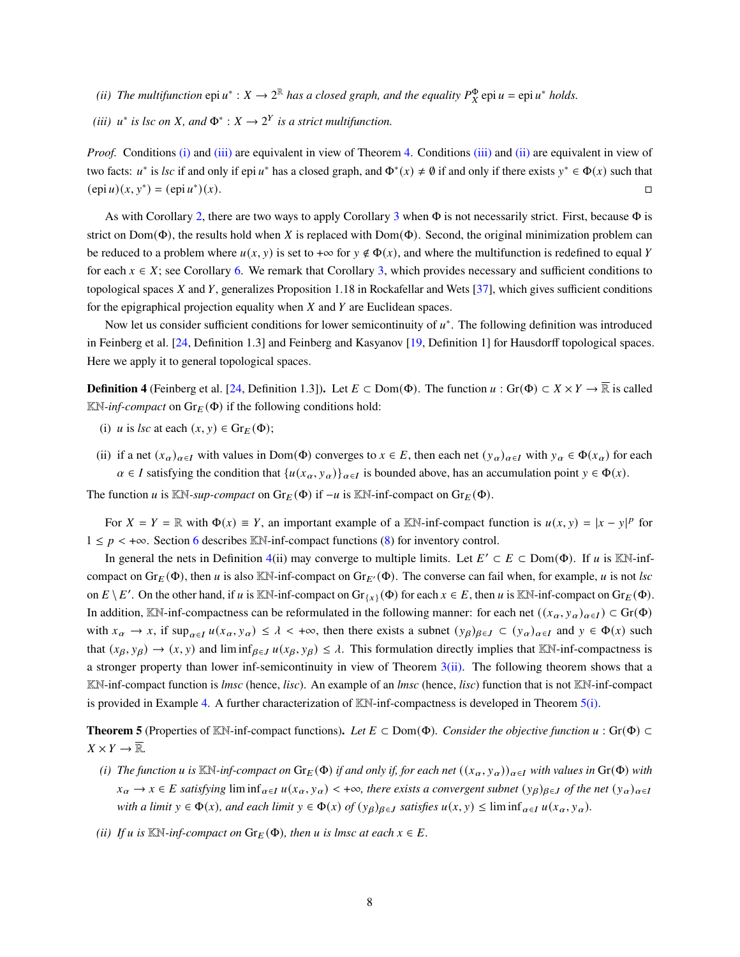- <span id="page-7-1"></span>(*ii*) The multifunction  $epi u^* : X \to 2^{\mathbb{R}}$  has a closed graph, and the equality  $P_X^{\Phi}$   $epi u = epi u^*$  holds.
- <span id="page-7-0"></span>(*iii*)  $u^*$  *is lsc on X*, and  $\Phi^*$  :  $X \to 2^Y$  *is a strict multifunction.*

*Proof.* Conditions [\(i\)](#page-6-6) and [\(iii\)](#page-7-0) are equivalent in view of Theorem [4.](#page-6-0) Conditions (iii) and [\(ii\)](#page-7-1) are equivalent in view of two facts:  $u^*$  is *lsc* if and only if epi  $u^*$  has a closed graph, and  $\Phi^*(x) \neq \emptyset$  if and only if there exists  $y^* \in \Phi(x)$  such that  $(\operatorname{epi} u)(x, y^*) = (\operatorname{epi} u^*$  $)(x).$ 

As with Corollary [2,](#page-6-2) there are two ways to apply Corollary [3](#page-7-0) when  $\Phi$  is not necessarily strict. First, because  $\Phi$  is strict on Dom( $\Phi$ ), the results hold when X is replaced with Dom( $\Phi$ ). Second, the original minimization problem can be reduced to a problem where  $u(x, y)$  is set to + $\infty$  for  $y \notin \Phi(x)$ , and where the multifunction is redefined to equal Y for each  $x \in X$ ; see Corollary [6.](#page-12-3) We remark that Corollary [3,](#page-7-0) which provides necessary and sufficient conditions to topological spaces X and Y, generalizes Proposition 1.18 in Rockafellar and Wets  $[37]$ , which gives sufficient conditions for the epigraphical projection equality when  $X$  and  $Y$  are Euclidean spaces.

Now let us consider sufficient conditions for lower semicontinuity of  $u^*$ . The following definition was introduced in Feinberg et al. [\[24,](#page-25-3) Definition 1.3] and Feinberg and Kasyanov [\[19,](#page-25-5) Definition 1] for Hausdorff topological spaces. Here we apply it to general topological spaces.

**Definition 4** (Feinberg et al. [\[24,](#page-25-3) Definition 1.3]). Let  $E \subset \text{Dom}(\Phi)$ . The function  $u : \text{Gr}(\Phi) \subset X \times Y \to \overline{\mathbb{R}}$  is called  $\mathbb{K}\mathbb{N}$ -*inf-compact* on  $\text{Gr}_E(\Phi)$  if the following conditions hold:

- (i) *u* is *lsc* at each  $(x, y) \in \text{Gr}_E(\Phi)$ ;
- <span id="page-7-2"></span>(ii) if a net  $(x_{\alpha})_{\alpha \in I}$  with values in Dom( $\Phi$ ) converges to  $x \in E$ , then each net  $(y_{\alpha})_{\alpha \in I}$  with  $y_{\alpha} \in \Phi(x_{\alpha})$  for each  $\alpha \in I$  satisfying the condition that  $\{u(x_\alpha, y_\alpha)\}_{\alpha \in I}$  is bounded above, has an accumulation point  $y \in \Phi(x)$ .

The function u is KN-sup-compact on  $Gr_F(\Phi)$  if  $-u$  is KN-inf-compact on  $Gr_F(\Phi)$ .

For  $X = Y = \mathbb{R}$  with  $\Phi(x) \equiv Y$ , an important example of a KN-inf-compact function is  $u(x, y) = |x - y|^p$  for  $1 \leq p \leq +\infty$ . Section [6](#page-16-0) describes KN-inf-compact functions [\(8\)](#page-17-0) for inventory control.

In general the nets in Definition [4\(](#page-7-2)ii) may converge to multiple limits. Let  $E' \subset E \subset \text{Dom}(\Phi)$ . If u is KN-infcompact on  $Gr_E(\Phi)$ , then u is also KN-inf-compact on  $Gr_{E'}(\Phi)$ . The converse can fail when, for example, u is not *lsc* on  $E \setminus E'$ . On the other hand, if u is KN-inf-compact on  $Gr_{\{x\}}(\Phi)$  for each  $x \in E$ , then u is KN-inf-compact on  $Gr_E(\Phi)$ . In addition, KN-inf-compactness can be reformulated in the following manner: for each net  $((x_{\alpha}, y_{\alpha})_{\alpha \in I}) \subset Gr(\Phi)$ with  $x_{\alpha} \to x$ , if  $\sup_{\alpha \in I} u(x_{\alpha}, y_{\alpha}) \leq \lambda < +\infty$ , then there exists a subnet  $(y_{\beta})_{\beta \in J} \subset (y_{\alpha})_{\alpha \in I}$  and  $y \in \Phi(x)$  such that  $(x_{\beta}, y_{\beta}) \rightarrow (x, y)$  and lim inf<sub>β $\epsilon J$ </sub>  $u(x_{\beta}, y_{\beta}) \leq \lambda$ . This formulation directly implies that KN-inf-compactness is a stronger property than lower inf-semicontinuity in view of Theorem [3](#page-5-2)[\(ii\).](#page-5-4) The following theorem shows that a KN-inf-compact function is *lmsc* (hence, *lisc*). An example of an *lmsc* (hence, *lisc*) function that is not KN-inf-compact is provided in Example [4.](#page-15-0) A further characterization of  $\mathbb{K}\mathbb{N}$ -inf-compactness is developed in Theorem [5](#page-7-3)[\(i\).](#page-7-4)

**Theorem 5** (Properties of KN-inf-compact functions). Let  $E \subset Dom(\Phi)$ . Consider the objective function  $u : Gr(\Phi) \subset$  $X \times Y \to \overline{\mathbb{R}}$ .

- <span id="page-7-4"></span>*(i) The function u is* KN-inf-compact on  $Gr_E(\Phi)$  *if and only if, for each net*  $((x_\alpha, y_\alpha))_{\alpha \in I}$  *with values in*  $Gr(\Phi)$  *with*  $x_{\alpha} \to x \in E$  satisfying  $\liminf_{\alpha \in I} u(x_{\alpha}, y_{\alpha}) < +\infty$ , there exists a convergent subnet  $(y_{\beta})_{\beta \in J}$  of the net  $(y_{\alpha})_{\alpha \in I}$ *with a limit*  $y \in \Phi(x)$ *, and each limit*  $y \in \Phi(x)$  *of*  $(y_\beta)_{\beta \in J}$  *satisfies*  $u(x, y) \leq \liminf_{\alpha \in I} u(x_\alpha, y_\alpha)$ *.*
- <span id="page-7-3"></span>*(ii) If*  $u$  *is*  $\mathbb{K}\mathbb{N}$ *-inf-compact on*  $\text{Gr}_E(\Phi)$ *, then*  $u$  *is lmsc at each*  $x \in E$ *.*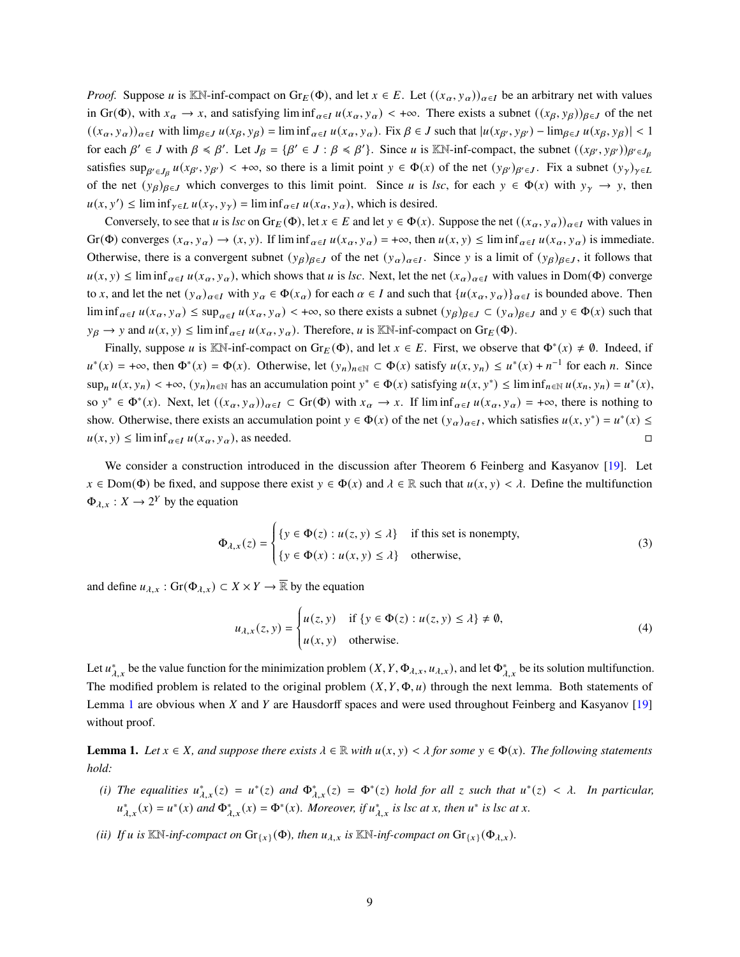*Proof.* Suppose u is KN-inf-compact on  $\text{Gr}_E(\Phi)$ , and let  $x \in E$ . Let  $((x_\alpha, y_\alpha))_{\alpha \in I}$  be an arbitrary net with values in Gr( $\Phi$ ), with  $x_{\alpha} \to x$ , and satisfying lim inf<sub>α∈I</sub>  $u(x_{\alpha}, y_{\alpha}) < +\infty$ . There exists a subnet  $((x_{\beta}, y_{\beta}))_{\beta \in J}$  of the net  $((x_{\alpha}, y_{\alpha}))_{\alpha \in I}$  with  $\lim_{\beta \in J} u(x_{\beta}, y_{\beta}) = \liminf_{\alpha \in I} u(x_{\alpha}, y_{\alpha})$ . Fix  $\beta \in J$  such that  $|u(x_{\beta'}, y_{\beta'}) - \lim_{\beta \in J} u(x_{\beta}, y_{\beta})| < 1$ for each  $\beta' \in J$  with  $\beta \le \beta'$ . Let  $J_{\beta} = {\beta' \in J : \beta \le \beta'}$ . Since u is KN-inf-compact, the subnet  $((x_{\beta'}, y_{\beta'}))_{\beta' \in J_{\beta}}$ satisfies  $\sup_{\beta' \in J_{\beta}} u(x_{\beta'}, y_{\beta'}) < +\infty$ , so there is a limit point  $y \in \Phi(x)$  of the net  $(y_{\beta'})_{\beta' \in J}$ . Fix a subnet  $(y_{\gamma})_{\gamma \in L}$ of the net  $(y_\beta)_{\beta \in J}$  which converges to this limit point. Since u is *lsc*, for each  $y \in \Phi(x)$  with  $y_\gamma \to y$ , then  $u(x, y') \le \liminf_{\gamma \in L} u(x_{\gamma}, y_{\gamma}) = \liminf_{\alpha \in L} u(x_{\alpha}, y_{\alpha})$ , which is desired.

Conversely, to see that *u* is *lsc* on Gr<sub>E</sub>( $\Phi$ ), let  $x \in E$  and let  $y \in \Phi(x)$ . Suppose the net  $((x_{\alpha}, y_{\alpha}))_{\alpha \in I}$  with values in Gr(Φ) converges  $(x_\alpha, y_\alpha) \to (x, y)$ . If  $\liminf_{\alpha \in I} u(x_\alpha, y_\alpha) = +\infty$ , then  $u(x, y) \leq \liminf_{\alpha \in I} u(x_\alpha, y_\alpha)$  is immediate. Otherwise, there is a convergent subnet  $(y_\beta)_{\beta \in J}$  of the net  $(y_\alpha)_{\alpha \in I}$ . Since y is a limit of  $(y_\beta)_{\beta \in J}$ , it follows that  $u(x, y) \le \liminf_{\alpha \in I} u(x_\alpha, y_\alpha)$ , which shows that u is *lsc*. Next, let the net  $(x_\alpha)_{\alpha \in I}$  with values in Dom( $\Phi$ ) converge to x, and let the net  $(y_\alpha)_{\alpha \in I}$  with  $y_\alpha \in \Phi(x_\alpha)$  for each  $\alpha \in I$  and such that  $\{u(x_\alpha, y_\alpha)\}_{\alpha \in I}$  is bounded above. Then lim inf<sub>α∈I</sub>  $u(x_\alpha, y_\alpha) \leq \sup_{\alpha \in I} u(x_\alpha, y_\alpha) < +\infty$ , so there exists a subnet  $(y_\beta)_{\beta \in J} \subset (y_\alpha)_{\beta \in J}$  and  $y \in \Phi(x)$  such that  $y_\beta \to y$  and  $u(x, y) \le \liminf_{\alpha \in I} u(x_\alpha, y_\alpha)$ . Therefore, u is KN-inf-compact on  $\text{Gr}_E(\Phi)$ .

Finally, suppose u is KN-inf-compact on  $Gr_E(\Phi)$ , and let  $x \in E$ . First, we observe that  $\Phi^*(x) \neq \emptyset$ . Indeed, if  $u^*(x) = +\infty$ , then  $\Phi^*(x) = \Phi(x)$ . Otherwise, let  $(y_n)_{n \in \mathbb{N}} \subset \Phi(x)$  satisfy  $u(x, y_n) \le u^*(x) + n^{-1}$  for each n. Since  $\sup_n u(x, y_n) < +\infty$ ,  $(y_n)_{n \in \mathbb{N}}$  has an accumulation point  $y^* \in \Phi(x)$  satisfying  $u(x, y^*) \leq \liminf_{n \in \mathbb{N}} u(x_n, y_n) = u^*(x)$ , so  $y^* \in \Phi^*(x)$ . Next, let  $((x_\alpha, y_\alpha))_{\alpha \in I} \subset \text{Gr}(\Phi)$  with  $x_\alpha \to x$ . If  $\liminf_{\alpha \in I} u(x_\alpha, y_\alpha) = +\infty$ , there is nothing to show. Otherwise, there exists an accumulation point  $y \in \Phi(x)$  of the net  $(y_\alpha)_{\alpha \in I}$ , which satisfies  $u(x, y^*) = u^*(x) \leq$  $u(x, y) \le \liminf_{\alpha \in I} u(x_\alpha, y_\alpha)$ , as needed.

We consider a construction introduced in the discussion after Theorem 6 Feinberg and Kasyanov [\[19\]](#page-25-5). Let  $x \in \text{Dom}(\Phi)$  be fixed, and suppose there exist  $y \in \Phi(x)$  and  $\lambda \in \mathbb{R}$  such that  $u(x, y) < \lambda$ . Define the multifunction  $\Phi_{\lambda,x}: X \to 2^Y$  by the equation

<span id="page-8-1"></span>
$$
\Phi_{\lambda,x}(z) = \begin{cases} \{y \in \Phi(z) : u(z, y) \le \lambda\} & \text{if this set is nonempty,} \\ \{y \in \Phi(x) : u(x, y) \le \lambda\} & \text{otherwise,} \end{cases}
$$
(3)

and define  $u_{\lambda,x}$ : Gr( $\Phi_{\lambda,x}$ )  $\subset X \times Y \to \overline{\mathbb{R}}$  by the equation

<span id="page-8-2"></span>
$$
u_{\lambda,x}(z,y) = \begin{cases} u(z,y) & \text{if } \{y \in \Phi(z) : u(z,y) \le \lambda\} \neq \emptyset, \\ u(x,y) & \text{otherwise.} \end{cases}
$$
 (4)

Let  $u^*_{\lambda,x}$  be the value function for the minimization problem  $(X, Y, \Phi_{\lambda,x}, u_{\lambda,x})$ , and let  $\Phi^*_{\lambda,x}$  be its solution multifunction. The modified problem is related to the original problem  $(X, Y, \Phi, u)$  through the next lemma. Both statements of Lemma [1](#page-8-0) are obvious when  $X$  and  $Y$  are Hausdorff spaces and were used throughout Feinberg and Kasyanov [\[19\]](#page-25-5) without proof.

**Lemma 1.** Let  $x \in X$ , and suppose there exists  $\lambda \in \mathbb{R}$  with  $u(x, y) < \lambda$  for some  $y \in \Phi(x)$ . The following statements *hold:*

- (i) The equalities  $u_{\lambda,x}^*(z) = u^*(z)$  and  $\Phi_{\lambda,x}^*(z) = \Phi^*(z)$  hold for all z such that  $u^*(z) < \lambda$ . In particular,  $u_{\lambda,x}^*(x) = u^*(x)$  and  $\Phi_{\lambda,x}^*(x) = \Phi^*(x)$ . Moreover, if  $u_{\lambda,x}^*$  is lsc at *x*, then  $u^*$  is lsc at *x*.
- <span id="page-8-0"></span>*(ii) If u* is  $\mathbb{K}\mathbb{N}$ *-inf-compact on*  $\mathrm{Gr}_{\{x\}}(\Phi)$ *, then*  $u_{\lambda,x}$  *is*  $\mathbb{K}\mathbb{N}$ *-inf-compact on*  $\mathrm{Gr}_{\{x\}}(\Phi_{\lambda,x})$ *.*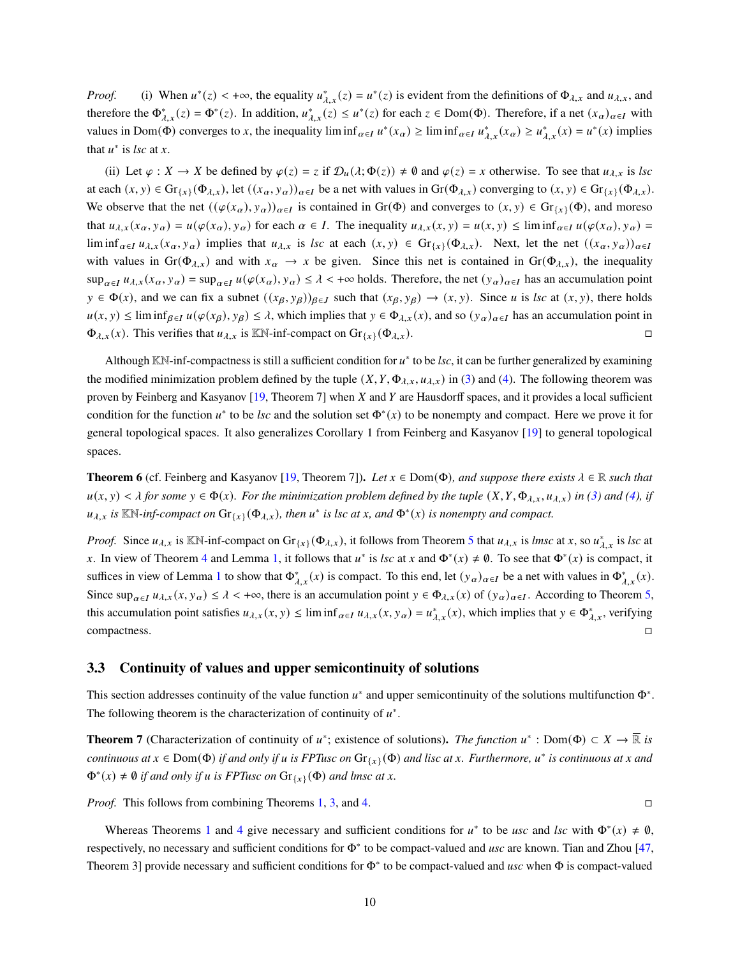*Proof.* (i) When  $u^*(z) < +\infty$ , the equality  $u^*_{\lambda,x}(z) = u^*(z)$  is evident from the definitions of  $\Phi_{\lambda,x}$  and  $u_{\lambda,x}$ , and therefore the  $\Phi_{\lambda,x}^*(z) = \Phi^*(z)$ . In addition,  $u_{\lambda,x}^*(z) \le u^*(z)$  for each  $z \in \text{Dom}(\Phi)$ . Therefore, if a net  $(x_\alpha)_{\alpha \in I}$  with values in Dom( $\Phi$ ) converges to x, the inequality lim inf<sub> $\alpha \in I$ </sub>  $u^*(x_\alpha) \ge \liminf_{\alpha \in I} u^*_{\lambda,x}(x_\alpha) \ge u^*_{\lambda,x}(x) = u^*(x)$  implies that  $u^*$  is *lsc* at *x*.

(ii) Let  $\varphi : X \to X$  be defined by  $\varphi(z) = z$  if  $\mathcal{D}_u(\lambda; \Phi(z)) \neq \emptyset$  and  $\varphi(z) = x$  otherwise. To see that  $u_{\lambda,x}$  is *lsc* at each  $(x, y) \in \text{Gr}_{\{x\}}(\Phi_{\lambda,x})$ , let  $((x_{\alpha}, y_{\alpha}))_{\alpha \in I}$  be a net with values in  $\text{Gr}(\Phi_{\lambda,x})$  converging to  $(x, y) \in \text{Gr}_{\{x\}}(\Phi_{\lambda,x})$ . We observe that the net  $((\varphi(x_\alpha), y_\alpha))_{\alpha \in I}$  is contained in Gr( $\Phi$ ) and converges to  $(x, y) \in \text{Gr}_{\{x\}}(\Phi)$ , and moreso that  $u_{\lambda,x}(x_{\alpha}, y_{\alpha}) = u(\varphi(x_{\alpha}), y_{\alpha})$  for each  $\alpha \in I$ . The inequality  $u_{\lambda,x}(x, y) = u(x, y) \le \liminf_{\alpha \in I} u(\varphi(x_{\alpha}), y_{\alpha}) =$ lim inf<sub>α∈I</sub>  $u_{\lambda,x}$ (x<sub>a</sub>, y<sub>a</sub>) implies that  $u_{\lambda,x}$  is *lsc* at each  $(x, y) \in \text{Gr}_{\{\chi\}}(\Phi_{\lambda,x})$ . Next, let the net  $((x_{\alpha}, y_{\alpha}))_{\alpha \in I}$ with values in Gr( $\Phi_{\lambda,x}$ ) and with  $x_{\alpha} \to x$  be given. Since this net is contained in Gr( $\Phi_{\lambda,x}$ ), the inequality  $\sup_{\alpha \in I} u_{\lambda,x}(x_\alpha, y_\alpha) = \sup_{\alpha \in I} u(\varphi(x_\alpha), y_\alpha) \leq \lambda < +\infty$  holds. Therefore, the net  $(y_\alpha)_{\alpha \in I}$  has an accumulation point  $y \in \Phi(x)$ , and we can fix a subnet  $((x_{\beta}, y_{\beta}))_{\beta \in J}$  such that  $(x_{\beta}, y_{\beta}) \to (x, y)$ . Since *u* is *lsc* at  $(x, y)$ , there holds  $u(x, y) \le \liminf_{\beta \in I} u(\varphi(x_\beta), y_\beta) \le \lambda$ , which implies that  $y \in \Phi_{\lambda,x}(x)$ , and so  $(y_\alpha)_{\alpha \in I}$  has an accumulation point in  $\Phi_{\lambda,x}(x)$ . This verifies that  $u_{\lambda,x}$  is KN-inf-compact on  $\text{Gr}_{\lambda}( \Phi_{\lambda,x}).$ 

Although  $KN$ -inf-compactness is still a sufficient condition for  $u^*$  to be *lsc*, it can be further generalized by examining the modified minimization problem defined by the tuple  $(X, Y, \Phi_{\lambda,x}, u_{\lambda,x})$  in [\(3\)](#page-8-1) and [\(4\)](#page-8-2). The following theorem was proven by Feinberg and Kasyanov [\[19,](#page-25-5) Theorem 7] when X and Y are Hausdorff spaces, and it provides a local sufficient condition for the function  $u^*$  to be *lsc* and the solution set  $\Phi^*(x)$  to be nonempty and compact. Here we prove it for general topological spaces. It also generalizes Corollary 1 from Feinberg and Kasyanov [\[19\]](#page-25-5) to general topological spaces.

<span id="page-9-1"></span>**Theorem 6** (cf. Feinberg and Kasyanov [\[19,](#page-25-5) Theorem 7]). Let  $x \in Dom(\Phi)$ , and suppose there exists  $\lambda \in \mathbb{R}$  such that  $u(x, y) < \lambda$  for some  $y \in \Phi(x)$ . For the minimization problem defined by the tuple  $(X, Y, \Phi_{\lambda x}, u_{\lambda x})$  in [\(3\)](#page-8-1) and [\(4\)](#page-8-2), if  $u_{\lambda,x}$  is  $\mathbb{K}\mathbb{N}$ -inf-compact on  $\text{Gr}_{\{x\}}(\Phi_{\lambda,x})$ , then  $u^*$  is lsc at x, and  $\Phi^*(x)$  is nonempty and compact.

*Proof.* Since  $u_{\lambda,x}$  is  $\mathbb{K}\mathbb{N}$ -inf-compact on  $\text{Gr}_{\{x\}}(\Phi_{\lambda,x})$ , it follows from Theorem [5](#page-7-3) that  $u_{\lambda,x}$  is *lmsc* at x, so  $u_{\lambda,x}^*$  is *lsc* at x. In view of Theorem [4](#page-6-0) and Lemma [1,](#page-8-0) it follows that  $u^*$  is *lsc* at x and  $\Phi^*(x) \neq \emptyset$ . To see that  $\Phi^*(x)$  is compact, it suffices in view of Lemma [1](#page-8-0) to show that  $\Phi_{\lambda,x}^*(x)$  is compact. To this end, let  $(y_\alpha)_{\alpha \in I}$  be a net with values in  $\Phi_{\lambda,x}^*(x)$ . Since  $\sup_{\alpha \in I} u_{\lambda,x}(x, y_{\alpha}) \leq \lambda < +\infty$ , there is an accumulation point  $y \in \Phi_{\lambda,x}(x)$  of  $(y_{\alpha})_{\alpha \in I}$ . According to Theorem [5,](#page-7-3) this accumulation point satisfies  $u_{\lambda,x}(x, y) \leq \liminf_{\alpha \in I} u_{\lambda,x}(x, y) = u_{\lambda,x}^*(x)$ , which implies that  $y \in \Phi_{\lambda,x}^*$ , verifying compactness.

#### <span id="page-9-0"></span>**3.3 Continuity of values and upper semicontinuity of solutions**

This section addresses continuity of the value function  $u^*$  and upper semicontinuity of the solutions multifunction  $\Phi^*$ . The following theorem is the characterization of continuity of  $u^*$ .

<span id="page-9-2"></span>**Theorem 7** (Characterization of continuity of  $u^*$ ; existence of solutions). *The function*  $u^*$ : Dom( $\Phi$ )  $\subset X \to \overline{\mathbb{R}}$  is  $i$  *continuous at*  $x \in Dom(\Phi)$  *if and only if u is FPTusc on*  $Gr_{\{x\}}(\Phi)$  *and lisc at*  $x$ . *Furthermore,*  $u^*$  *is continuous at*  $x$  *and*  $\Phi^*(x) \neq \emptyset$  *if and only if u is FPTusc on*  $\text{Gr}_{\{x\}}(\Phi)$  *and lmsc at x.* 

*Proof.* This follows from combining Theorems [1,](#page-3-3) [3,](#page-5-2) and [4.](#page-6-0)

Whereas Theorems [1](#page-3-3) and [4](#page-6-0) give necessary and sufficient conditions for  $u^*$  to be *usc* and *lsc* with  $\Phi^*(x) \neq \emptyset$ , respectively, no necessary and sufficient conditions for Φ<sup>∗</sup> to be compact-valued and *usc* are known. Tian and Zhou [\[47,](#page-27-3) Theorem 3] provide necessary and sufficient conditions for Φ<sup>∗</sup> to be compact-valued and *usc* when Φ is compact-valued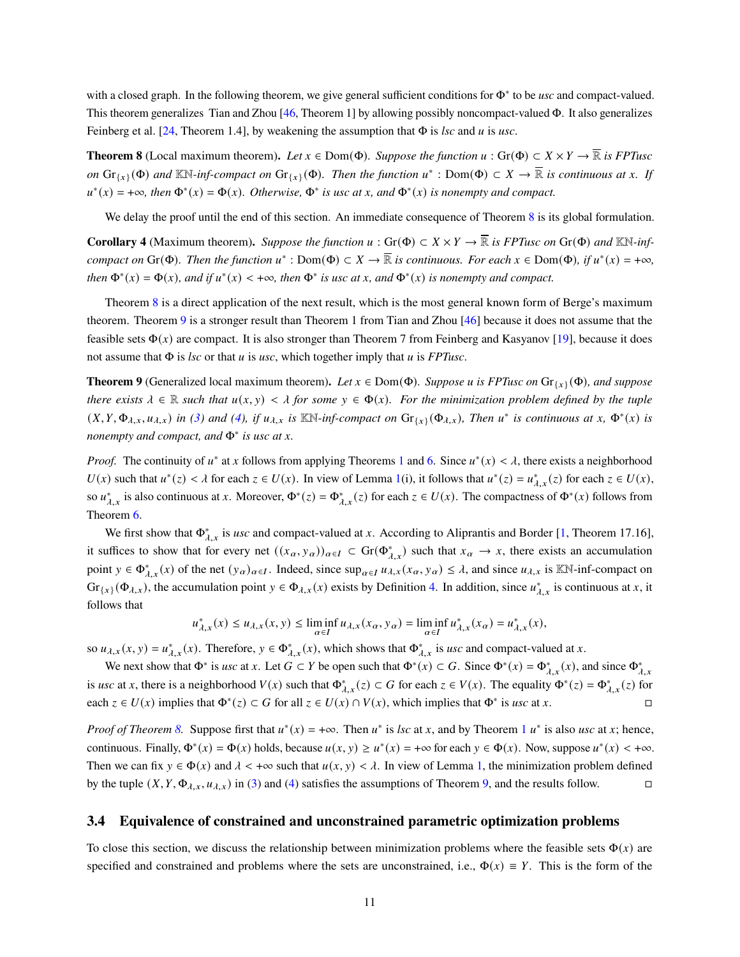with a closed graph. In the following theorem, we give general sufficient conditions for Φ<sup>∗</sup> to be *usc* and compact-valued. This theorem generalizes Tian and Zhou [\[46,](#page-27-1) Theorem 1] by allowing possibly noncompact-valued Φ. It also generalizes Feinberg et al. [\[24,](#page-25-3) Theorem 1.4], by weakening the assumption that Φ is *lsc* and is *usc*.

<span id="page-10-1"></span>**Theorem 8** (Local maximum theorem). *Let*  $x \in Dom(\Phi)$ . *Suppose the function*  $u : Gr(\Phi) \subset X \times Y \to \overline{\mathbb{R}}$  *is FPTusc on*  $\text{Gr}_{\{x\}}(\Phi)$  and  $\mathbb{KN}$ -inf-compact on  $\text{Gr}_{\{x\}}(\Phi)$ . Then the function  $u^*$  :  $\text{Dom}(\Phi) \subset X \to \overline{\mathbb{R}}$  is continuous at x. If  $u^*(x) = +\infty$ , then  $\Phi^*(x) = \Phi(x)$ . Otherwise,  $\Phi^*$  is usc at *x*, and  $\Phi^*(x)$  is nonempty and compact.

We delay the proof until the end of this section. An immediate consequence of Theorem [8](#page-10-1) is its global formulation.

**Corollary 4** (Maximum theorem). Suppose the function  $u : Gr(\Phi) \subset X \times Y \to \overline{\mathbb{R}}$  is FPTusc on  $Gr(\Phi)$  and KN-inf*compact on* Gr( $\Phi$ ). Then the function  $u^* : Dom(\Phi) \subset X \to \overline{\mathbb{R}}$  is continuous. For each  $x \in Dom(\Phi)$ , if  $u^*(x) = +\infty$ , *then*  $\Phi^*(x) = \Phi(x)$ *, and if*  $u^*(x) < +\infty$ *, then*  $\Phi^*$  *is usc at x, and*  $\Phi^*(x)$  *is nonempty and compact.* 

Theorem [8](#page-10-1) is a direct application of the next result, which is the most general known form of Berge's maximum theorem. Theorem [9](#page-10-0) is a stronger result than Theorem 1 from Tian and Zhou [\[46\]](#page-27-1) because it does not assume that the feasible sets  $\Phi(x)$  are compact. It is also stronger than Theorem 7 from Feinberg and Kasyanov [\[19\]](#page-25-5), because it does not assume that  $\Phi$  is *lsc* or that  $u$  is *usc*, which together imply that  $u$  is *FPTusc*.

<span id="page-10-0"></span>**Theorem 9** (Generalized local maximum theorem). Let  $x \in Dom(\Phi)$ . Suppose u is FPTusc on  $Gr_{\{x\}}(\Phi)$ , and suppose *there exists*  $\lambda \in \mathbb{R}$  *such that*  $u(x, y) < \lambda$  *for some*  $y \in \Phi(x)$ *. For the minimization problem defined by the tuple*  $(X, Y, \Phi_{\lambda,x}, u_{\lambda,x})$  in [\(3\)](#page-8-1) and [\(4\)](#page-8-2), if  $u_{\lambda,x}$  is  $\mathbb{K}\mathbb{N}$ -inf-compact on  $\text{Gr}_{\{x\}}(\Phi_{\lambda,x})$ , Then  $u^*$  is continuous at  $x, \Phi^*(x)$  is *nonempty and compact, and*  $Φ<sup>∗</sup>$  *is usc at x.* 

*Proof.* The continuity of  $u^*$  at x follows from applying Theorems [1](#page-3-3) and [6.](#page-9-1) Since  $u^*(x) < \lambda$ , there exists a neighborhood  $U(x)$  such that  $u^*(z) < \lambda$  for each  $z \in U(x)$ . In view of Lemma [1\(](#page-8-0)i), it follows that  $u^*(z) = u^*_{\lambda,x}(z)$  for each  $z \in U(x)$ , so  $u_{\lambda,x}^*$  is also continuous at x. Moreover,  $\Phi^*(z) = \Phi_{\lambda,x}^*(z)$  for each  $z \in U(x)$ . The compactness of  $\Phi^*(x)$  follows from Theorem [6.](#page-9-1)

We first show that  $\Phi_{\lambda,x}^*$  is *usc* and compact-valued at x. According to Aliprantis and Border [\[1,](#page-24-1) Theorem 17.16], it suffices to show that for every net  $((x_{\alpha}, y_{\alpha}))_{\alpha \in I} \subset Gr(\Phi_{\lambda,x}^{*})$  such that  $x_{\alpha} \to x$ , there exists an accumulation point  $y \in \Phi_{\lambda,x}^*(x)$  of the net  $(y_\alpha)_{\alpha \in I}$ . Indeed, since  $\sup_{\alpha \in I} u_{\lambda,x}(x_\alpha, y_\alpha) \leq \lambda$ , and since  $u_{\lambda,x}$  is  $\mathbb{K}\mathbb{N}$ -inf-compact on  $\text{Gr}_{\{x\}}(\Phi_{\lambda,x})$ , the accumulation point  $y \in \Phi_{\lambda,x}(x)$  exists by Definition [4.](#page-7-2) In addition, since  $u_{\lambda,x}^*$  is continuous at x, it follows that

$$
u_{\lambda,x}^*(x)\leq u_{\lambda,x}(x,y)\leq \liminf_{\alpha\in I}u_{\lambda,x}(x_\alpha,y_\alpha)=\liminf_{\alpha\in I}u_{\lambda,x}^*(x_\alpha)=u_{\lambda,x}^*(x),
$$

so  $u_{\lambda,x}(x, y) = u_{\lambda,x}^*(x)$ . Therefore,  $y \in \Phi_{\lambda,x}^*(x)$ , which shows that  $\Phi_{\lambda,x}^*$  is *usc* and compact-valued at x.

We next show that  $\Phi^*$  is *usc* at x. Let  $G \subset Y$  be open such that  $\Phi^*(x) \subset G$ . Since  $\Phi^*(x) = \Phi^*_{\lambda,x}(x)$ , and since  $\Phi^*_{\lambda,x}$ is *usc* at x, there is a neighborhood  $V(x)$  such that  $\Phi_{\lambda,x}^*(z) \subset G$  for each  $z \in V(x)$ . The equality  $\Phi^*(z) = \Phi_{\lambda,x}^*(z)$  for each  $z \in U(x)$  implies that  $\Phi^*(z) \subset G$  for all  $z \in U(x) \cap V(x)$ , which implies that  $\Phi^*$  is *usc* at *x*. □

*Proof of Theorem [8.](#page-10-1)* Suppose first that  $u^*(x) = +\infty$ . Then  $u^*$  is *lsc* at x, and by Theorem [1](#page-3-3)  $u^*$  is also *usc* at x; hence, continuous. Finally,  $\Phi^*(x) = \Phi(x)$  holds, because  $u(x, y) \ge u^*(x) = +\infty$  for each  $y \in \Phi(x)$ . Now, suppose  $u^*(x) < +\infty$ . Then we can fix  $y \in \Phi(x)$  and  $\lambda < +\infty$  such that  $u(x, y) < \lambda$ . In view of Lemma [1,](#page-8-0) the minimization problem defined by the tuple  $(X, Y, \Phi_{\lambda, x}, u_{\lambda, x})$  in [\(3\)](#page-8-1) and [\(4\)](#page-8-2) satisfies the assumptions of Theorem [9,](#page-10-0) and the results follow.

#### <span id="page-10-2"></span>**3.4 Equivalence of constrained and unconstrained parametric optimization problems**

To close this section, we discuss the relationship between minimization problems where the feasible sets  $\Phi(x)$  are specified and constrained and problems where the sets are unconstrained, i.e.,  $\Phi(x) \equiv Y$ . This is the form of the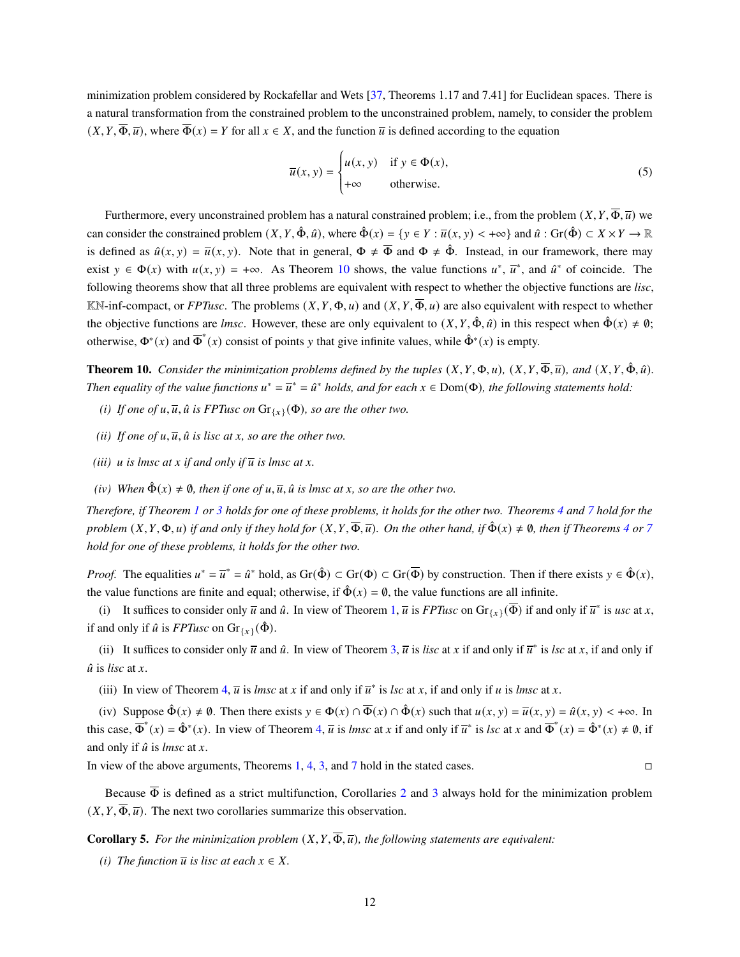minimization problem considered by Rockafellar and Wets [\[37,](#page-26-5) Theorems 1.17 and 7.41] for Euclidean spaces. There is a natural transformation from the constrained problem to the unconstrained problem, namely, to consider the problem  $(X, Y, \overline{\Phi}, \overline{u})$ , where  $\overline{\Phi}(x) = Y$  for all  $x \in X$ , and the function  $\overline{u}$  is defined according to the equation

$$
\overline{u}(x, y) = \begin{cases} u(x, y) & \text{if } y \in \Phi(x), \\ +\infty & \text{otherwise.} \end{cases}
$$
 (5)

Furthermore, every unconstrained problem has a natural constrained problem; i.e., from the problem  $(X, Y, \overline{\Phi}, \overline{u})$  we can consider the constrained problem  $(X, Y, \hat{\Phi}, \hat{u})$ , where  $\hat{\Phi}(x) = \{y \in Y : \overline{u}(x, y) < +\infty\}$  and  $\hat{u} : Gr(\hat{\Phi}) \subset X \times Y \to \mathbb{R}$ is defined as  $\hat{u}(x, y) = \overline{u}(x, y)$ . Note that in general,  $\Phi \neq \overline{\Phi}$  and  $\Phi \neq \hat{\Phi}$ . Instead, in our framework, there may exist  $y \in \Phi(x)$  with  $u(x, y) = +\infty$ . As Theorem [10](#page-11-0) shows, the value functions  $u^*, \overline{u}^*$ , and  $\hat{u}^*$  of coincide. The following theorems show that all three problems are equivalent with respect to whether the objective functions are *lisc*,  $\mathbb{K}\mathbb{N}$ -inf-compact, or *FPTusc*. The problems  $(X, Y, \Phi, u)$  and  $(X, Y, \overline{\Phi}, u)$  are also equivalent with respect to whether the objective functions are *lmsc*. However, these are only equivalent to  $(X, Y, \hat{\Phi}, \hat{u})$  in this respect when  $\hat{\Phi}(x) \neq \emptyset$ ; otherwise,  $\Phi^*(x)$  and  $\overline{\Phi}^*(x)$  consist of points y that give infinite values, while  $\hat{\Phi}^*(x)$  is empty.

J.

**Theorem 10.** *Consider the minimization problems defined by the tuples*  $(X, Y, \Phi, u)$ ,  $(X, Y, \overline{\Phi}, \overline{u})$ *, and*  $(X, Y, \hat{\Phi}, \hat{u})$ *. Then equality of the value functions*  $u^* = \overline{u}^* = \hat{u}^*$  *holds, and for each*  $x \in Dom(\Phi)$ *, the following statements hold:* 

- *(i) If one of*  $u, \overline{u}$ ,  $\hat{u}$  *is FPTusc on*  $\text{Gr}_{\{x\}}(\Phi)$ *, so are the other two.*
- *(ii) If one of*  $u, \overline{u}$ *,*  $\hat{u}$  *is lisc at x, so are the other two.*
- *(iii)*  $\mu$  *is lmsc at*  $\chi$  *if and only if*  $\overline{\mu}$  *is lmsc at*  $\chi$ *.*
- <span id="page-11-0"></span>*(iv) When*  $\hat{\Phi}(x) \neq \emptyset$ *, then if one of u,*  $\overline{u}$ *,*  $\hat{u}$  *is lmsc at x, so are the other two.*

*Therefore, if Theorem [1](#page-3-3) or [3](#page-5-2) holds for one of these problems, it holds for the other two. Theorems [4](#page-6-0) and [7](#page-9-2) hold for the problem*  $(X, Y, \Phi, u)$  *if and only if they hold for*  $(X, Y, \overline{\Phi}, \overline{u})$ *. On the other hand, if*  $\hat{\Phi}(x) \neq \emptyset$ *, then if Theorems* [4](#page-6-0) *or* [7](#page-9-2) *hold for one of these problems, it holds for the other two.*

*Proof.* The equalities  $u^* = \overline{u}^* = \hat{u}^*$  hold, as  $\text{Gr}(\hat{\Phi}) \subset \text{Gr}(\overline{\Phi})$  by construction. Then if there exists  $y \in \hat{\Phi}(x)$ , the value functions are finite and equal; otherwise, if  $\hat{\Phi}(x) = \emptyset$ , the value functions are all infinite.

(i) It suffices to consider only  $\overline{u}$  and  $\hat{u}$ . In view of Theorem [1,](#page-3-3)  $\overline{u}$  is *FPTusc* on  $\text{Gr}_{\{x\}}(\overline{\Phi})$  if and only if  $\overline{u}^*$  is *usc* at *x*, if and only if  $\hat{u}$  is *FPTusc* on  $\text{Gr}_{\{x\}}(\hat{\Phi})$ .

(ii) It suffices to consider only  $\overline{u}$  and  $\hat{u}$ . In view of Theorem [3,](#page-5-2)  $\overline{u}$  is *lisc* at x if and only if  $\overline{u}^*$  is *lsc* at x, if and only if  $\hat{u}$  is *lisc* at  $x$ .

(iii) In view of Theorem [4,](#page-6-0)  $\overline{u}$  is *lmsc* at x if and only if  $\overline{u}^*$  is *lsc* at x, if and only if u is *lmsc* at x.

(iv) Suppose  $\hat{\Phi}(x) \neq \emptyset$ . Then there exists  $y \in \Phi(x) \cap \overline{\Phi}(x) \cap \hat{\Phi}(x)$  such that  $u(x, y) = \overline{u}(x, y) = \hat{u}(x, y) < +\infty$ . In this case,  $\overline{\Phi}^*(x) = \hat{\Phi}^*(x)$ . In view of Theorem [4,](#page-6-0)  $\overline{u}$  is *lmsc* at x if and only if  $\overline{u}^*$  is *lsc* at x and  $\overline{\Phi}^*(x) = \hat{\Phi}^*(x) \neq \emptyset$ , if and only if  $\hat{u}$  is *lmsc* at  $x$ .

In view of the above arguments, Theorems [1,](#page-3-3) [4,](#page-6-0) [3,](#page-5-2) and [7](#page-9-2) hold in the stated cases.

Because  $\overline{\Phi}$  is defined as a strict multifunction, Corollaries [2](#page-6-2) and [3](#page-7-0) always hold for the minimization problem  $(X, Y, \overline{\Phi}, \overline{u})$ . The next two corollaries summarize this observation.

**Corollary 5.** For the minimization problem  $(X, Y, \overline{\Phi}, \overline{u})$ , the following statements are equivalent:

*(i) The function*  $\overline{u}$  *is lisc at each*  $x \in X$ .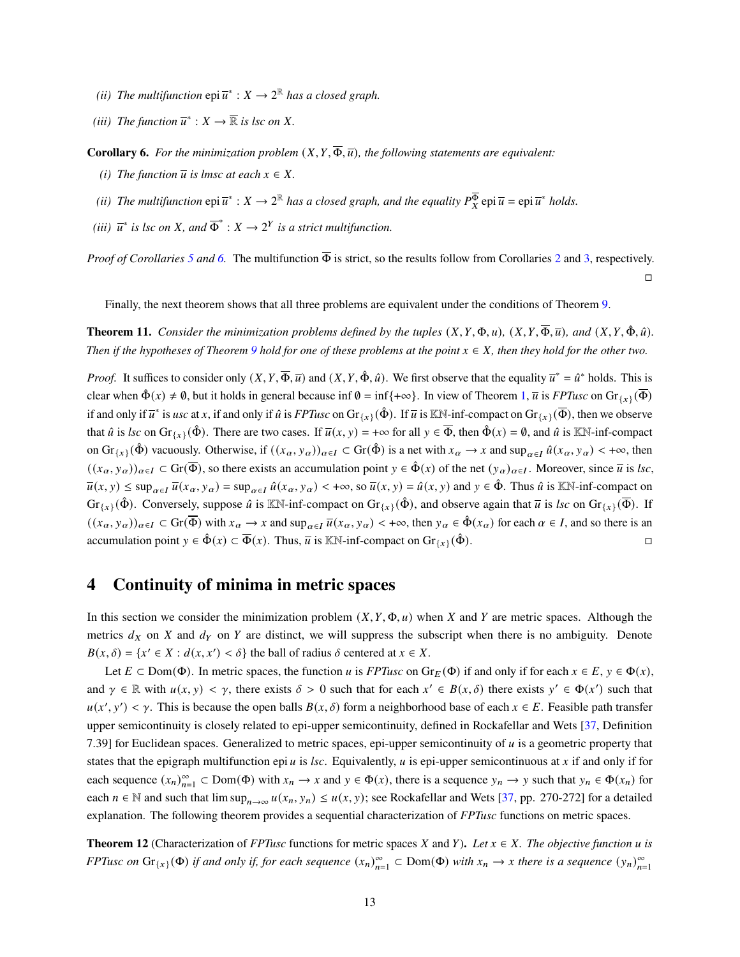- (*ii*) The multifunction  $epi\overline{u}^*: X \to 2^{\mathbb{R}}$  has a closed graph.
- <span id="page-12-2"></span>*(iii)* The function  $\overline{u}^*$  :  $X \to \overline{\mathbb{R}}$  is lsc on X.

**Corollary 6.** *For the minimization problem*  $(X, Y, \overline{\Phi}, \overline{u})$ *, the following statements are equivalent:* 

- *(i) The function*  $\overline{u}$  *is lmsc at each*  $x \in X$ *.*
- (*ii*) The multifunction  $epi \bar{u}^*: X \to 2^{\mathbb{R}}$  has a closed graph, and the equality  $P_X^{\overline{\Phi}}$   $epi \bar{u} = epi \bar{u}^*$  holds.
- <span id="page-12-3"></span>(*iii*)  $\overline{u}^*$  *is lsc on X*, and  $\overline{\Phi}^*$  :  $X \to 2^Y$  *is a strict multifunction.*

*Proof of Corollaries* [5](#page-12-2) *and* [6.](#page-12-3) The multifunction  $\overline{\Phi}$  is strict, so the results follow from Corollaries [2](#page-6-2) and [3,](#page-7-0) respectively.

 $\Box$ 

Finally, the next theorem shows that all three problems are equivalent under the conditions of Theorem [9.](#page-10-0)

**Theorem 11.** *Consider the minimization problems defined by the tuples*  $(X, Y, \Phi, u)$ *,*  $(X, Y, \overline{\Phi}, \overline{u})$ *, and*  $(X, Y, \hat{\Phi}, \hat{u})$ *. Then if the hypotheses of Theorem* [9](#page-10-0) *hold for one of these problems at the point*  $x \in X$ *, then they hold for the other two.* 

*Proof.* It suffices to consider only  $(X, Y, \overline{\Phi}, \overline{u})$  and  $(X, Y, \hat{\Phi}, \hat{u})$ . We first observe that the equality  $\overline{u}^* = \hat{u}^*$  holds. This is clear when  $\hat{\Phi}(x) \neq \emptyset$ , but it holds in general because inf  $\emptyset = \inf\{\pm \infty\}$ . In view of Theorem [1,](#page-3-3)  $\overline{u}$  is *FPTusc* on  $Gr_{\{\chi\}}(\overline{\Phi})$ if and only if  $\overline{u}^*$  is *usc* at x, if and only if  $\hat{u}$  is *FPTusc* on  $\text{Gr}_{\{x\}}(\hat{\Phi})$ . If  $\overline{u}$  is  $\mathbb{K}\mathbb{N}$ -inf-compact on  $\text{Gr}_{\{x\}}(\overline{\Phi})$ , then we observe that  $\hat{u}$  is *lsc* on  $\text{Gr}_{\{x\}}(\hat{\Phi})$ . There are two cases. If  $\overline{u}(x, y) = +\infty$  for all  $y \in \overline{\Phi}$ , then  $\hat{\Phi}(x) = \emptyset$ , and  $\hat{u}$  is KN-inf-compact on  $\text{Gr}_{\{x\}}(\hat{\Phi})$  vacuously. Otherwise, if  $((x_{\alpha}, y_{\alpha}))_{\alpha \in I} \subset \text{Gr}(\hat{\Phi})$  is a net with  $x_{\alpha} \to x$  and  $\sup_{\alpha \in I} \hat{u}(x_{\alpha}, y_{\alpha}) < +\infty$ , then  $((x_{\alpha}, y_{\alpha}))_{\alpha \in I} \subset \text{Gr}(\overline{\Phi})$ , so there exists an accumulation point  $y \in \hat{\Phi}(x)$  of the net  $(y_{\alpha})_{\alpha \in I}$ . Moreover, since  $\overline{u}$  is *lsc*,  $\overline{u}(x, y) \le \sup_{\alpha \in I} \overline{u}(x_{\alpha}, y_{\alpha}) = \sup_{\alpha \in I} \hat{u}(x_{\alpha}, y_{\alpha}) < +\infty$ , so  $\overline{u}(x, y) = \hat{u}(x, y)$  and  $y \in \hat{\Phi}$ . Thus  $\hat{u}$  is KN-inf-compact on Gr<sub>{x}</sub>( $\hat{\Phi}$ ). Conversely, suppose  $\hat{u}$  is KN-inf-compact on Gr<sub>{x}</sub>( $\hat{\Phi}$ ), and observe again that  $\overline{u}$  is *lsc* on Gr<sub>{x}</sub>( $\overline{\Phi}$ ). If  $((x_{\alpha}, y_{\alpha}))_{\alpha \in I} \subset \text{Gr}(\overline{\Phi})$  with  $x_{\alpha} \to x$  and  $\sup_{\alpha \in I} \overline{u}(x_{\alpha}, y_{\alpha}) < +\infty$ , then  $y_{\alpha} \in \hat{\Phi}(x_{\alpha})$  for each  $\alpha \in I$ , and so there is an accumulation point  $y \in \hat{\Phi}(x) \subset \overline{\Phi}(x)$ . Thus,  $\overline{u}$  is KN-inf-compact on  $\text{Gr}_{\{x\}}(\hat{\Phi})$ .

### <span id="page-12-0"></span>**4 Continuity of minima in metric spaces**

In this section we consider the minimization problem  $(X, Y, \Phi, u)$  when X and Y are metric spaces. Although the metrics  $d_X$  on  $X$  and  $d_Y$  on  $Y$  are distinct, we will suppress the subscript when there is no ambiguity. Denote  $B(x, \delta) = \{x' \in X : d(x, x') < \delta\}$  the ball of radius  $\delta$  centered at  $x \in X$ .

Let  $E \subset \text{Dom}(\Phi)$ . In metric spaces, the function u is *FPTusc* on  $Gr_E(\Phi)$  if and only if for each  $x \in E$ ,  $y \in \Phi(x)$ , and  $\gamma \in \mathbb{R}$  with  $u(x, y) < \gamma$ , there exists  $\delta > 0$  such that for each  $x' \in B(x, \delta)$  there exists  $y' \in \Phi(x')$  such that  $u(x', y') < \gamma$ . This is because the open balls  $B(x, \delta)$  form a neighborhood base of each  $x \in E$ . Feasible path transfer upper semicontinuity is closely related to epi-upper semicontinuity, defined in Rockafellar and Wets [\[37,](#page-26-5) Definition 7.39] for Euclidean spaces. Generalized to metric spaces, epi-upper semicontinuity of  $u$  is a geometric property that states that the epigraph multifunction epi  $u$  is  $\ell$ sc. Equivalently,  $u$  is epi-upper semicontinuous at  $x$  if and only if for each sequence  $(x_n)_{n=1}^{\infty} \subset \text{Dom}(\Phi)$  with  $x_n \to x$  and  $y \in \Phi(x)$ , there is a sequence  $y_n \to y$  such that  $y_n \in \Phi(x_n)$  for each  $n \in \mathbb{N}$  and such that  $\limsup_{n \to \infty} u(x_n, y_n) \le u(x, y)$ ; see Rockafellar and Wets [\[37,](#page-26-5) pp. 270-272] for a detailed explanation. The following theorem provides a sequential characterization of *FPTusc* functions on metric spaces.

<span id="page-12-1"></span>**Theorem 12** (Characterization of *FPTusc* functions for metric spaces X and Y). Let  $x \in X$ . The objective function u is *FPTusc on*  $Gr_{\{x\}}(\Phi)$  *if and only if, for each sequence*  $(x_n)_{n=1}^{\infty} \subset Dom(\Phi)$  *with*  $x_n \to x$  *there is a sequence*  $(y_n)_{n=1}^{\infty}$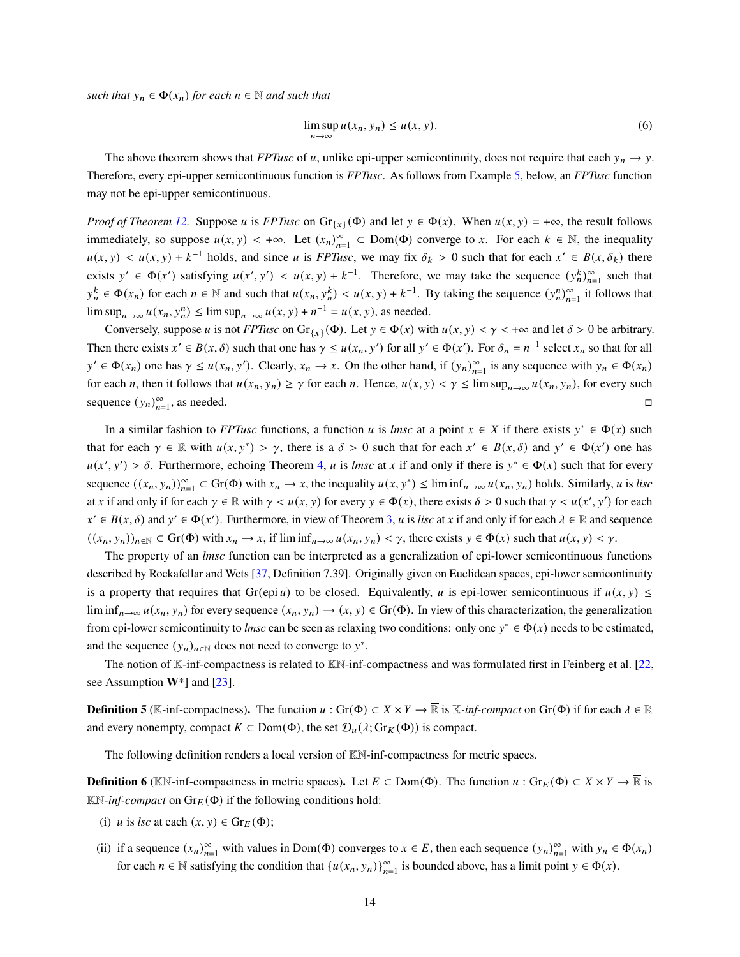*such that*  $y_n \in \Phi(x_n)$  *for each*  $n \in \mathbb{N}$  *and such that* 

$$
\limsup_{n \to \infty} u(x_n, y_n) \le u(x, y). \tag{6}
$$

The above theorem shows that *FPTusc* of u, unlike epi-upper semicontinuity, does not require that each  $y_n \to y$ . Therefore, every epi-upper semicontinuous function is *FPTusc*. As follows from Example [5,](#page-15-1) below, an *FPTusc* function may not be epi-upper semicontinuous.

*Proof of Theorem [12.](#page-12-1)* Suppose u is *FPTusc* on  $Gr_{\{x\}}(\Phi)$  and let  $y \in \Phi(x)$ . When  $u(x, y) = +\infty$ , the result follows immediately, so suppose  $u(x, y) < +\infty$ . Let  $(x_n)_{n=1}^{\infty} \subset Dom(\Phi)$  converge to x. For each  $k \in \mathbb{N}$ , the inequality  $u(x, y) < u(x, y) + k^{-1}$  holds, and since u is *FPTusc*, we may fix  $\delta_k > 0$  such that for each  $x' \in B(x, \delta_k)$  there exists  $y' \in \Phi(x')$  satisfying  $u(x', y') < u(x, y) + k^{-1}$ . Therefore, we may take the sequence  $(y_n^k)_{n=1}^{\infty}$  such that  $y_n^k \in \Phi(x_n)$  for each  $n \in \mathbb{N}$  and such that  $u(x_n, y_n^k) < u(x, y) + k^{-1}$ . By taking the sequence  $(y_n^n)_{n=1}^{\infty}$  it follows that  $\limsup_{n\to\infty} u(x_n, y_n^n) \leq \limsup_{n\to\infty} u(x, y) + n^{-1} = u(x, y)$ , as needed.

Conversely, suppose u is not *FPTusc* on  $Gr_{\{x\}}(\Phi)$ . Let  $y \in \Phi(x)$  with  $u(x, y) < \gamma < +\infty$  and let  $\delta > 0$  be arbitrary. Then there exists  $x' \in B(x, \delta)$  such that one has  $\gamma \leq u(x_n, y')$  for all  $y' \in \Phi(x')$ . For  $\delta_n = n^{-1}$  select  $x_n$  so that for all  $y' \in \Phi(x_n)$  one has  $\gamma \le u(x_n, y')$ . Clearly,  $x_n \to x$ . On the other hand, if  $(y_n)_{n=1}^{\infty}$  is any sequence with  $y_n \in \Phi(x_n)$ for each *n*, then it follows that  $u(x_n, y_n) \ge \gamma$  for each *n*. Hence,  $u(x, y) < \gamma \le \limsup_{n \to \infty} u(x_n, y_n)$ , for every such sequence  $(y_n)_{n=1}^{\infty}$ , as needed.  $\Box$ 

In a similar fashion to *FPTusc* functions, a function *u* is *lmsc* at a point  $x \in X$  if there exists  $y^* \in \Phi(x)$  such that for each  $\gamma \in \mathbb{R}$  with  $u(x, y^*) > \gamma$ , there is a  $\delta > 0$  such that for each  $x' \in B(x, \delta)$  and  $y' \in \Phi(x')$  one has  $u(x', y') > \delta$ . Furthermore, echoing Theorem [4,](#page-6-0) u is *lmsc* at x if and only if there is  $y^* \in \Phi(x)$  such that for every sequence  $((x_n, y_n))_{n=1}^{\infty} \subset \text{Gr}(\Phi)$  with  $x_n \to x$ , the inequality  $u(x, y^*) \leq \liminf_{n \to \infty} u(x_n, y_n)$  holds. Similarly, u is *lisc* at x if and only if for each  $\gamma \in \mathbb{R}$  with  $\gamma \le u(x, y)$  for every  $y \in \Phi(x)$ , there exists  $\delta > 0$  such that  $\gamma \le u(x', y')$  for each  $x' \in B(x, \delta)$  and  $y' \in \Phi(x')$ . Furthermore, in view of Theorem [3,](#page-5-2) u is lisc at x if and only if for each  $\lambda \in \mathbb{R}$  and sequence  $((x_n, y_n))_{n\in\mathbb{N}}\subset \text{Gr}(\Phi)$  with  $x_n \to x$ , if  $\liminf_{n\to\infty} u(x_n, y_n) < \gamma$ , there exists  $y \in \Phi(x)$  such that  $u(x, y) < \gamma$ .

The property of an *lmsc* function can be interpreted as a generalization of epi-lower semicontinuous functions described by Rockafellar and Wets [\[37,](#page-26-5) Definition 7.39]. Originally given on Euclidean spaces, epi-lower semicontinuity is a property that requires that Gr(epi u) to be closed. Equivalently, u is epi-lower semicontinuous if  $u(x, y) \le$ lim inf<sub>n→∞</sub>  $u(x_n, y_n)$  for every sequence  $(x_n, y_n) \to (x, y) \in Gr(\Phi)$ . In view of this characterization, the generalization from epi-lower semicontinuity to *lmsc* can be seen as relaxing two conditions: only one  $y^* \in \Phi(x)$  needs to be estimated, and the sequence  $(y_n)_{n \in \mathbb{N}}$  does not need to converge to  $y^*$ .

The notion of K-inf-compactness is related to KN-inf-compactness and was formulated first in Feinberg et al. [\[22,](#page-25-9) see Assumption **W**\*] and [\[23\]](#page-25-2).

<span id="page-13-1"></span>**Definition 5** (K-inf-compactness). The function  $u : Gr(\Phi) \subset X \times Y \to \overline{\mathbb{R}}$  is K-inf-compact on Gr( $\Phi$ ) if for each  $\lambda \in \mathbb{R}$ and every nonempty, compact  $K \subset \text{Dom}(\Phi)$ , the set  $\mathcal{D}_u(\lambda; \text{Gr}_K(\Phi))$  is compact.

The following definition renders a local version of KN-inf-compactness for metric spaces.

**Definition 6** (KN-inf-compactness in metric spaces). Let  $E \subset \text{Dom}(\Phi)$ . The function  $u : \text{Gr}_E(\Phi) \subset X \times Y \to \overline{\mathbb{R}}$  is  $\mathbb{K}\mathbb{N}$ -*inf-compact* on  $\text{Gr}_E(\Phi)$  if the following conditions hold:

- (i) *u* is *lsc* at each  $(x, y) \in \text{Gr}_E(\Phi)$ ;
- <span id="page-13-0"></span>(ii) if a sequence  $(x_n)_{n=1}^{\infty}$  with values in Dom( $\Phi$ ) converges to  $x \in E$ , then each sequence  $(y_n)_{n=1}^{\infty}$  with  $y_n \in \Phi(x_n)$ for each  $n \in \mathbb{N}$  satisfying the condition that  $\{u(x_n, y_n)\}_{n=1}^{\infty}$  is bounded above, has a limit point  $y \in \Phi(x)$ .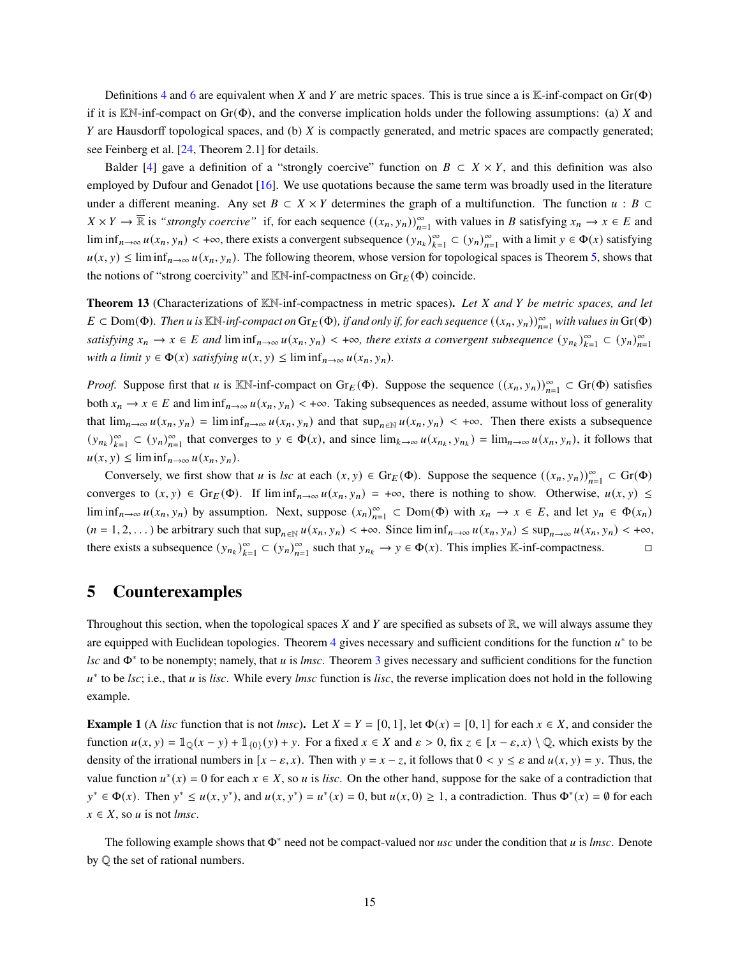Definitions [4](#page-7-2) and [6](#page-13-0) are equivalent when X and Y are metric spaces. This is true since a is K-inf-compact on  $Gr(\Phi)$ if it is KN-inf-compact on  $Gr(\Phi)$ , and the converse implication holds under the following assumptions: (a) X and  $Y$  are Hausdorff topological spaces, and (b)  $X$  is compactly generated, and metric spaces are compactly generated; see Feinberg et al. [\[24,](#page-25-3) Theorem 2.1] for details.

Balder [\[4\]](#page-24-3) gave a definition of a "strongly coercive" function on  $B \subset X \times Y$ , and this definition was also employed by Dufour and Genadot [\[16\]](#page-25-10). We use quotations because the same term was broadly used in the literature under a different meaning. Any set  $B \subset X \times Y$  determines the graph of a multifunction. The function  $u : B \subset Y$  $X \times Y \to \overline{\mathbb{R}}$  is *"strongly coercive"* if, for each sequence  $((x_n, y_n))_{n=1}^{\infty}$  with values in B satisfying  $x_n \to x \in E$  and lim inf<sub>n→∞</sub>  $u(x_n, y_n)$  < +∞, there exists a convergent subsequence  $(y_{n_k})_{k=1}^{\infty} \subset (y_n)_{n=1}^{\infty}$  with a limit  $y \in \Phi(x)$  satisfying  $u(x, y) \le \liminf_{n \to \infty} u(x_n, y_n)$ . The following theorem, whose version for topological spaces is Theorem [5,](#page-7-3) shows that the notions of "strong coercivity" and KN-inf-compactness on  $Gr_E(\Phi)$  coincide.

**Theorem 13** (Characterizations of KN-inf-compactness in metric spaces)**.** *Let and be metric spaces, and let*  $E \subset \text{Dom}(\Phi)$ . Then u is KN-inf-compact on  $\text{Gr}_E(\Phi)$ , if and only if, for each sequence  $((x_n, y_n))_{n=1}^{\infty}$  with values in  $\text{Gr}(\Phi)$ *satisfying*  $x_n \to x \in E$  and  $\liminf_{n \to \infty} u(x_n, y_n) < +\infty$ , there exists a convergent subsequence  $(y_{n_k})_{k=1}^{\infty} \subset (y_n)_{n=1}^{\infty}$ *with a limit*  $y \in \Phi(x)$  *satisfying*  $u(x, y) \leq \liminf_{n \to \infty} u(x_n, y_n)$ *.* 

*Proof.* Suppose first that *u* is KN-inf-compact on  $\text{Gr}_E(\Phi)$ . Suppose the sequence  $((x_n, y_n))_{n=1}^{\infty} \subset \text{Gr}(\Phi)$  satisfies both  $x_n \to x \in E$  and  $\liminf_{n\to\infty} u(x_n, y_n) < +\infty$ . Taking subsequences as needed, assume without loss of generality that  $\lim_{n\to\infty} u(x_n, y_n) = \liminf_{n\to\infty} u(x_n, y_n)$  and that  $\sup_{n\in\mathbb{N}} u(x_n, y_n) < +\infty$ . Then there exists a subsequence  $(y_{n_k})_{k=1}^{\infty} \subset (y_n)_{n=1}^{\infty}$  that converges to  $y \in \Phi(x)$ , and since  $\lim_{k \to \infty} u(x_{n_k}, y_{n_k}) = \lim_{n \to \infty} u(x_n, y_n)$ , it follows that  $u(x, y) \leq \liminf_{n \to \infty} u(x_n, y_n).$ 

Conversely, we first show that *u* is *lsc* at each  $(x, y) \in \text{Gr}_E(\Phi)$ . Suppose the sequence  $((x_n, y_n))_{n=1}^{\infty} \subset \text{Gr}(\Phi)$ converges to  $(x, y) \in \text{Gr}_E(\Phi)$ . If  $\liminf_{n \to \infty} u(x_n, y_n) = +\infty$ , there is nothing to show. Otherwise,  $u(x, y) \le$ lim inf<sub>n→∞</sub>  $u(x_n, y_n)$  by assumption. Next, suppose  $(x_n)_{n=1}^{\infty} \subset Dom(\Phi)$  with  $x_n \to x \in E$ , and let  $y_n \in \Phi(x_n)$  $(n = 1, 2, ...)$  be arbitrary such that  $\sup_{n \in \mathbb{N}} u(x_n, y_n) < +\infty$ . Since  $\liminf_{n \to \infty} u(x_n, y_n) \leq \sup_{n \to \infty} u(x_n, y_n) < +\infty$ , there exists a subsequence  $(y_{n_k})_{k=1}^{\infty} \subset (y_n)_{n=1}^{\infty}$  such that  $y_{n_k} \to y \in \Phi(x)$ . This implies K-inf-compactness.

### <span id="page-14-0"></span>**5 Counterexamples**

Throughout this section, when the topological spaces  $X$  and  $Y$  are specified as subsets of  $\mathbb{R}$ , we will always assume they are equipped with Euclidean topologies. Theorem [4](#page-6-0) gives necessary and sufficient conditions for the function  $u^*$  to be *lsc* and Φ<sup>∗</sup> to be nonempty; namely, that is *lmsc*. Theorem [3](#page-5-2) gives necessary and sufficient conditions for the function u<sup>\*</sup> to be *lsc*; i.e., that *u* is *lisc*. While every *lmsc* function is *lisc*, the reverse implication does not hold in the following example.

<span id="page-14-1"></span>**Example 1** (A *lisc* function that is not *lmsc*). Let  $X = Y = [0, 1]$ , let  $\Phi(x) = [0, 1]$  for each  $x \in X$ , and consider the function  $u(x, y) = \mathbb{1}_{\mathbb{Q}}(x - y) + \mathbb{1}_{\{0\}}(y) + y$ . For a fixed  $x \in X$  and  $\varepsilon > 0$ , fix  $z \in [x - \varepsilon, x) \setminus \mathbb{Q}$ , which exists by the density of the irrational numbers in  $[x - \varepsilon, x]$ . Then with  $y = x - z$ , it follows that  $0 \lt y \le \varepsilon$  and  $u(x, y) = y$ . Thus, the value function  $u^*(x) = 0$  for each  $x \in X$ , so u is lisc. On the other hand, suppose for the sake of a contradiction that  $y^* \in \Phi(x)$ . Then  $y^* \le u(x, y^*)$ , and  $u(x, y^*) = u^*(x) = 0$ , but  $u(x, 0) \ge 1$ , a contradiction. Thus  $\Phi^*(x) = \emptyset$  for each  $x \in X$ , so *u* is not *lmsc*.

The following example shows that  $\Phi^*$  need not be compact-valued nor *usc* under the condition that  $u$  is *lmsc*. Denote by Q the set of rational numbers.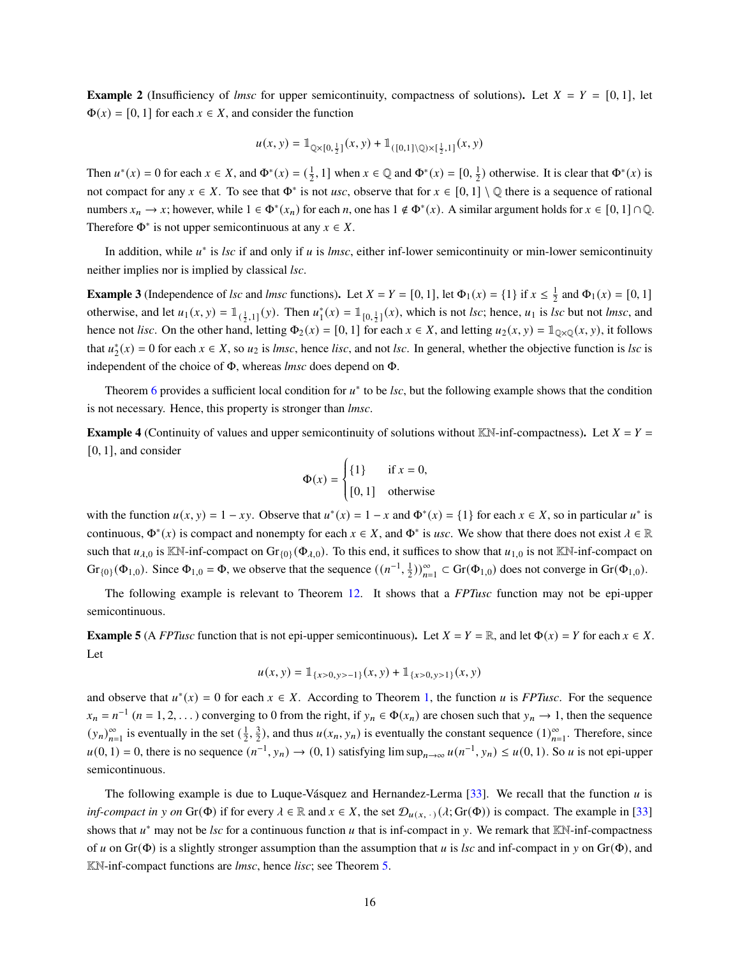**Example 2** (Insufficiency of *lmsc* for upper semicontinuity, compactness of solutions). Let  $X = Y = [0, 1]$ , let  $\Phi(x) = [0, 1]$  for each  $x \in X$ , and consider the function

$$
u(x, y) = \mathbb{1}_{\mathbb{Q}\times[0, \frac{1}{2}]}(x, y) + \mathbb{1}_{([0,1]\setminus\mathbb{Q})\times[\frac{1}{2}, 1]}(x, y)
$$

Then  $u^*(x) = 0$  for each  $x \in X$ , and  $\Phi^*(x) = \left(\frac{1}{2}, 1\right]$  when  $x \in \mathbb{Q}$  and  $\Phi^*(x) = \left[0, \frac{1}{2}\right)$  otherwise. It is clear that  $\Phi^*(x)$  is not compact for any  $x \in X$ . To see that  $\Phi^*$  is not *usc*, observe that for  $x \in [0,1] \setminus \mathbb{Q}$  there is a sequence of rational numbers  $x_n \to x$ ; however, while  $1 \in \Phi^*(x_n)$  for each *n*, one has  $1 \notin \Phi^*(x)$ . A similar argument holds for  $x \in [0, 1] \cap \mathbb{Q}$ . Therefore  $\Phi^*$  is not upper semicontinuous at any  $x \in X$ .

In addition, while  $u^*$  is *lsc* if and only if  $u$  is *lmsc*, either inf-lower semicontinuity or min-lower semicontinuity neither implies nor is implied by classical *lsc*.

**Example 3** (Independence of *lsc* and *lmsc* functions). Let  $X = Y = [0, 1]$ , let  $\Phi_1(x) = \{1\}$  if  $x \le \frac{1}{2}$  and  $\Phi_1(x) = [0, 1]$ otherwise, and let  $u_1(x, y) = \mathbb{1}_{(\frac{1}{2}, 1]}(y)$ . Then  $u_1^*(x) = \mathbb{1}_{[0, \frac{1}{2}]}(x)$ , which is not *lsc*; hence,  $u_1$  is *lsc* but not *lmsc*, and hence not *lisc*. On the other hand, letting  $\Phi_2(x) = [0, 1]$  for each  $x \in X$ , and letting  $u_2(x, y) = \mathbb{1}_{\mathbb{Q} \times \mathbb{Q}}(x, y)$ , it follows that  $u_2^*(x) = 0$  for each  $x \in X$ , so  $u_2$  is *lmsc*, hence *lisc*, and not *lsc*. In general, whether the objective function is *lsc* is independent of the choice of Φ, whereas *lmsc* does depend on Φ.

Theorem [6](#page-9-1) provides a sufficient local condition for  $u^*$  to be *lsc*, but the following example shows that the condition is not necessary. Hence, this property is stronger than *lmsc*.

<span id="page-15-0"></span>**Example 4** (Continuity of values and upper semicontinuity of solutions without KN-inf-compactness). Let  $X = Y =$ [0, 1], and consider

$$
\Phi(x) = \begin{cases} \{1\} & \text{if } x = 0, \\ [0, 1] & \text{otherwise} \end{cases}
$$

with the function  $u(x, y) = 1 - xy$ . Observe that  $u^*(x) = 1 - x$  and  $\Phi^*(x) = \{1\}$  for each  $x \in X$ , so in particular  $u^*$  is continuous,  $\Phi^*(x)$  is compact and nonempty for each  $x \in X$ , and  $\Phi^*$  is *usc*. We show that there does not exist  $\lambda \in \mathbb{R}$ such that  $u_{\lambda,0}$  is KN-inf-compact on Gr<sub>{0}</sub>( $\Phi_{\lambda,0}$ ). To this end, it suffices to show that  $u_{1,0}$  is not KN-inf-compact on  $Gr_{\{0\}}(\Phi_{1,0})$ . Since  $\Phi_{1,0} = \Phi$ , we observe that the sequence  $((n^{-1}, \frac{1}{2}))_{n=1}^{\infty} \subset Gr(\Phi_{1,0})$  does not converge in  $Gr(\Phi_{1,0})$ .

The following example is relevant to Theorem [12.](#page-12-1) It shows that a *FPTusc* function may not be epi-upper semicontinuous.

<span id="page-15-1"></span>**Example 5** (A *FPTusc* function that is not epi-upper semicontinuous). Let  $X = Y = \mathbb{R}$ , and let  $\Phi(x) = Y$  for each  $x \in X$ . Let

$$
u(x, y) = \mathbb{1}_{\{x>0, y>-1\}}(x, y) + \mathbb{1}_{\{x>0, y>1\}}(x, y)
$$

and observe that  $u^*(x) = 0$  for each  $x \in X$ . According to Theorem [1,](#page-3-3) the function u is *FPTusc*. For the sequence  $x_n = n^{-1}$   $(n = 1, 2, ...)$  converging to 0 from the right, if  $y_n \in \Phi(x_n)$  are chosen such that  $y_n \to 1$ , then the sequence  $(y_n)_{n=1}^{\infty}$  is eventually in the set  $(\frac{1}{2}, \frac{3}{2})$ , and thus  $u(x_n, y_n)$  is eventually the constant sequence  $(1)_{n=1}^{\infty}$ . Therefore, since  $u(0, 1) = 0$ , there is no sequence  $(n^{-1}, y_n) \rightarrow (0, 1)$  satisfying lim sup $_{n \rightarrow \infty} u(n^{-1}, y_n) \le u(0, 1)$ . So u is not epi-upper semicontinuous.

The following example is due to Luque-Vásquez and Hernandez-Lerma [\[33\]](#page-26-7). We recall that the function  $u$  is *inf-compact in* y on Gr( $\Phi$ ) if for every  $\lambda \in \mathbb{R}$  and  $x \in X$ , the set  $\mathcal{D}_{\mu(x, \cdot)}(\lambda; Gr(\Phi))$  is compact. The example in [\[33\]](#page-26-7) shows that  $u^*$  may not be *lsc* for a continuous function  $u$  that is inf-compact in  $y$ . We remark that  $\mathbb{K}\mathbb{N}$ -inf-compactness of u on  $Gr(\Phi)$  is a slightly stronger assumption than the assumption that u is lsc and inf-compact in y on  $Gr(\Phi)$ , and KN-inf-compact functions are *lmsc*, hence *lisc*; see Theorem [5.](#page-7-3)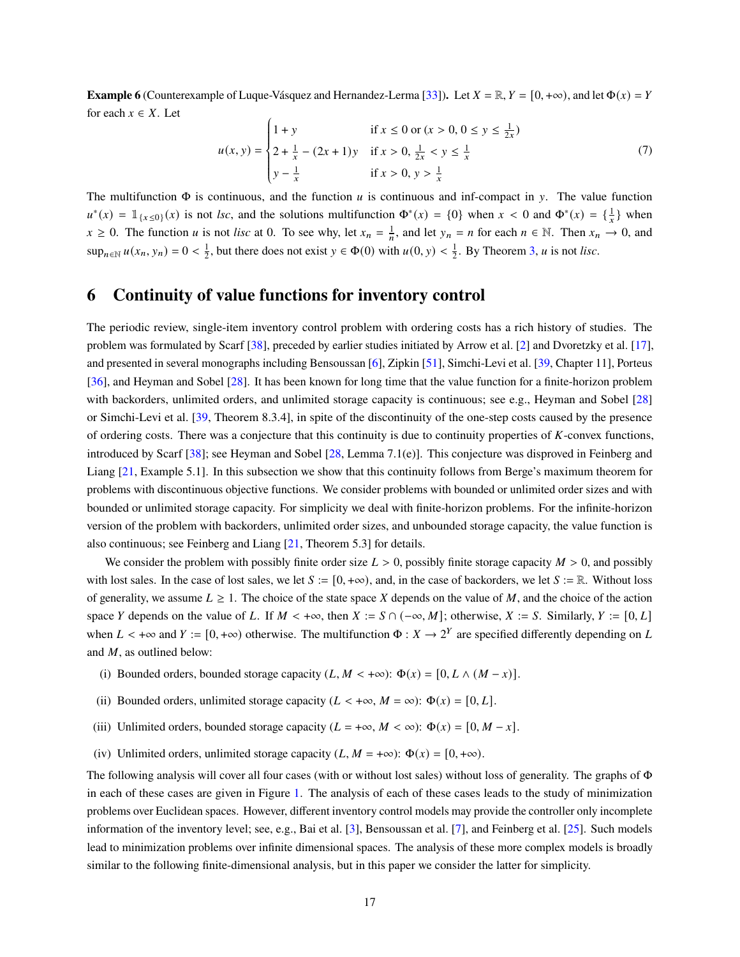**Example 6** (Counterexample of Luque-Vásquez and Hernandez-Lerma [\[33\]](#page-26-7)). Let  $X = \mathbb{R}$ ,  $Y = [0, +\infty)$ , and let  $\Phi(x) = Y$ for each  $x \in X$ . Let

$$
u(x, y) = \begin{cases} 1 + y & \text{if } x \le 0 \text{ or } (x > 0, 0 \le y \le \frac{1}{2x}) \\ 2 + \frac{1}{x} - (2x + 1)y & \text{if } x > 0, \frac{1}{2x} < y \le \frac{1}{x} \\ y - \frac{1}{x} & \text{if } x > 0, y > \frac{1}{x} \end{cases}
$$
(7)

The multifunction  $\Phi$  is continuous, and the function *u* is continuous and inf-compact in y. The value function  $u^*(x) = \mathbb{1}_{\{x \le 0\}}(x)$  is not *lsc*, and the solutions multifunction  $\Phi^*(x) = \{0\}$  when  $x < 0$  and  $\Phi^*(x) = \{\frac{1}{x}\}\$ when  $x \ge 0$ . The function *u* is not *lisc* at 0. To see why, let  $x_n = \frac{1}{n}$ , and let  $y_n = n$  for each  $n \in \mathbb{N}$ . Then  $x_n \to 0$ , and  $\sup_{n\in\mathbb{N}} u(x_n, y_n) = 0 < \frac{1}{2}$ , but there does not exist  $y \in \Phi(0)$  with  $u(0, y) < \frac{1}{2}$ . By Theorem [3,](#page-5-2) u is not *lisc*.

# <span id="page-16-0"></span>**6 Continuity of value functions for inventory control**

The periodic review, single-item inventory control problem with ordering costs has a rich history of studies. The problem was formulated by Scarf [\[38\]](#page-26-8), preceded by earlier studies initiated by Arrow et al. [\[2\]](#page-24-4) and Dvoretzky et al. [\[17\]](#page-25-11), and presented in several monographs including Bensoussan [\[6\]](#page-24-5), Zipkin [\[51\]](#page-27-4), Simchi-Levi et al. [\[39,](#page-26-9) Chapter 11], Porteus [\[36\]](#page-26-10), and Heyman and Sobel [\[28\]](#page-26-11). It has been known for long time that the value function for a finite-horizon problem with backorders, unlimited orders, and unlimited storage capacity is continuous; see e.g., Heyman and Sobel [\[28\]](#page-26-11) or Simchi-Levi et al. [\[39,](#page-26-9) Theorem 8.3.4], in spite of the discontinuity of the one-step costs caused by the presence of ordering costs. There was a conjecture that this continuity is due to continuity properties of  $K$ -convex functions, introduced by Scarf [\[38\]](#page-26-8); see Heyman and Sobel [\[28,](#page-26-11) Lemma 7.1(e)]. This conjecture was disproved in Feinberg and Liang [\[21,](#page-25-12) Example 5.1]. In this subsection we show that this continuity follows from Berge's maximum theorem for problems with discontinuous objective functions. We consider problems with bounded or unlimited order sizes and with bounded or unlimited storage capacity. For simplicity we deal with finite-horizon problems. For the infinite-horizon version of the problem with backorders, unlimited order sizes, and unbounded storage capacity, the value function is also continuous; see Feinberg and Liang [\[21,](#page-25-12) Theorem 5.3] for details.

We consider the problem with possibly finite order size  $L > 0$ , possibly finite storage capacity  $M > 0$ , and possibly with lost sales. In the case of lost sales, we let  $S := [0, +\infty)$ , and, in the case of backorders, we let  $S := \mathbb{R}$ . Without loss of generality, we assume  $L \geq 1$ . The choice of the state space X depends on the value of M, and the choice of the action space Y depends on the value of L. If  $M < +\infty$ , then  $X := S \cap (-\infty, M]$ ; otherwise,  $X := S$ . Similarly,  $Y := [0, L]$ when  $L < +\infty$  and  $Y := [0, +\infty)$  otherwise. The multifunction  $\Phi : X \to 2^Y$  are specified differently depending on L and  $M$ , as outlined below:

- (i) Bounded orders, bounded storage capacity  $(L, M < +\infty)$ :  $\Phi(x) = [0, L \wedge (M x)].$
- (ii) Bounded orders, unlimited storage capacity ( $L < +\infty$ ,  $M = \infty$ ):  $\Phi(x) = [0, L]$ .
- (iii) Unlimited orders, bounded storage capacity ( $L = +\infty$ ,  $M < \infty$ ):  $\Phi(x) = [0, M x]$ .
- (iv) Unlimited orders, unlimited storage capacity  $(L, M = +\infty)$ :  $\Phi(x) = [0, +\infty)$ .

The following analysis will cover all four cases (with or without lost sales) without loss of generality. The graphs of Φ in each of these cases are given in Figure [1.](#page-17-1) The analysis of each of these cases leads to the study of minimization problems over Euclidean spaces. However, different inventory control models may provide the controller only incomplete information of the inventory level; see, e.g., Bai et al. [\[3\]](#page-24-6), Bensoussan et al. [\[7\]](#page-24-7), and Feinberg et al. [\[25\]](#page-25-13). Such models lead to minimization problems over infinite dimensional spaces. The analysis of these more complex models is broadly similar to the following finite-dimensional analysis, but in this paper we consider the latter for simplicity.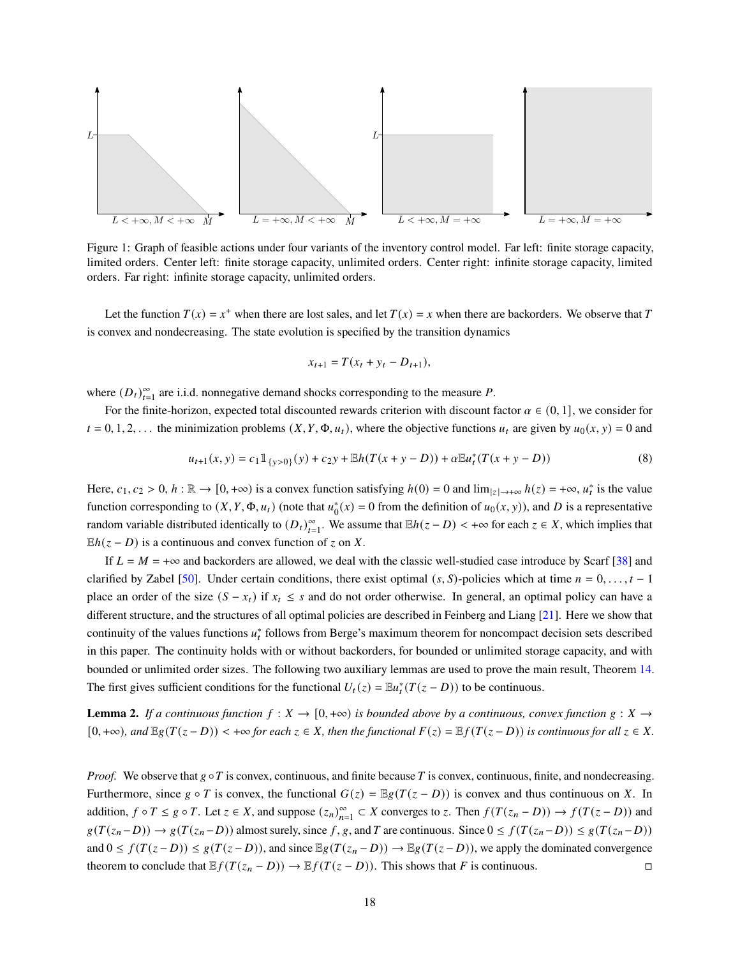

<span id="page-17-1"></span>Figure 1: Graph of feasible actions under four variants of the inventory control model. Far left: finite storage capacity, limited orders. Center left: finite storage capacity, unlimited orders. Center right: infinite storage capacity, limited orders. Far right: infinite storage capacity, unlimited orders.

Let the function  $T(x) = x^+$  when there are lost sales, and let  $T(x) = x$  when there are backorders. We observe that T is convex and nondecreasing. The state evolution is specified by the transition dynamics

$$
x_{t+1} = T(x_t + y_t - D_{t+1}),
$$

where  $(D_t)_{t=1}^{\infty}$  are i.i.d. nonnegative demand shocks corresponding to the measure P.

For the finite-horizon, expected total discounted rewards criterion with discount factor  $\alpha \in (0, 1]$ , we consider for  $t = 0, 1, 2, \ldots$  the minimization problems  $(X, Y, \Phi, u_t)$ , where the objective functions  $u_t$  are given by  $u_0(x, y) = 0$  and

<span id="page-17-0"></span>
$$
u_{t+1}(x, y) = c_1 1\!\!1_{\{y>0\}}(y) + c_2 y + \mathbb{E}h(T(x+y-D)) + \alpha \mathbb{E}u_t^*(T(x+y-D))
$$
\n(8)

Here,  $c_1, c_2 > 0$ ,  $h : \mathbb{R} \to [0, +\infty)$  is a convex function satisfying  $h(0) = 0$  and  $\lim_{|z| \to +\infty} h(z) = +\infty$ ,  $u_t^*$  is the value function corresponding to  $(X, Y, \Phi, u_t)$  (note that  $u_0^*(x) = 0$  from the definition of  $u_0(x, y)$ ), and D is a representative random variable distributed identically to  $(D_t)_{t=1}^{\infty}$ . We assume that  $\mathbb{E}h(z-D) < +\infty$  for each  $z \in X$ , which implies that  $Eh(z - D)$  is a continuous and convex function of z on X.

If  $L = M = +\infty$  and backorders are allowed, we deal with the classic well-studied case introduce by Scarf [\[38\]](#page-26-8) and clarified by Zabel [\[50\]](#page-27-5). Under certain conditions, there exist optimal  $(s, S)$ -policies which at time  $n = 0, \ldots, t - 1$ place an order of the size  $(S - x_t)$  if  $x_t \leq s$  and do not order otherwise. In general, an optimal policy can have a different structure, and the structures of all optimal policies are described in Feinberg and Liang [\[21\]](#page-25-12). Here we show that continuity of the values functions  $u_t^*$  follows from Berge's maximum theorem for noncompact decision sets described in this paper. The continuity holds with or without backorders, for bounded or unlimited storage capacity, and with bounded or unlimited order sizes. The following two auxiliary lemmas are used to prove the main result, Theorem [14.](#page-18-0) The first gives sufficient conditions for the functional  $U_t(z) = \mathbb{E}u_t^*(T(z-D))$  to be continuous.

<span id="page-17-2"></span>**Lemma 2.** If a continuous function  $f: X \to [0, +\infty)$  is bounded above by a continuous, convex function  $g: X \to$  $[0, +\infty)$ *, and*  $\mathbb{E}[g(T(z-D)) < +\infty$  *for each*  $z \in X$ *, then the functional*  $F(z) = \mathbb{E}[f(T(z-D))$  *is continuous for all*  $z \in X$ *.* 

*Proof.* We observe that  $g \circ T$  is convex, continuous, and finite because T is convex, continuous, finite, and nondecreasing. Furthermore, since  $g \circ T$  is convex, the functional  $G(z) = \mathbb{E}g(T(z - D))$  is convex and thus continuous on X. In addition,  $f \circ T \le g \circ T$ . Let  $z \in X$ , and suppose  $(z_n)_{n=1}^{\infty} \subset X$  converges to z. Then  $f(T(z_n - D)) \to f(T(z - D))$  and  $g(T(z_n-D)) \to g(T(z_n-D))$  almost surely, since f, g, and T are continuous. Since  $0 \le f(T(z_n-D)) \le g(T(z_n-D))$ and  $0 \le f(T(z-D)) \le g(T(z-D))$ , and since  $\mathbb{E}g(T(z-D)) \to \mathbb{E}g(T(z-D))$ , we apply the dominated convergence theorem to conclude that  $\mathbb{E} f(T(z_n - D)) \to \mathbb{E} f(T(z - D))$ . This shows that F is continuous.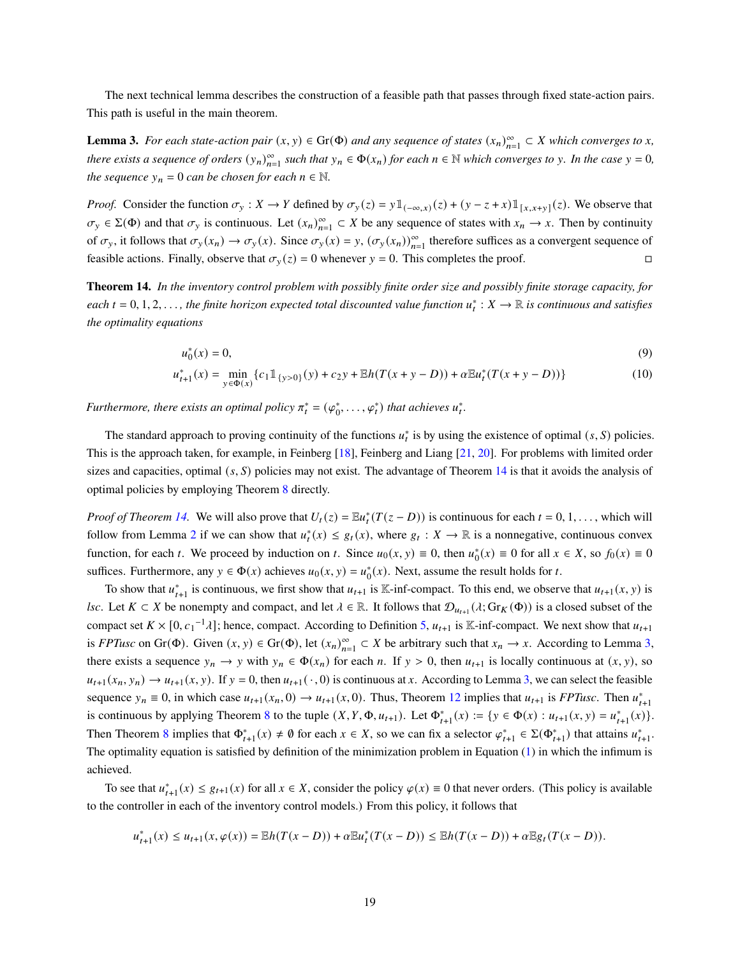The next technical lemma describes the construction of a feasible path that passes through fixed state-action pairs. This path is useful in the main theorem.

<span id="page-18-1"></span>**Lemma 3.** *For each state-action pair*  $(x, y) \in Gr(\Phi)$  *and any sequence of states*  $(x_n)_{n=1}^{\infty} \subset X$  *which converges to x*, *there exists a sequence of orders*  $(y_n)_{n=1}^{\infty}$  *such that*  $y_n \in \Phi(x_n)$  *for each*  $n \in \mathbb{N}$  *which converges to y*. In the case  $y = 0$ , *the sequence*  $y_n = 0$  *can be chosen for each*  $n \in \mathbb{N}$ *.* 

*Proof.* Consider the function  $\sigma_y : X \to Y$  defined by  $\sigma_y(z) = y \mathbb{1}_{(-\infty,x)}(z) + (y - z + x) \mathbb{1}_{[x,x+y]}(z)$ . We observe that  $\sigma_y \in \Sigma(\Phi)$  and that  $\sigma_y$  is continuous. Let  $(x_n)_{n=1}^{\infty} \subset X$  be any sequence of states with  $x_n \to x$ . Then by continuity of  $\sigma_y$ , it follows that  $\sigma_y(x_n) \to \sigma_y(x)$ . Since  $\sigma_y(x) = y$ ,  $(\sigma_y(x_n))_{n=1}^{\infty}$  therefore suffices as a convergent sequence of feasible actions. Finally, observe that  $\sigma_y(z) = 0$  whenever  $y = 0$ . This completes the proof.

**Theorem 14.** *In the inventory control problem with possibly finite order size and possibly finite storage capacity, for*  $each t = 0, 1, 2, \ldots$ , the finite horizon expected total discounted value function  $u_t^*: X \to \mathbb{R}$  is continuous and satisfies *the optimality equations*

<span id="page-18-2"></span><span id="page-18-0"></span>
$$
u_0^*(x) = 0,\t\t(9)
$$

$$
u_{t+1}^*(x) = \min_{y \in \Phi(x)} \{c_1 \mathbb{1}_{\{y > 0\}}(y) + c_2 y + \mathbb{E}h(T(x + y - D)) + \alpha \mathbb{E}u_t^*(T(x + y - D))\}
$$
(10)

*Furthermore, there exists an optimal policy*  $\pi_t^* = (\varphi_0^*, \ldots, \varphi_t^*)$  *that achieves*  $u_t^*$ .

The standard approach to proving continuity of the functions  $u_t^*$  is by using the existence of optimal  $(s, S)$  policies. This is the approach taken, for example, in Feinberg [\[18\]](#page-25-14), Feinberg and Liang [\[21,](#page-25-12) [20\]](#page-25-15). For problems with limited order sizes and capacities, optimal  $(s, S)$  policies may not exist. The advantage of Theorem [14](#page-18-0) is that it avoids the analysis of optimal policies by employing Theorem [8](#page-10-1) directly.

*Proof of Theorem [14.](#page-18-0)* We will also prove that  $U_t(z) = \mathbb{E} u_t^*(T(z - D))$  is continuous for each  $t = 0, 1, \ldots$ , which will follow from Lemma [2](#page-17-2) if we can show that  $u_t^*(x) \leq g_t(x)$ , where  $g_t : X \to \mathbb{R}$  is a nonnegative, continuous convex function, for each t. We proceed by induction on t. Since  $u_0(x, y) \equiv 0$ , then  $u_0^*(x) \equiv 0$  for all  $x \in X$ , so  $f_0(x) \equiv 0$ suffices. Furthermore, any  $y \in \Phi(x)$  achieves  $u_0(x, y) = u_0^*(x)$ . Next, assume the result holds for t.

To show that  $u_{t+1}^*$  is continuous, we first show that  $u_{t+1}$  is K-inf-compact. To this end, we observe that  $u_{t+1}(x, y)$  is *lsc*. Let  $K \subset X$  be nonempty and compact, and let  $\lambda \in \mathbb{R}$ . It follows that  $\mathcal{D}_{u_{t+1}}(\lambda; Gr_K(\Phi))$  is a closed subset of the compact set  $K \times [0, c_1^{-1} \lambda]$ ; hence, compact. According to Definition [5,](#page-13-1)  $u_{t+1}$  is K-inf-compact. We next show that  $u_{t+1}$ is *FPTusc* on Gr( $\Phi$ ). Given  $(x, y) \in \text{Gr}(\Phi)$ , let  $(x_n)_{n=1}^{\infty} \subset X$  be arbitrary such that  $x_n \to x$ . According to Lemma [3,](#page-18-1) there exists a sequence  $y_n \to y$  with  $y_n \in \Phi(x_n)$  for each n. If  $y > 0$ , then  $u_{t+1}$  is locally continuous at  $(x, y)$ , so  $u_{t+1}(x_n, y_n) \to u_{t+1}(x, y)$ . If  $y = 0$ , then  $u_{t+1}(\cdot, 0)$  is continuous at x. According to Lemma [3,](#page-18-1) we can select the feasible sequence  $y_n \equiv 0$ , in which case  $u_{t+1}(x_n, 0) \to u_{t+1}(x, 0)$ . Thus, Theorem [12](#page-12-1) implies that  $u_{t+1}$  is *FPTusc*. Then  $u_{t+1}^*$ is continuous by applying Theorem [8](#page-10-1) to the tuple  $(X, Y, \Phi, u_{t+1})$ . Let  $\Phi_{t+1}^*(x) := \{ y \in \Phi(x) : u_{t+1}(x, y) = u_{t+1}^*(x) \}.$ Then Theorem [8](#page-10-1) implies that  $\Phi_{t+1}^*(x) \neq \emptyset$  for each  $x \in X$ , so we can fix a selector  $\varphi_{t+1}^* \in \Sigma(\Phi_{t+1}^*)$  that attains  $u_{t+1}^*$ . The optimality equation is satisfied by definition of the minimization problem in Equation [\(1\)](#page-0-0) in which the infimum is achieved.

To see that  $u_{t+1}^*(x) \leq g_{t+1}(x)$  for all  $x \in X$ , consider the policy  $\varphi(x) \equiv 0$  that never orders. (This policy is available to the controller in each of the inventory control models.) From this policy, it follows that

$$
u_{t+1}^*(x) \le u_{t+1}(x,\varphi(x)) = \mathbb{E}h(T(x-D)) + \alpha \mathbb{E}u_t^*(T(x-D)) \le \mathbb{E}h(T(x-D)) + \alpha \mathbb{E}g_t(T(x-D)).
$$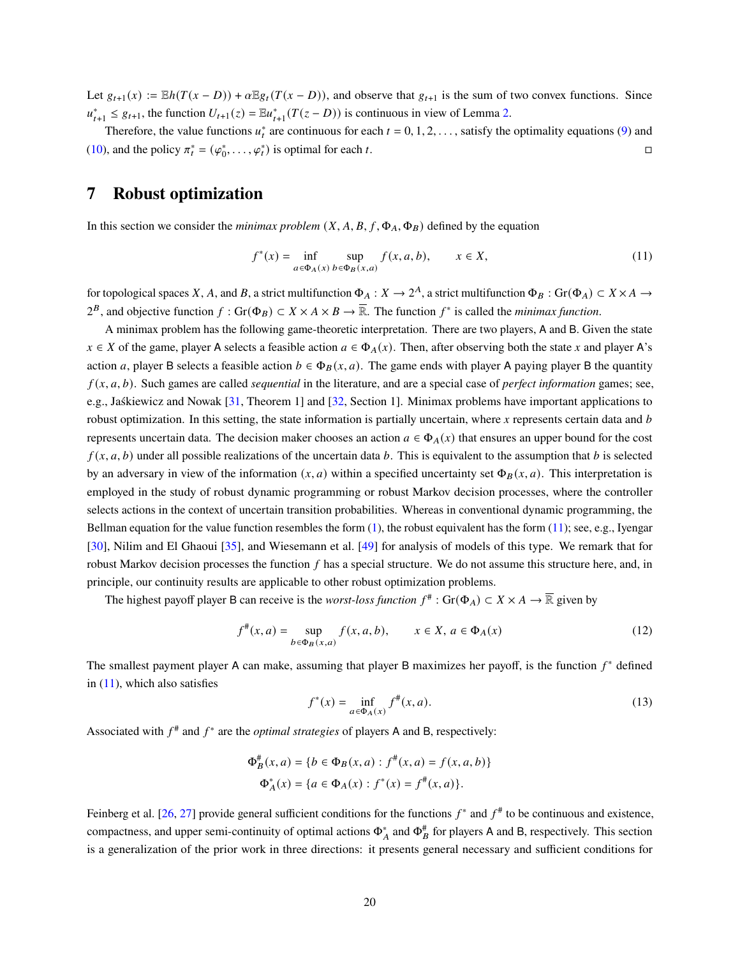Let  $g_{t+1}(x) := \mathbb{E}h(T(x-D)) + \alpha \mathbb{E}g_t(T(x-D))$ , and observe that  $g_{t+1}$  is the sum of two convex functions. Since  $u_{t+1}^* \leq g_{t+1}$ , the function  $U_{t+1}(z) = \mathbb{E}u_{t+1}^*(T(z-D))$  is continuous in view of Lemma [2.](#page-17-2)

Therefore, the value functions  $u_t^*$  are continuous for each  $t = 0, 1, 2, \ldots$ , satisfy the optimality equations [\(9\)](#page-18-2) and [\(10\)](#page-18-0), and the policy  $\pi_t^* = (\varphi_0^*, \dots, \varphi_t^*)$  is optimal for each t.

## <span id="page-19-0"></span>**7 Robust optimization**

In this section we consider the *minimax problem*  $(X, A, B, f, \Phi_A, \Phi_B)$  defined by the equation

<span id="page-19-1"></span>
$$
f^*(x) = \inf_{a \in \Phi_A(x)} \sup_{b \in \Phi_B(x,a)} f(x,a,b), \qquad x \in X,
$$
\n(11)

for topological spaces X, A, and B, a strict multifunction  $\Phi_A : X \to 2^A$ , a strict multifunction  $\Phi_B : \text{Gr}(\Phi_A) \subset X \times A \to X$  $2^B$ , and objective function  $f: Gr(\Phi_B) \subset X \times A \times B \to \overline{\mathbb{R}}$ . The function  $f^*$  is called the *minimax function*.

A minimax problem has the following game-theoretic interpretation. There are two players, A and B. Given the state  $x \in X$  of the game, player A selects a feasible action  $a \in \Phi_A(x)$ . Then, after observing both the state x and player A's action a, player B selects a feasible action  $b \in \Phi_B(x, a)$ . The game ends with player A paying player B the quantity  $f(x, a, b)$ . Such games are called *sequential* in the literature, and are a special case of *perfect information* games; see, e.g., Jaśkiewicz and Nowak [\[31,](#page-26-12) Theorem 1] and [\[32,](#page-26-13) Section 1]. Minimax problems have important applications to robust optimization. In this setting, the state information is partially uncertain, where  $x$  represents certain data and  $b$ represents uncertain data. The decision maker chooses an action  $a \in \Phi_A(x)$  that ensures an upper bound for the cost  $f(x, a, b)$  under all possible realizations of the uncertain data b. This is equivalent to the assumption that b is selected by an adversary in view of the information  $(x, a)$  within a specified uncertainty set  $\Phi_B(x, a)$ . This interpretation is employed in the study of robust dynamic programming or robust Markov decision processes, where the controller selects actions in the context of uncertain transition probabilities. Whereas in conventional dynamic programming, the Bellman equation for the value function resembles the form  $(1)$ , the robust equivalent has the form  $(11)$ ; see, e.g., Iyengar [\[30\]](#page-26-14), Nilim and El Ghaoui [\[35\]](#page-26-15), and Wiesemann et al. [\[49\]](#page-27-6) for analysis of models of this type. We remark that for robust Markov decision processes the function  $f$  has a special structure. We do not assume this structure here, and, in principle, our continuity results are applicable to other robust optimization problems.

The highest payoff player B can receive is the *worst-loss function*  $f^*$ : Gr( $\Phi_A$ )  $\subset X \times A \to \overline{\mathbb{R}}$  given by

<span id="page-19-2"></span>
$$
f^{\#}(x, a) = \sup_{b \in \Phi_B(x, a)} f(x, a, b), \qquad x \in X, a \in \Phi_A(x)
$$
 (12)

The smallest payment player A can make, assuming that player B maximizes her payoff, is the function  $f^*$  defined in  $(11)$ , which also satisfies

<span id="page-19-3"></span>
$$
f^*(x) = \inf_{a \in \Phi_A(x)} f^{\#}(x, a).
$$
 (13)

Associated with  $f^*$  and  $f^*$  are the *optimal strategies* of players A and B, respectively:

$$
\Phi_B^*(x, a) = \{b \in \Phi_B(x, a) : f^*(x, a) = f(x, a, b)\}
$$

$$
\Phi_A^*(x) = \{a \in \Phi_A(x) : f^*(x) = f^*(x, a)\}.
$$

Feinberg et al. [\[26,](#page-26-16) [27\]](#page-26-17) provide general sufficient conditions for the functions  $f^*$  and  $f^*$  to be continuous and existence. compactness, and upper semi-continuity of optimal actions  $\Phi_A^*$  and  $\Phi_B^{\#}$  for players A and B, respectively. This section is a generalization of the prior work in three directions: it presents general necessary and sufficient conditions for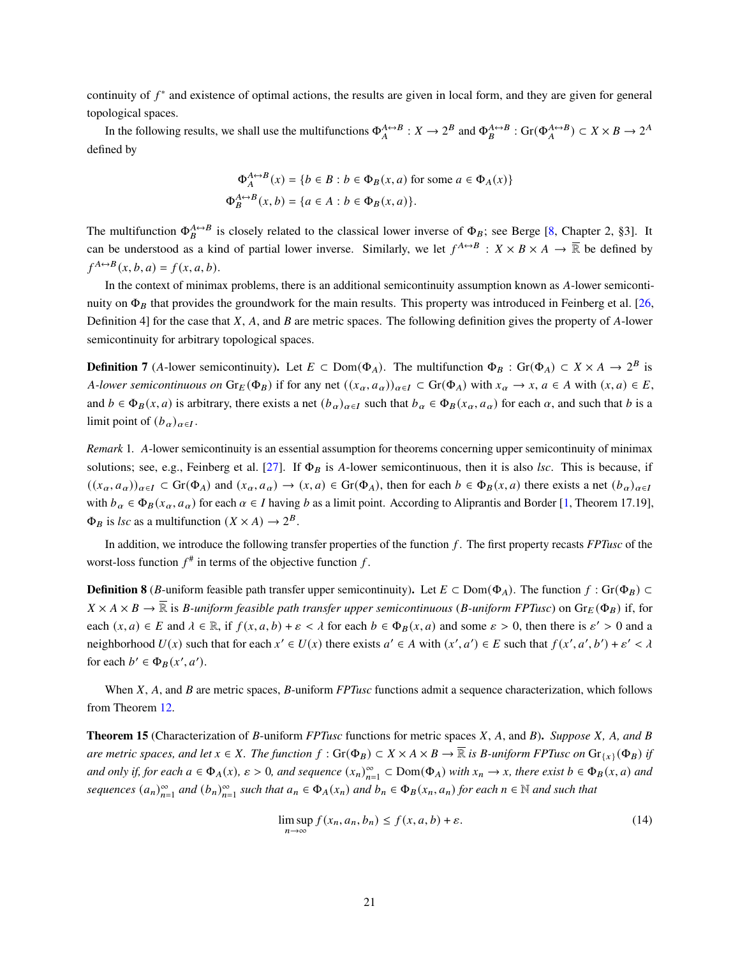continuity of  $f^*$  and existence of optimal actions, the results are given in local form, and they are given for general topological spaces.

In the following results, we shall use the multifunctions  $\Phi_A^{A \leftrightarrow B} : X \to 2^B$  and  $\Phi_B^{A \leftrightarrow B} : \text{Gr}(\Phi_A^{A \leftrightarrow B}) \subset X \times B \to 2^A$ defined by

$$
\Phi_A^{A \leftrightarrow B}(x) = \{ b \in B : b \in \Phi_B(x, a) \text{ for some } a \in \Phi_A(x) \}
$$
  

$$
\Phi_B^{A \leftrightarrow B}(x, b) = \{ a \in A : b \in \Phi_B(x, a) \}.
$$

The multifunction  $\Phi_B^{A \leftrightarrow B}$  is closely related to the classical lower inverse of  $\Phi_B$ ; see Berge [\[8,](#page-24-0) Chapter 2, §3]. It can be understood as a kind of partial lower inverse. Similarly, we let  $f^{A \leftrightarrow B}$  :  $X \times B \times A \to \overline{\mathbb{R}}$  be defined by  $f^{A \leftrightarrow B}(x, b, a) = f(x, a, b).$ 

In the context of minimax problems, there is an additional semicontinuity assumption known as A-lower semicontinuity on  $\Phi_B$  that provides the groundwork for the main results. This property was introduced in Feinberg et al. [\[26,](#page-26-16) Definition 4] for the case that  $X$ ,  $A$ , and  $B$  are metric spaces. The following definition gives the property of  $A$ -lower semicontinuity for arbitrary topological spaces.

**Definition 7** (A-lower semicontinuity). Let  $E \subset \text{Dom}(\Phi_A)$ . The multifunction  $\Phi_B : \text{Gr}(\Phi_A) \subset X \times A \to 2^B$  is *A*-lower semicontinuous on  $\text{Gr}_E(\Phi_B)$  if for any net  $((x_\alpha, a_\alpha))_{\alpha \in I} \subset \text{Gr}(\Phi_A)$  with  $x_\alpha \to x$ ,  $a \in A$  with  $(x, a) \in E$ , and  $b \in \Phi_B(x, a)$  is arbitrary, there exists a net  $(b_\alpha)_{\alpha \in I}$  such that  $b_\alpha \in \Phi_B(x_\alpha, a_\alpha)$  for each  $\alpha$ , and such that  $b$  is a limit point of  $(b_{\alpha})_{\alpha \in I}$ .

<span id="page-20-0"></span>*Remark* 1. A-lower semicontinuity is an essential assumption for theorems concerning upper semicontinuity of minimax solutions; see, e.g., Feinberg et al. [\[27\]](#page-26-17). If  $\Phi_B$  is A-lower semicontinuous, then it is also *lsc*. This is because, if  $((x_{\alpha}, a_{\alpha}))_{\alpha \in I} \subset \text{Gr}(\Phi_A)$  and  $(x_{\alpha}, a_{\alpha}) \to (x, a) \in \text{Gr}(\Phi_A)$ , then for each  $b \in \Phi_B(x, a)$  there exists a net  $(b_{\alpha})_{\alpha \in I}$ with  $b_{\alpha} \in \Phi_B(x_{\alpha}, a_{\alpha})$  for each  $\alpha \in I$  having b as a limit point. According to Aliprantis and Border [\[1,](#page-24-1) Theorem 17.19],  $\Phi_B$  is *lsc* as a multifunction  $(X \times A) \rightarrow 2^B$ .

In addition, we introduce the following transfer properties of the function  $f$ . The first property recasts  $FPT$ usc of the worst-loss function  $f^*$  in terms of the objective function f.

**Definition 8** (B-uniform feasible path transfer upper semicontinuity). Let  $E \subset Dom(\Phi_A)$ . The function  $f : Gr(\Phi_B) \subset$  $X \times A \times B \to \overline{\mathbb{R}}$  is *B*-uniform feasible path transfer upper semicontinuous (*B*-uniform FPTusc) on  $\text{Gr}_E(\Phi_B)$  if, for each  $(x, a) \in E$  and  $\lambda \in \mathbb{R}$ , if  $f(x, a, b) + \varepsilon < \lambda$  for each  $b \in \Phi_B(x, a)$  and some  $\varepsilon > 0$ , then there is  $\varepsilon' > 0$  and a neighborhood  $U(x)$  such that for each  $x' \in U(x)$  there exists  $a' \in A$  with  $(x', a') \in E$  such that  $f(x', a', b') + \varepsilon' < \lambda$ for each  $b' \in \Phi_B(x', a')$ .

When X, A, and B are metric spaces, B-uniform *FPTusc* functions admit a sequence characterization, which follows from Theorem [12.](#page-12-1)

**Theorem 15** (Characterization of B-uniform *FPTusc* functions for metric spaces  $X$ ,  $A$ , and  $B$ ). *Suppose*  $X$ ,  $A$ , and  $B$ *are metric spaces, and let*  $x \in X$ *. The function*  $f : Gr(\Phi_B) \subset X \times A \times B \to \overline{\mathbb{R}}$  *is B-uniform FPTusc on*  $Gr_{\{x\}}(\Phi_B)$  *if*  $\alpha$  and only if, for each  $a \in \Phi_A(x)$ ,  $\varepsilon > 0$ , and sequence  $(x_n)_{n=1}^{\infty} \subset \text{Dom}(\Phi_A)$  with  $x_n \to x$ , there exist  $b \in \Phi_B(x, a)$  and *sequences*  $(a_n)_{n=1}^{\infty}$  and  $(b_n)_{n=1}^{\infty}$  such that  $a_n \in \Phi_A(x_n)$  and  $b_n \in \Phi_B(x_n, a_n)$  for each  $n \in \mathbb{N}$  and such that

$$
\limsup_{n \to \infty} f(x_n, a_n, b_n) \le f(x, a, b) + \varepsilon. \tag{14}
$$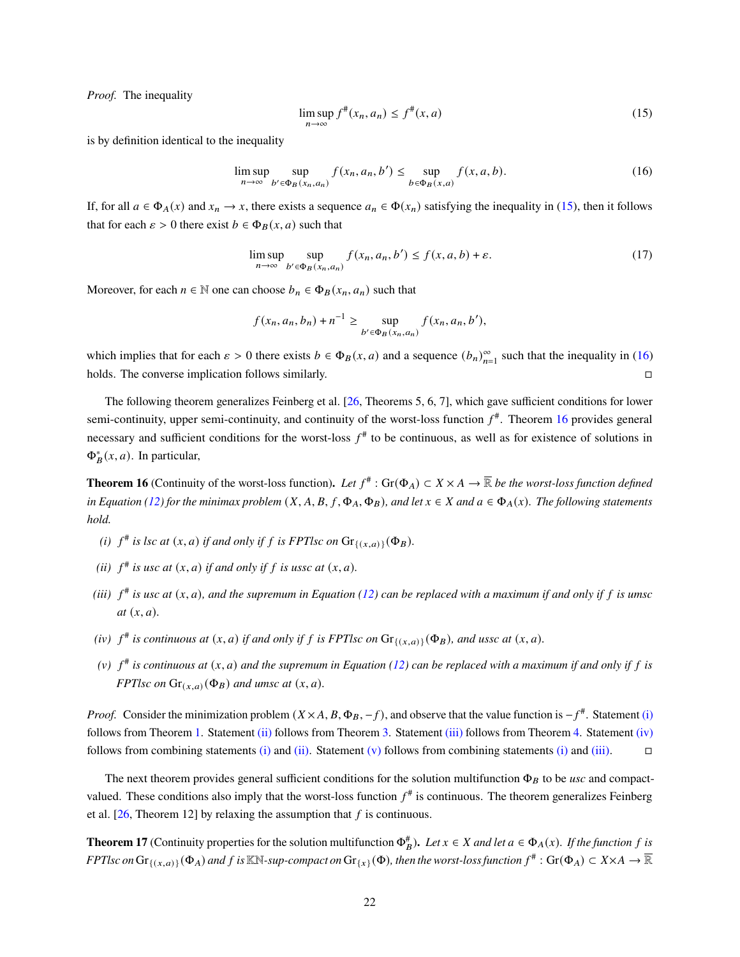*Proof.* The inequality

<span id="page-21-0"></span>
$$
\limsup_{n \to \infty} f^{\#}(x_n, a_n) \le f^{\#}(x, a)
$$
\n(15)

is by definition identical to the inequality

<span id="page-21-1"></span>
$$
\limsup_{n \to \infty} \sup_{b' \in \Phi_B(x_n, a_n)} f(x_n, a_n, b') \le \sup_{b \in \Phi_B(x, a)} f(x, a, b). \tag{16}
$$

If, for all  $a \in \Phi_A(x)$  and  $x_n \to x$ , there exists a sequence  $a_n \in \Phi(x_n)$  satisfying the inequality in [\(15\)](#page-21-0), then it follows that for each  $\varepsilon > 0$  there exist  $b \in \Phi_B(x, a)$  such that

$$
\limsup_{n \to \infty} \sup_{b' \in \Phi_B(x_n, a_n)} f(x_n, a_n, b') \le f(x, a, b) + \varepsilon. \tag{17}
$$

Moreover, for each  $n \in \mathbb{N}$  one can choose  $b_n \in \Phi_B(x_n, a_n)$  such that

$$
f(x_n, a_n, b_n) + n^{-1} \ge \sup_{b' \in \Phi_B(x_n, a_n)} f(x_n, a_n, b'),
$$

which implies that for each  $\varepsilon > 0$  there exists  $b \in \Phi_B(x, a)$  and a sequence  $(b_n)_{n=1}^{\infty}$  such that the inequality in [\(16\)](#page-21-1) holds. The converse implication follows similarly.

The following theorem generalizes Feinberg et al. [\[26,](#page-26-16) Theorems 5, 6, 7], which gave sufficient conditions for lower semi-continuity, upper semi-continuity, and continuity of the worst-loss function  $f^*$ . Theorem [16](#page-21-2) provides general necessary and sufficient conditions for the worst-loss  $f^*$  to be continuous, as well as for existence of solutions in  $\Phi_B^*(x, a)$ . In particular,

**Theorem 16** (Continuity of the worst-loss function). Let  $f^*$  : Gr( $\Phi_A$ )  $\subset X \times A \to \overline{\mathbb{R}}$  be the worst-loss function defined *in Equation [\(12\)](#page-19-2)* for the minimax problem  $(X, A, B, f, \Phi_A, \Phi_B)$ , and let  $x \in X$  and  $a \in \Phi_A(x)$ . The following statements *hold.*

- <span id="page-21-3"></span>*(i)*  $f^{\#}$  *is lsc at*  $(x, a)$  *if and only if*  $f$  *is FPTlsc on*  $Gr_{\{(x, a)\}}(\Phi_B)$ *.*
- <span id="page-21-4"></span>(*ii*)  $f^{\#}$  *is usc at*  $(x, a)$  *if and only if*  $f$  *is ussc at*  $(x, a)$ *.*
- <span id="page-21-5"></span>*(iii)*  $f^{\#}$  is usc at  $(x, a)$ , and the supremum in Equation [\(12\)](#page-19-2) can be replaced with a maximum if and only if f is umsc  $at (x, a)$ *.*
- <span id="page-21-6"></span>*(iv)*  $f^{\#}$  *is continuous at*  $(x, a)$  *if and only if*  $f$  *is FPTlsc on*  $Gr_{\{(x,a)\}}(\Phi_B)$ *, and ussc at*  $(x, a)$ *.*
- <span id="page-21-2"></span>(v)  $f^*$  is continuous at  $(x, a)$  and the supremum in Equation [\(12\)](#page-19-2) can be replaced with a maximum if and only if f is *FPTlsc on*  $\text{Gr}_{(x,a)}(\Phi_B)$  *and umsc at*  $(x, a)$ *.*

*Proof.* Consider the minimization problem  $(X \times A, B, \Phi_B, -f)$ , and observe that the value function is  $-f^*$ . Statement [\(i\)](#page-21-3) follows from Theorem [1.](#page-3-3) Statement [\(ii\)](#page-21-4) follows from Theorem [3.](#page-5-2) Statement [\(iii\)](#page-21-5) follows from Theorem [4.](#page-6-0) Statement [\(iv\)](#page-21-6) follows from combining statements [\(i\)](#page-21-3) and [\(ii\).](#page-21-4) Statement [\(v\)](#page-21-2) follows from combining statements (i) and [\(iii\).](#page-21-5)  $\Box$ 

The next theorem provides general sufficient conditions for the solution multifunction  $\Phi_B$  to be *usc* and compactvalued. These conditions also imply that the worst-loss function  $f^{\#}$  is continuous. The theorem generalizes Feinberg et al.  $[26,$  Theorem 12] by relaxing the assumption that f is continuous.

**Theorem 17** (Continuity properties for the solution multifunction  $\Phi_B^*$ ). Let  $x \in X$  and let  $a \in \Phi_A(x)$ . If the function f is  $FPTlsc$  on  $\text{Gr}_{\{(x,a)\}}(\Phi_A)$  and  $f$  is  $\mathbb{K}\mathbb{N}$ -sup-compact on  $\text{Gr}_{\{x\}}(\Phi)$ , then the worst-loss function  $f^\#$  :  $\text{Gr}(\Phi_A)\subset X\times A\to \overline{\mathbb{R}}$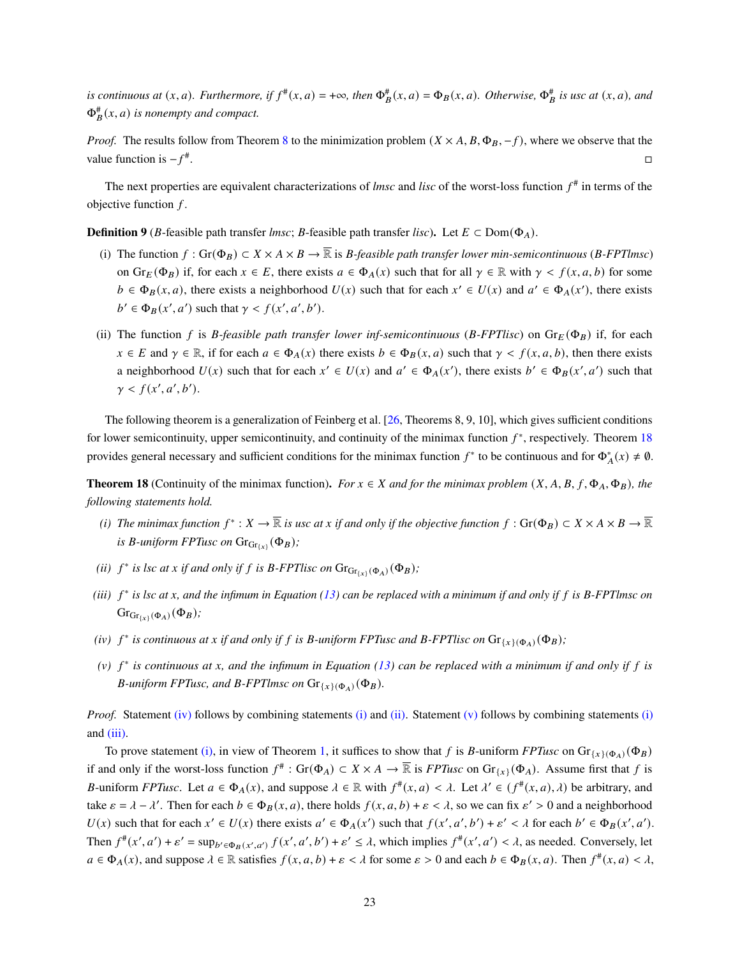*is continuous at*  $(x, a)$ *. Furthermore, if*  $f^*(x, a) = +\infty$ *, then*  $\Phi_B^*(x, a) = \Phi_B(x, a)$ *. Otherwise,*  $\Phi_B^*$  *is usc at*  $(x, a)$ *, and*  $\Phi_B^*(x, a)$  is nonempty and compact.

*Proof.* The results follow from Theorem [8](#page-10-1) to the minimization problem  $(X \times A, B, \Phi_B, -f)$ , where we observe that the value function is  $-f^*$ .

The next properties are equivalent characterizations of *lmsc* and *lisc* of the worst-loss function  $f^*$  in terms of the objective function  $f$ .

**Definition 9** (*B*-feasible path transfer *lmsc*; *B*-feasible path transfer *lisc*). Let  $E \subset Dom(\Phi_A)$ .

- (i) The function  $f: Gr(\Phi_B) \subset X \times A \times B \to \overline{\mathbb{R}}$  is *B*-feasible path transfer lower min-semicontinuous (*B-FPTlmsc*) on  $Gr_E(\Phi_B)$  if, for each  $x \in E$ , there exists  $a \in \Phi_A(x)$  such that for all  $\gamma \in \mathbb{R}$  with  $\gamma < f(x, a, b)$  for some  $b \in \Phi_B(x, a)$ , there exists a neighborhood  $U(x)$  such that for each  $x' \in U(x)$  and  $a' \in \Phi_A(x')$ , there exists  $b' \in \Phi_B(x', a')$  such that  $\gamma < f(x', a', b')$ .
- <span id="page-22-5"></span>(ii) The function f is *B*-feasible path transfer lower inf-semicontinuous ( $B$ -FPTlisc) on  $Gr_E(\Phi_B)$  if, for each  $x \in E$  and  $\gamma \in \mathbb{R}$ , if for each  $a \in \Phi_A(x)$  there exists  $b \in \Phi_B(x, a)$  such that  $\gamma < f(x, a, b)$ , then there exists a neighborhood  $U(x)$  such that for each  $x' \in U(x)$  and  $a' \in \Phi_A(x')$ , there exists  $b' \in \Phi_B(x', a')$  such that  $\gamma < f(x', a', b').$

The following theorem is a generalization of Feinberg et al. [\[26,](#page-26-16) Theorems 8, 9, 10], which gives sufficient conditions for lower semicontinuity, upper semicontinuity, and continuity of the minimax function  $f^*$ , respectively. Theorem [18](#page-22-0) provides general necessary and sufficient conditions for the minimax function  $f^*$  to be continuous and for  $\Phi_A^*(x) \neq \emptyset$ .

**Theorem 18** (Continuity of the minimax function). *For*  $x \in X$  and for the minimax problem  $(X, A, B, f, \Phi_A, \Phi_B)$ , the *following statements hold.*

- <span id="page-22-2"></span>*(i)* The minimax function  $f^*: X\to \overline{\mathbb{R}}$  is usc at x if and only if the objective function  $f:$   $Gr(\Phi_B)\subset X\times A\times B\to \overline{\mathbb{R}}$ *is B*-uniform FPTusc on  $\text{Gr}_{\text{Gr}_{\{x\}}}(\Phi_B)$ ;
- <span id="page-22-3"></span>(*ii*)  $f^*$  *is lsc at x if and only if*  $f$  *is B-FPTlisc on*  $\text{Gr}_{\text{Gr}_{\{x\}}(\Phi_A)}(\Phi_B)$ ;
- <span id="page-22-4"></span>(*iii*)  $f^*$  is lsc at *x*, and the infimum in Equation [\(13\)](#page-19-3) can be replaced with a minimum if and only if f is B-FPTlmsc on  $Gr<sub>Gr{x} {\{\alpha\}}(\Phi_A)(\Phi_B);</sub>$
- <span id="page-22-1"></span>(iv)  $f^*$  is continuous at x if and only if f is B-uniform FPTusc and B-FPTlisc on  $\text{Gr}_{\{x\}(\Phi_A)}(\Phi_B)$ ;
- <span id="page-22-0"></span> $(v)$   $f^*$  *is continuous at x, and the infimum in Equation [\(13\)](#page-19-3)* can be replaced with a minimum if and only if f is *B*-uniform FPTusc, and *B*-FPTlmsc on  $\text{Gr}_{\{x\}(\Phi_A)}(\Phi_B)$ .

*Proof.* Statement [\(iv\)](#page-22-1) follows by combining statements [\(i\)](#page-22-2) and [\(ii\).](#page-22-3) Statement [\(v\)](#page-22-0) follows by combining statements (i) and [\(iii\).](#page-22-4)

To prove statement [\(i\),](#page-22-2) in view of Theorem [1,](#page-3-3) it suffices to show that f is B-uniform *FPTusc* on  $\text{Gr}_{\{x\}(\Phi_A)}(\Phi_B)$ if and only if the worst-loss function  $f^*$ :  $Gr(\Phi_A) \subset X \times A \to \overline{\mathbb{R}}$  is *FPTusc* on  $Gr_{\{x\}}(\Phi_A)$ . Assume first that f is B-uniform *FPTusc*. Let  $a \in \Phi_A(x)$ , and suppose  $\lambda \in \mathbb{R}$  with  $f^*(x, a) < \lambda$ . Let  $\lambda' \in (f^*(x, a), \lambda)$  be arbitrary, and take  $\varepsilon = \lambda - \lambda'$ . Then for each  $b \in \Phi_B(x, a)$ , there holds  $f(x, a, b) + \varepsilon < \lambda$ , so we can fix  $\varepsilon' > 0$  and a neighborhood  $U(x)$  such that for each  $x' \in U(x)$  there exists  $a' \in \Phi_A(x')$  such that  $f(x', a', b') + \varepsilon' < \lambda$  for each  $b' \in \Phi_B(x', a')$ . Then  $f^*(x', a') + \varepsilon' = \sup_{b' \in \Phi_B(x', a')} f(x', a', b') + \varepsilon' \leq \lambda$ , which implies  $f^*(x', a') < \lambda$ , as needed. Conversely, let  $a \in \Phi_A(x)$ , and suppose  $\lambda \in \mathbb{R}$  satisfies  $f(x, a, b) + \varepsilon < \lambda$  for some  $\varepsilon > 0$  and each  $b \in \Phi_B(x, a)$ . Then  $f^*(x, a) < \lambda$ ,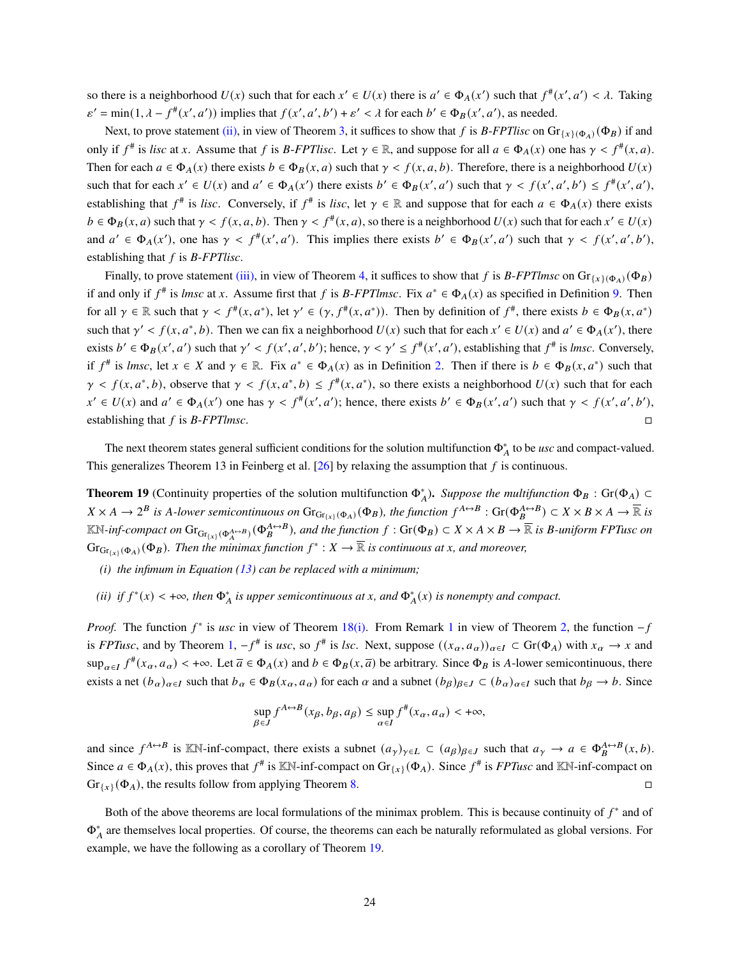so there is a neighborhood  $U(x)$  such that for each  $x' \in U(x)$  there is  $a' \in \Phi_A(x')$  such that  $f^*(x', a') < \lambda$ . Taking  $\varepsilon' = \min(1, \lambda - f^*(x', a'))$  implies that  $f(x', a', b') + \varepsilon' < \lambda$  for each  $b' \in \Phi_B(x', a')$ , as needed.

Next, to prove statement [\(ii\),](#page-22-3) in view of Theorem [3,](#page-5-2) it suffices to show that f is B-*FPTlisc* on  $Gr_{\{x\}(\Phi_A)}(\Phi_B)$  if and only if  $f^*$  is *lisc* at x. Assume that f is B-*FPTlisc*. Let  $\gamma \in \mathbb{R}$ , and suppose for all  $a \in \Phi_A(x)$  one has  $\gamma < f^*(x, a)$ . Then for each  $a \in \Phi_A(x)$  there exists  $b \in \Phi_B(x, a)$  such that  $\gamma < f(x, a, b)$ . Therefore, there is a neighborhood  $U(x)$ such that for each  $x' \in U(x)$  and  $a' \in \Phi_A(x')$  there exists  $b' \in \Phi_B(x', a')$  such that  $\gamma < f(x', a', b') \leq f^*(x', a')$ , establishing that  $f^{\#}$  is *lisc*. Conversely, if  $f^{\#}$  is *lisc*, let  $\gamma \in \mathbb{R}$  and suppose that for each  $a \in \Phi_A(x)$  there exists  $b \in \Phi_B(x, a)$  such that  $\gamma < f(x, a, b)$ . Then  $\gamma < f^*(x, a)$ , so there is a neighborhood  $U(x)$  such that for each  $x' \in U(x)$ and  $a' \in \Phi_A(x')$ , one has  $\gamma < f^*(x', a')$ . This implies there exists  $b' \in \Phi_B(x', a')$  such that  $\gamma < f(x', a', b')$ , establishing that  $f$  is  $B$ - $FPTlisc$ .

Finally, to prove statement [\(iii\),](#page-22-4) in view of Theorem [4,](#page-6-0) it suffices to show that f is  $B$ -*FPTlmsc* on  $Gr_{\{x\}\{Q_A\}}(\Phi_B)$ if and only if  $f^*$  is *lmsc* at x. Assume first that f is *B-FPTlmsc*. Fix  $a^* \in \Phi_A(x)$  as specified in Definition [9.](#page-22-5) Then for all  $\gamma \in \mathbb{R}$  such that  $\gamma < f^*(x, a^*)$ , let  $\gamma' \in (\gamma, f^*(x, a^*))$ . Then by definition of  $f^*$ , there exists  $b \in \Phi_B(x, a^*)$ such that  $\gamma' < f(x, a^*, b)$ . Then we can fix a neighborhood  $U(x)$  such that for each  $x' \in U(x)$  and  $a' \in \Phi_A(x')$ , there exists  $b' \in \Phi_B(x', a')$  such that  $\gamma' < f(x', a', b')$ ; hence,  $\gamma < \gamma' \leq f^*(x', a')$ , establishing that  $f^*$  is *lmsc*. Conversely, if  $f^*$  is *lmsc*, let  $x \in X$  and  $\gamma \in \mathbb{R}$ . Fix  $a^* \in \Phi_A(x)$  as in Definition [2.](#page-5-0) Then if there is  $b \in \Phi_B(x, a^*)$  such that  $\gamma \le f(x, a^*, b)$ , observe that  $\gamma \le f(x, a^*, b) \le f^*(x, a^*)$ , so there exists a neighborhood  $U(x)$  such that for each  $x' \in U(x)$  and  $a' \in \Phi_A(x')$  one has  $\gamma < f^*(x', a')$ ; hence, there exists  $b' \in \Phi_B(x', a')$  such that  $\gamma < f(x', a', b')$ , establishing that  $f$  is  $B$ -*FPTlmsc*.

The next theorem states general sufficient conditions for the solution multifunction  $\Phi_A^*$  to be *usc* and compact-valued. This generalizes Theorem 13 in Feinberg et al. [\[26\]](#page-26-16) by relaxing the assumption that  $f$  is continuous.

**Theorem 19** (Continuity properties of the solution multifunction  $\Phi_A^*$ ). *Suppose the multifunction*  $\Phi_B$ : Gr( $\Phi_A$ ) ⊂  $X \times A \to 2^B$  is A-lower semicontinuous on  $\text{Gr}_{\text{Gr}_{\{x\}}(\Phi_A)}(\Phi_B)$ , the function  $f^{A \leftrightarrow B} : \text{Gr}(\Phi_B^{A \leftrightarrow B}) \subset X \times B \times A \to \overline{\mathbb{R}}$  is  $\mathbb{K}\mathbb{N}$ -inf-compact on  $\text{Gr}_{\text{Gr}_{\{X\}}(\Phi_A^{A\leftrightarrow B})}(\Phi_B^{A\leftrightarrow B})$ , and the function  $f: \text{Gr}(\Phi_B)\subset X\times A\times B\to \overline{\mathbb{R}}$  is B-uniform FPTusc on  $Gr_{Gr(x)}(\Phi_A)(\Phi_B)$ . Then the minimax function  $f^*: X \to \overline{\mathbb{R}}$  is continuous at x, and moreover,

- *(i) the infimum in Equation [\(13\)](#page-19-3) can be replaced with a minimum;*
- <span id="page-23-0"></span>(*ii*) *if*  $f^*(x) < +\infty$ , then  $\Phi_A^*$  *is upper semicontinuous at x*, and  $\Phi_A^*(x)$  *is nonempty and compact.*

*Proof.* The function  $f^*$  is *usc* in view of Theorem [18](#page-22-0)[\(i\).](#page-22-2) From Remark [1](#page-20-0) in view of Theorem [2,](#page-4-2) the function  $-f$ is *FPTusc*, and by Theorem [1,](#page-3-3)  $-f^*$  is *usc*, so  $f^*$  is *lsc*. Next, suppose  $((x_\alpha, a_\alpha))_{\alpha \in I} \subset Gr(\Phi_A)$  with  $x_\alpha \to x$  and  $\sup_{\alpha \in I} f^*(x_\alpha, a_\alpha) < +\infty$ . Let  $\overline{a} \in \Phi_A(x)$  and  $b \in \Phi_B(x, \overline{a})$  be arbitrary. Since  $\Phi_B$  is A-lower semicontinuous, there exists a net  $(b_{\alpha})_{\alpha \in I}$  such that  $b_{\alpha} \in \Phi_B(x_{\alpha}, a_{\alpha})$  for each  $\alpha$  and a subnet  $(b_{\beta})_{\beta \in J} \subset (b_{\alpha})_{\alpha \in I}$  such that  $b_{\beta} \to b$ . Since

$$
\sup_{\beta \in J} f^{A \leftrightarrow B}(x_{\beta}, b_{\beta}, a_{\beta}) \le \sup_{\alpha \in I} f^{\#}(x_{\alpha}, a_{\alpha}) < +\infty,
$$

and since  $f^{A \leftrightarrow B}$  is KN-inf-compact, there exists a subnet  $(a_{\gamma})_{\gamma \in L} \subset (a_{\beta})_{\beta \in J}$  such that  $a_{\gamma} \to a \in \Phi_B^{A \leftrightarrow B}(x, b)$ . Since  $a \in \Phi_A(x)$ , this proves that  $f^{\#}$  is  $\mathbb{K}\mathbb{N}$ -inf-compact on  $\text{Gr}_{\{x\}}(\Phi_A)$ . Since  $f^{\#}$  is *FPTusc* and  $\mathbb{K}\mathbb{N}$ -inf-compact on  $Gr_{\{x\}}(\Phi_A)$ , the results follow from applying Theorem [8.](#page-10-1)

Both of the above theorems are local formulations of the minimax problem. This is because continuity of  $f^*$  and of  $\Phi_A^*$  are themselves local properties. Of course, the theorems can each be naturally reformulated as global versions. For example, we have the following as a corollary of Theorem [19.](#page-23-0)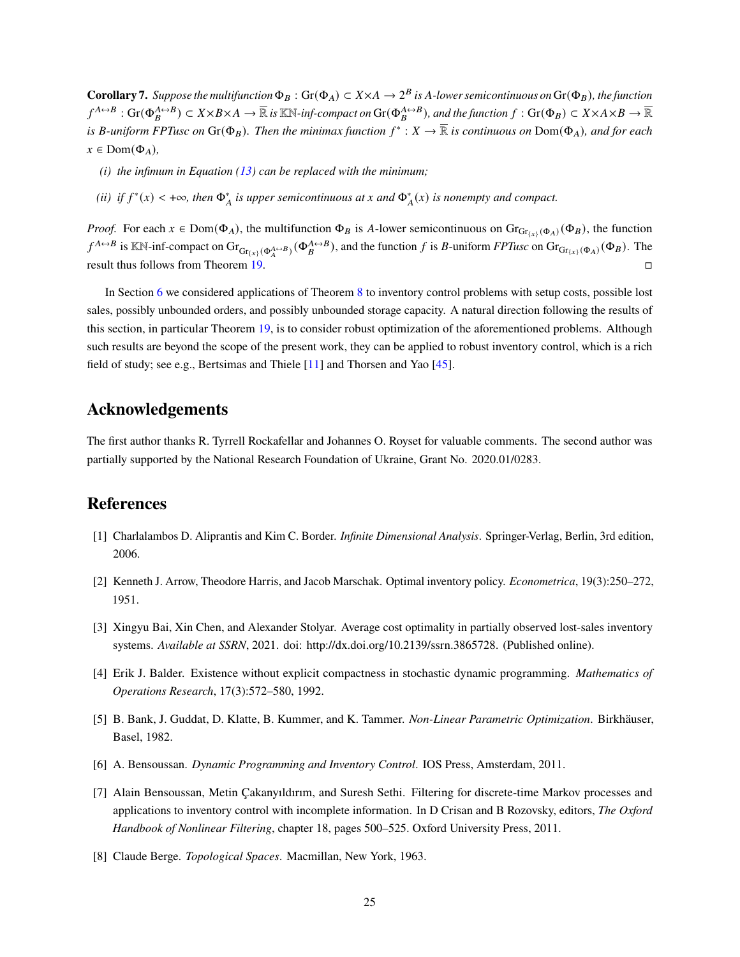**Corollary 7.** Suppose the multifunction  $\Phi_B$ :  $\text{Gr}(\Phi_A) \subset X \times A \to 2^B$  is A-lower semicontinuous on  $\text{Gr}(\Phi_B)$ , the function  $f^{A \leftrightarrow B}$  :  $\text{Gr}(\Phi_B^{A \leftrightarrow B}) \subset X \times B \times A \to \overline{\mathbb{R}}$  is KN-inf-compact on  $\text{Gr}(\Phi_B^{A \leftrightarrow B})$ , and the function  $f : \text{Gr}(\Phi_B) \subset X \times A \times B \to \overline{\mathbb{R}}$ is B-uniform FPTusc on  $\text{Gr}(\Phi_B)$ . Then the minimax function  $f^*:X\to\overline{\mathbb{R}}$  is continuous on  $\text{Dom}(\Phi_A)$ , and for each  $x \in \text{Dom}(\Phi_A)$ ,

- *(i) the infimum in Equation [\(13\)](#page-19-3) can be replaced with the minimum;*
- (*ii*) *if*  $f^*(x) < +\infty$ , then  $\Phi^*_{A}$  is upper semicontinuous at x and  $\Phi^*_{A}(x)$  is nonempty and compact.

*Proof.* For each  $x \in Dom(\Phi_A)$ , the multifunction  $\Phi_B$  is A-lower semicontinuous on  $Gr_{Gr(x)}(\Phi_A)(\Phi_B)$ , the function  $f^{A \leftrightarrow B}$  is KN-inf-compact on  $\text{Gr}_{\text{Gr}_{(x)}(\Phi_A^{A \leftrightarrow B})}(\Phi_B^{A \leftrightarrow B})$ , and the function f is B-uniform *FPTusc* on  $\text{Gr}_{\text{Gr}_{(x)}(\Phi_A)}(\Phi_B)$ . The result thus follows from Theorem [19.](#page-23-0)

In Section [6](#page-16-0) we considered applications of Theorem [8](#page-10-1) to inventory control problems with setup costs, possible lost sales, possibly unbounded orders, and possibly unbounded storage capacity. A natural direction following the results of this section, in particular Theorem [19,](#page-23-0) is to consider robust optimization of the aforementioned problems. Although such results are beyond the scope of the present work, they can be applied to robust inventory control, which is a rich field of study; see e.g., Bertsimas and Thiele [\[11\]](#page-25-16) and Thorsen and Yao [\[45\]](#page-27-7).

## **Acknowledgements**

The first author thanks R. Tyrrell Rockafellar and Johannes O. Royset for valuable comments. The second author was partially supported by the National Research Foundation of Ukraine, Grant No. 2020.01/0283.

## **References**

- <span id="page-24-1"></span>[1] Charlalambos D. Aliprantis and Kim C. Border. *Infinite Dimensional Analysis*. Springer-Verlag, Berlin, 3rd edition, 2006.
- <span id="page-24-4"></span>[2] Kenneth J. Arrow, Theodore Harris, and Jacob Marschak. Optimal inventory policy. *Econometrica*, 19(3):250–272, 1951.
- <span id="page-24-6"></span>[3] Xingyu Bai, Xin Chen, and Alexander Stolyar. Average cost optimality in partially observed lost-sales inventory systems. *Available at SSRN*, 2021. doi: http://dx.doi.org/10.2139/ssrn.3865728. (Published online).
- <span id="page-24-3"></span>[4] Erik J. Balder. Existence without explicit compactness in stochastic dynamic programming. *Mathematics of Operations Research*, 17(3):572–580, 1992.
- <span id="page-24-2"></span>[5] B. Bank, J. Guddat, D. Klatte, B. Kummer, and K. Tammer. *Non-Linear Parametric Optimization*. Birkhäuser, Basel, 1982.
- <span id="page-24-5"></span>[6] A. Bensoussan. *Dynamic Programming and Inventory Control*. IOS Press, Amsterdam, 2011.
- <span id="page-24-7"></span>[7] Alain Bensoussan, Metin Çakanyıldırım, and Suresh Sethi. Filtering for discrete-time Markov processes and applications to inventory control with incomplete information. In D Crisan and B Rozovsky, editors, *The Oxford Handbook of Nonlinear Filtering*, chapter 18, pages 500–525. Oxford University Press, 2011.
- <span id="page-24-0"></span>[8] Claude Berge. *Topological Spaces*. Macmillan, New York, 1963.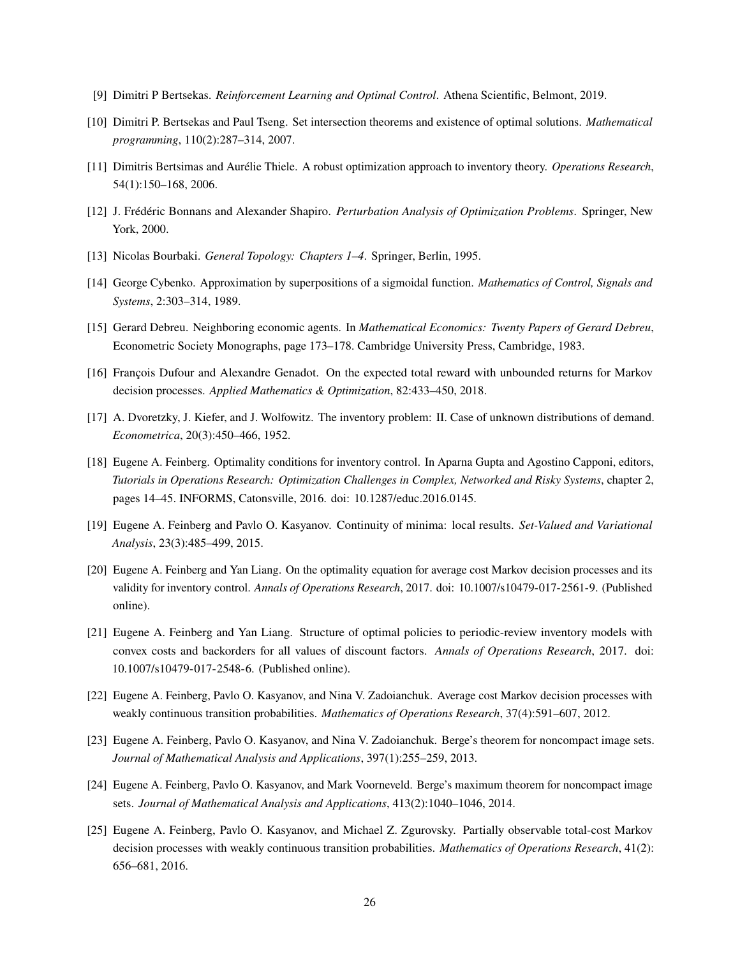- <span id="page-25-0"></span>[9] Dimitri P Bertsekas. *Reinforcement Learning and Optimal Control*. Athena Scientific, Belmont, 2019.
- <span id="page-25-7"></span>[10] Dimitri P. Bertsekas and Paul Tseng. Set intersection theorems and existence of optimal solutions. *Mathematical programming*, 110(2):287–314, 2007.
- <span id="page-25-16"></span>[11] Dimitris Bertsimas and Aurélie Thiele. A robust optimization approach to inventory theory. *Operations Research*, 54(1):150–168, 2006.
- <span id="page-25-4"></span>[12] J. Frédéric Bonnans and Alexander Shapiro. *Perturbation Analysis of Optimization Problems*. Springer, New York, 2000.
- <span id="page-25-8"></span>[13] Nicolas Bourbaki. *General Topology: Chapters 1–4*. Springer, Berlin, 1995.
- <span id="page-25-1"></span>[14] George Cybenko. Approximation by superpositions of a sigmoidal function. *Mathematics of Control, Signals and Systems*, 2:303–314, 1989.
- <span id="page-25-6"></span>[15] Gerard Debreu. Neighboring economic agents. In *Mathematical Economics: Twenty Papers of Gerard Debreu*, Econometric Society Monographs, page 173–178. Cambridge University Press, Cambridge, 1983.
- <span id="page-25-10"></span>[16] François Dufour and Alexandre Genadot. On the expected total reward with unbounded returns for Markov decision processes. *Applied Mathematics & Optimization*, 82:433–450, 2018.
- <span id="page-25-11"></span>[17] A. Dvoretzky, J. Kiefer, and J. Wolfowitz. The inventory problem: II. Case of unknown distributions of demand. *Econometrica*, 20(3):450–466, 1952.
- <span id="page-25-14"></span>[18] Eugene A. Feinberg. Optimality conditions for inventory control. In Aparna Gupta and Agostino Capponi, editors, *Tutorials in Operations Research: Optimization Challenges in Complex, Networked and Risky Systems*, chapter 2, pages 14–45. INFORMS, Catonsville, 2016. doi: 10.1287/educ.2016.0145.
- <span id="page-25-5"></span>[19] Eugene A. Feinberg and Pavlo O. Kasyanov. Continuity of minima: local results. *Set-Valued and Variational Analysis*, 23(3):485–499, 2015.
- <span id="page-25-15"></span>[20] Eugene A. Feinberg and Yan Liang. On the optimality equation for average cost Markov decision processes and its validity for inventory control. *Annals of Operations Research*, 2017. doi: 10.1007/s10479-017-2561-9. (Published online).
- <span id="page-25-12"></span>[21] Eugene A. Feinberg and Yan Liang. Structure of optimal policies to periodic-review inventory models with convex costs and backorders for all values of discount factors. *Annals of Operations Research*, 2017. doi: 10.1007/s10479-017-2548-6. (Published online).
- <span id="page-25-9"></span>[22] Eugene A. Feinberg, Pavlo O. Kasyanov, and Nina V. Zadoianchuk. Average cost Markov decision processes with weakly continuous transition probabilities. *Mathematics of Operations Research*, 37(4):591–607, 2012.
- <span id="page-25-2"></span>[23] Eugene A. Feinberg, Pavlo O. Kasyanov, and Nina V. Zadoianchuk. Berge's theorem for noncompact image sets. *Journal of Mathematical Analysis and Applications*, 397(1):255–259, 2013.
- <span id="page-25-3"></span>[24] Eugene A. Feinberg, Pavlo O. Kasyanov, and Mark Voorneveld. Berge's maximum theorem for noncompact image sets. *Journal of Mathematical Analysis and Applications*, 413(2):1040–1046, 2014.
- <span id="page-25-13"></span>[25] Eugene A. Feinberg, Pavlo O. Kasyanov, and Michael Z. Zgurovsky. Partially observable total-cost Markov decision processes with weakly continuous transition probabilities. *Mathematics of Operations Research*, 41(2): 656–681, 2016.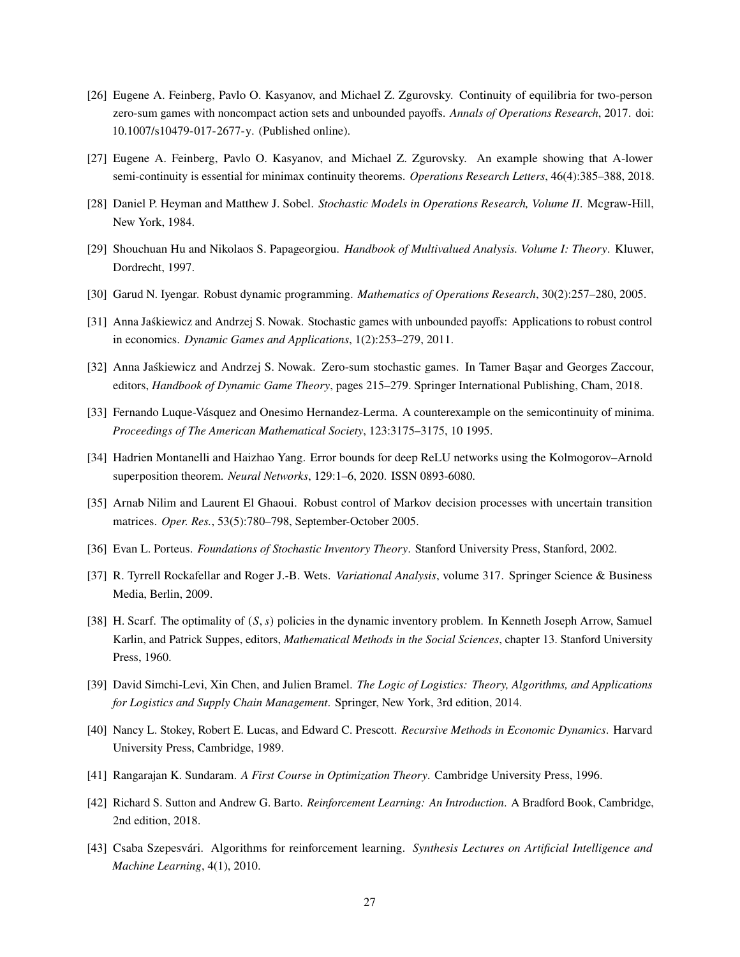- <span id="page-26-16"></span>[26] Eugene A. Feinberg, Pavlo O. Kasyanov, and Michael Z. Zgurovsky. Continuity of equilibria for two-person zero-sum games with noncompact action sets and unbounded payoffs. *Annals of Operations Research*, 2017. doi: 10.1007/s10479-017-2677-y. (Published online).
- <span id="page-26-17"></span>[27] Eugene A. Feinberg, Pavlo O. Kasyanov, and Michael Z. Zgurovsky. An example showing that A-lower semi-continuity is essential for minimax continuity theorems. *Operations Research Letters*, 46(4):385–388, 2018.
- <span id="page-26-11"></span>[28] Daniel P. Heyman and Matthew J. Sobel. *Stochastic Models in Operations Research, Volume II*. Mcgraw-Hill, New York, 1984.
- <span id="page-26-0"></span>[29] Shouchuan Hu and Nikolaos S. Papageorgiou. *Handbook of Multivalued Analysis. Volume I: Theory*. Kluwer, Dordrecht, 1997.
- <span id="page-26-14"></span>[30] Garud N. Iyengar. Robust dynamic programming. *Mathematics of Operations Research*, 30(2):257–280, 2005.
- <span id="page-26-12"></span>[31] Anna Jaśkiewicz and Andrzej S. Nowak. Stochastic games with unbounded payoffs: Applications to robust control in economics. *Dynamic Games and Applications*, 1(2):253–279, 2011.
- <span id="page-26-13"></span>[32] Anna Jaśkiewicz and Andrzej S. Nowak. Zero-sum stochastic games. In Tamer Başar and Georges Zaccour, editors, *Handbook of Dynamic Game Theory*, pages 215–279. Springer International Publishing, Cham, 2018.
- <span id="page-26-7"></span>[33] Fernando Luque-Vásquez and Onesimo Hernandez-Lerma. A counterexample on the semicontinuity of minima. *Proceedings of The American Mathematical Society*, 123:3175–3175, 10 1995.
- <span id="page-26-3"></span>[34] Hadrien Montanelli and Haizhao Yang. Error bounds for deep ReLU networks using the Kolmogorov–Arnold superposition theorem. *Neural Networks*, 129:1–6, 2020. ISSN 0893-6080.
- <span id="page-26-15"></span>[35] Arnab Nilim and Laurent El Ghaoui. Robust control of Markov decision processes with uncertain transition matrices. *Oper. Res.*, 53(5):780–798, September-October 2005.
- <span id="page-26-10"></span>[36] Evan L. Porteus. *Foundations of Stochastic Inventory Theory*. Stanford University Press, Stanford, 2002.
- <span id="page-26-5"></span>[37] R. Tyrrell Rockafellar and Roger J.-B. Wets. *Variational Analysis*, volume 317. Springer Science & Business Media, Berlin, 2009.
- <span id="page-26-8"></span>[38] H. Scarf. The optimality of  $(S, s)$  policies in the dynamic inventory problem. In Kenneth Joseph Arrow, Samuel Karlin, and Patrick Suppes, editors, *Mathematical Methods in the Social Sciences*, chapter 13. Stanford University Press, 1960.
- <span id="page-26-9"></span>[39] David Simchi-Levi, Xin Chen, and Julien Bramel. *The Logic of Logistics: Theory, Algorithms, and Applications for Logistics and Supply Chain Management*. Springer, New York, 3rd edition, 2014.
- <span id="page-26-4"></span>[40] Nancy L. Stokey, Robert E. Lucas, and Edward C. Prescott. *Recursive Methods in Economic Dynamics*. Harvard University Press, Cambridge, 1989.
- <span id="page-26-6"></span>[41] Rangarajan K. Sundaram. *A First Course in Optimization Theory*. Cambridge University Press, 1996.
- <span id="page-26-1"></span>[42] Richard S. Sutton and Andrew G. Barto. *Reinforcement Learning: An Introduction*. A Bradford Book, Cambridge, 2nd edition, 2018.
- <span id="page-26-2"></span>[43] Csaba Szepesvári. Algorithms for reinforcement learning. *Synthesis Lectures on Artificial Intelligence and Machine Learning*, 4(1), 2010.